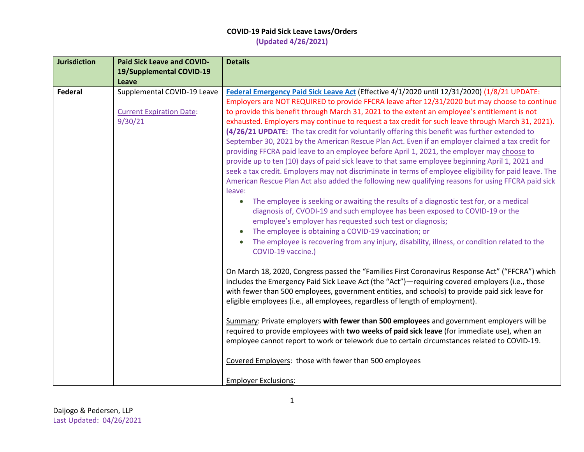| 19/Supplemental COVID-19                                                                                                                                                                       |  |
|------------------------------------------------------------------------------------------------------------------------------------------------------------------------------------------------|--|
|                                                                                                                                                                                                |  |
| Leave                                                                                                                                                                                          |  |
| <b>Federal</b><br>Supplemental COVID-19 Leave<br>Federal Emergency Paid Sick Leave Act (Effective 4/1/2020 until 12/31/2020) (1/8/21 UPDATE:                                                   |  |
| Employers are NOT REQUIRED to provide FFCRA leave after 12/31/2020 but may choose to continue                                                                                                  |  |
| <b>Current Expiration Date:</b><br>to provide this benefit through March 31, 2021 to the extent an employee's entitlement is not                                                               |  |
| 9/30/21<br>exhausted. Employers may continue to request a tax credit for such leave through March 31, 2021).                                                                                   |  |
| (4/26/21 UPDATE: The tax credit for voluntarily offering this benefit was further extended to                                                                                                  |  |
| September 30, 2021 by the American Rescue Plan Act. Even if an employer claimed a tax credit for                                                                                               |  |
| providing FFCRA paid leave to an employee before April 1, 2021, the employer may choose to<br>provide up to ten (10) days of paid sick leave to that same employee beginning April 1, 2021 and |  |
| seek a tax credit. Employers may not discriminate in terms of employee eligibility for paid leave. The                                                                                         |  |
| American Rescue Plan Act also added the following new qualifying reasons for using FFCRA paid sick                                                                                             |  |
| leave:                                                                                                                                                                                         |  |
| The employee is seeking or awaiting the results of a diagnostic test for, or a medical                                                                                                         |  |
| diagnosis of, CVODI-19 and such employee has been exposed to COVID-19 or the                                                                                                                   |  |
| employee's employer has requested such test or diagnosis;                                                                                                                                      |  |
| The employee is obtaining a COVID-19 vaccination; or                                                                                                                                           |  |
| The employee is recovering from any injury, disability, illness, or condition related to the                                                                                                   |  |
| COVID-19 vaccine.)                                                                                                                                                                             |  |
|                                                                                                                                                                                                |  |
| On March 18, 2020, Congress passed the "Families First Coronavirus Response Act" ("FFCRA") which                                                                                               |  |
| includes the Emergency Paid Sick Leave Act (the "Act")—requiring covered employers (i.e., those                                                                                                |  |
| with fewer than 500 employees, government entities, and schools) to provide paid sick leave for                                                                                                |  |
| eligible employees (i.e., all employees, regardless of length of employment).                                                                                                                  |  |
| Summary: Private employers with fewer than 500 employees and government employers will be                                                                                                      |  |
| required to provide employees with two weeks of paid sick leave (for immediate use), when an                                                                                                   |  |
| employee cannot report to work or telework due to certain circumstances related to COVID-19.                                                                                                   |  |
| Covered Employers: those with fewer than 500 employees                                                                                                                                         |  |
| <b>Employer Exclusions:</b>                                                                                                                                                                    |  |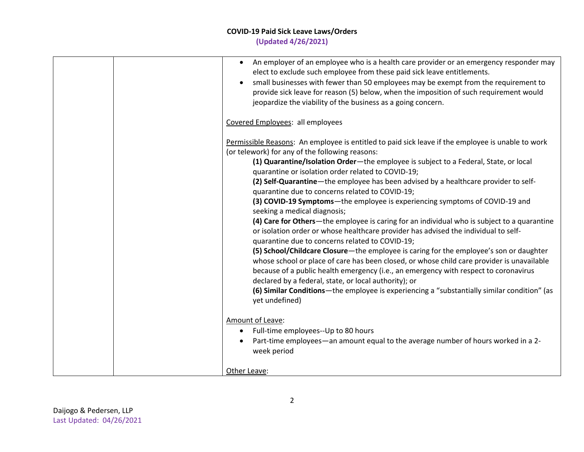| • An employer of an employee who is a health care provider or an emergency responder may<br>elect to exclude such employee from these paid sick leave entitlements.<br>small businesses with fewer than 50 employees may be exempt from the requirement to<br>provide sick leave for reason (5) below, when the imposition of such requirement would<br>jeopardize the viability of the business as a going concern.                                                                                                                                                                                                                                                                                                                                                                                                                                                                                                                                                                                                                                                                                                                                                                                                                                           |
|----------------------------------------------------------------------------------------------------------------------------------------------------------------------------------------------------------------------------------------------------------------------------------------------------------------------------------------------------------------------------------------------------------------------------------------------------------------------------------------------------------------------------------------------------------------------------------------------------------------------------------------------------------------------------------------------------------------------------------------------------------------------------------------------------------------------------------------------------------------------------------------------------------------------------------------------------------------------------------------------------------------------------------------------------------------------------------------------------------------------------------------------------------------------------------------------------------------------------------------------------------------|
| Covered Employees: all employees                                                                                                                                                                                                                                                                                                                                                                                                                                                                                                                                                                                                                                                                                                                                                                                                                                                                                                                                                                                                                                                                                                                                                                                                                               |
| Permissible Reasons: An employee is entitled to paid sick leave if the employee is unable to work<br>(or telework) for any of the following reasons:<br>(1) Quarantine/Isolation Order-the employee is subject to a Federal, State, or local<br>quarantine or isolation order related to COVID-19;<br>(2) Self-Quarantine-the employee has been advised by a healthcare provider to self-<br>quarantine due to concerns related to COVID-19;<br>(3) COVID-19 Symptoms-the employee is experiencing symptoms of COVID-19 and<br>seeking a medical diagnosis;<br>(4) Care for Others—the employee is caring for an individual who is subject to a quarantine<br>or isolation order or whose healthcare provider has advised the individual to self-<br>quarantine due to concerns related to COVID-19;<br>(5) School/Childcare Closure-the employee is caring for the employee's son or daughter<br>whose school or place of care has been closed, or whose child care provider is unavailable<br>because of a public health emergency (i.e., an emergency with respect to coronavirus<br>declared by a federal, state, or local authority); or<br>(6) Similar Conditions—the employee is experiencing a "substantially similar condition" (as<br>yet undefined) |
| Amount of Leave:<br>Full-time employees--Up to 80 hours<br>$\bullet$<br>Part-time employees—an amount equal to the average number of hours worked in a 2-<br>week period                                                                                                                                                                                                                                                                                                                                                                                                                                                                                                                                                                                                                                                                                                                                                                                                                                                                                                                                                                                                                                                                                       |
| Other Leave:                                                                                                                                                                                                                                                                                                                                                                                                                                                                                                                                                                                                                                                                                                                                                                                                                                                                                                                                                                                                                                                                                                                                                                                                                                                   |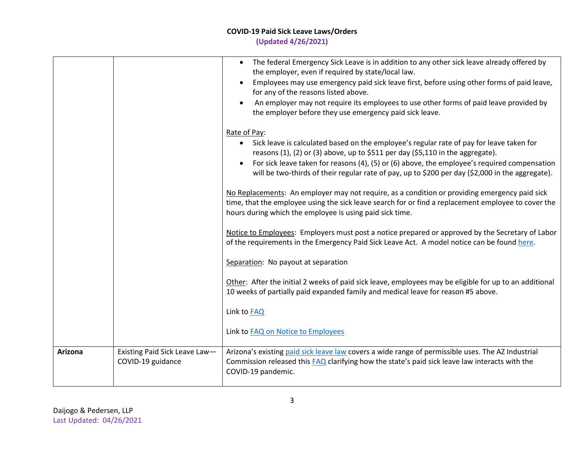| Arizona | Existing Paid Sick Leave Law-<br>COVID-19 guidance | Other: After the initial 2 weeks of paid sick leave, employees may be eligible for up to an additional<br>10 weeks of partially paid expanded family and medical leave for reason #5 above.<br>Link to FAQ<br>Link to FAQ on Notice to Employees<br>Arizona's existing paid sick leave law covers a wide range of permissible uses. The AZ Industrial<br>Commission released this FAQ clarifying how the state's paid sick leave law interacts with the<br>COVID-19 pandemic. |
|---------|----------------------------------------------------|-------------------------------------------------------------------------------------------------------------------------------------------------------------------------------------------------------------------------------------------------------------------------------------------------------------------------------------------------------------------------------------------------------------------------------------------------------------------------------|
|         |                                                    | Notice to Employees: Employers must post a notice prepared or approved by the Secretary of Labor<br>of the requirements in the Emergency Paid Sick Leave Act. A model notice can be found here.<br>Separation: No payout at separation                                                                                                                                                                                                                                        |
|         |                                                    | No Replacements: An employer may not require, as a condition or providing emergency paid sick<br>time, that the employee using the sick leave search for or find a replacement employee to cover the<br>hours during which the employee is using paid sick time.                                                                                                                                                                                                              |
|         |                                                    | Rate of Pay:<br>• Sick leave is calculated based on the employee's regular rate of pay for leave taken for<br>reasons (1), (2) or (3) above, up to \$511 per day (\$5,110 in the aggregate).<br>For sick leave taken for reasons (4), (5) or (6) above, the employee's required compensation<br>will be two-thirds of their regular rate of pay, up to \$200 per day (\$2,000 in the aggregate).                                                                              |
|         |                                                    | The federal Emergency Sick Leave is in addition to any other sick leave already offered by<br>$\bullet$<br>the employer, even if required by state/local law.<br>Employees may use emergency paid sick leave first, before using other forms of paid leave,<br>for any of the reasons listed above.<br>An employer may not require its employees to use other forms of paid leave provided by<br>the employer before they use emergency paid sick leave.                      |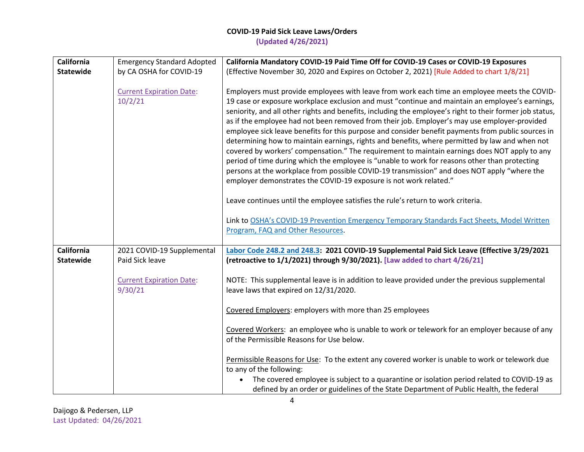| <b>California</b>                     | <b>Emergency Standard Adopted</b>             | California Mandatory COVID-19 Paid Time Off for COVID-19 Cases or COVID-19 Exposures                                                                                                                                                                                                                                                                                                                                                                                                                                                                                                                                                                                                                                                                                                                                                                                                                                                                                                                                                                                                                                                                                         |
|---------------------------------------|-----------------------------------------------|------------------------------------------------------------------------------------------------------------------------------------------------------------------------------------------------------------------------------------------------------------------------------------------------------------------------------------------------------------------------------------------------------------------------------------------------------------------------------------------------------------------------------------------------------------------------------------------------------------------------------------------------------------------------------------------------------------------------------------------------------------------------------------------------------------------------------------------------------------------------------------------------------------------------------------------------------------------------------------------------------------------------------------------------------------------------------------------------------------------------------------------------------------------------------|
| <b>Statewide</b>                      | by CA OSHA for COVID-19                       | (Effective November 30, 2020 and Expires on October 2, 2021) [Rule Added to chart 1/8/21]                                                                                                                                                                                                                                                                                                                                                                                                                                                                                                                                                                                                                                                                                                                                                                                                                                                                                                                                                                                                                                                                                    |
|                                       | <b>Current Expiration Date:</b><br>10/2/21    | Employers must provide employees with leave from work each time an employee meets the COVID-<br>19 case or exposure workplace exclusion and must "continue and maintain an employee's earnings,<br>seniority, and all other rights and benefits, including the employee's right to their former job status,<br>as if the employee had not been removed from their job. Employer's may use employer-provided<br>employee sick leave benefits for this purpose and consider benefit payments from public sources in<br>determining how to maintain earnings, rights and benefits, where permitted by law and when not<br>covered by workers' compensation." The requirement to maintain earnings does NOT apply to any<br>period of time during which the employee is "unable to work for reasons other than protecting<br>persons at the workplace from possible COVID-19 transmission" and does NOT apply "where the<br>employer demonstrates the COVID-19 exposure is not work related."<br>Leave continues until the employee satisfies the rule's return to work criteria.<br>Link to OSHA's COVID-19 Prevention Emergency Temporary Standards Fact Sheets, Model Written |
|                                       |                                               | Program, FAQ and Other Resources.                                                                                                                                                                                                                                                                                                                                                                                                                                                                                                                                                                                                                                                                                                                                                                                                                                                                                                                                                                                                                                                                                                                                            |
| <b>California</b><br><b>Statewide</b> | 2021 COVID-19 Supplemental<br>Paid Sick leave | Labor Code 248.2 and 248.3: 2021 COVID-19 Supplemental Paid Sick Leave (Effective 3/29/2021<br>(retroactive to 1/1/2021) through 9/30/2021). [Law added to chart 4/26/21]                                                                                                                                                                                                                                                                                                                                                                                                                                                                                                                                                                                                                                                                                                                                                                                                                                                                                                                                                                                                    |
|                                       | <b>Current Expiration Date:</b><br>9/30/21    | NOTE: This supplemental leave is in addition to leave provided under the previous supplemental<br>leave laws that expired on 12/31/2020.                                                                                                                                                                                                                                                                                                                                                                                                                                                                                                                                                                                                                                                                                                                                                                                                                                                                                                                                                                                                                                     |
|                                       |                                               | Covered Employers: employers with more than 25 employees                                                                                                                                                                                                                                                                                                                                                                                                                                                                                                                                                                                                                                                                                                                                                                                                                                                                                                                                                                                                                                                                                                                     |
|                                       |                                               | Covered Workers: an employee who is unable to work or telework for an employer because of any<br>of the Permissible Reasons for Use below.                                                                                                                                                                                                                                                                                                                                                                                                                                                                                                                                                                                                                                                                                                                                                                                                                                                                                                                                                                                                                                   |
|                                       |                                               | Permissible Reasons for Use: To the extent any covered worker is unable to work or telework due<br>to any of the following:<br>The covered employee is subject to a quarantine or isolation period related to COVID-19 as<br>$\bullet$<br>defined by an order or guidelines of the State Department of Public Health, the federal                                                                                                                                                                                                                                                                                                                                                                                                                                                                                                                                                                                                                                                                                                                                                                                                                                            |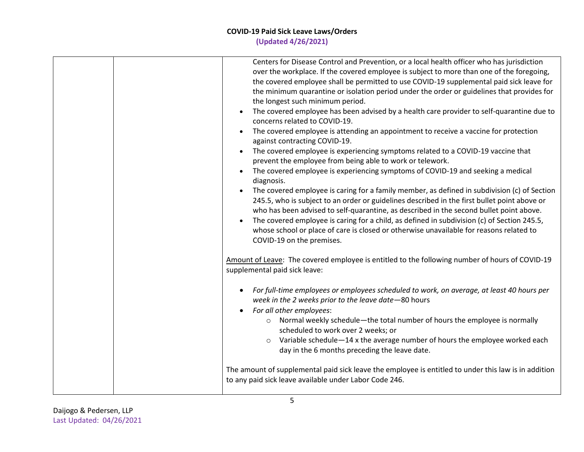| Centers for Disease Control and Prevention, or a local health officer who has jurisdiction<br>over the workplace. If the covered employee is subject to more than one of the foregoing,<br>the covered employee shall be permitted to use COVID-19 supplemental paid sick leave for<br>the minimum quarantine or isolation period under the order or guidelines that provides for<br>the longest such minimum period.<br>The covered employee has been advised by a health care provider to self-quarantine due to<br>concerns related to COVID-19.<br>The covered employee is attending an appointment to receive a vaccine for protection<br>$\bullet$<br>against contracting COVID-19.<br>The covered employee is experiencing symptoms related to a COVID-19 vaccine that<br>prevent the employee from being able to work or telework.<br>The covered employee is experiencing symptoms of COVID-19 and seeking a medical<br>diagnosis.<br>The covered employee is caring for a family member, as defined in subdivision (c) of Section<br>$\bullet$<br>245.5, who is subject to an order or guidelines described in the first bullet point above or<br>who has been advised to self-quarantine, as described in the second bullet point above.<br>The covered employee is caring for a child, as defined in subdivision (c) of Section 245.5,<br>whose school or place of care is closed or otherwise unavailable for reasons related to<br>COVID-19 on the premises. |
|----------------------------------------------------------------------------------------------------------------------------------------------------------------------------------------------------------------------------------------------------------------------------------------------------------------------------------------------------------------------------------------------------------------------------------------------------------------------------------------------------------------------------------------------------------------------------------------------------------------------------------------------------------------------------------------------------------------------------------------------------------------------------------------------------------------------------------------------------------------------------------------------------------------------------------------------------------------------------------------------------------------------------------------------------------------------------------------------------------------------------------------------------------------------------------------------------------------------------------------------------------------------------------------------------------------------------------------------------------------------------------------------------------------------------------------------------------------------------|
| Amount of Leave: The covered employee is entitled to the following number of hours of COVID-19<br>supplemental paid sick leave:                                                                                                                                                                                                                                                                                                                                                                                                                                                                                                                                                                                                                                                                                                                                                                                                                                                                                                                                                                                                                                                                                                                                                                                                                                                                                                                                            |
| For full-time employees or employees scheduled to work, on average, at least 40 hours per<br>$\bullet$<br>week in the 2 weeks prior to the leave date-80 hours<br>For all other employees:<br>Normal weekly schedule—the total number of hours the employee is normally<br>$\circ$<br>scheduled to work over 2 weeks; or<br>Variable schedule-14 x the average number of hours the employee worked each<br>$\circ$<br>day in the 6 months preceding the leave date.<br>The amount of supplemental paid sick leave the employee is entitled to under this law is in addition<br>to any paid sick leave available under Labor Code 246.                                                                                                                                                                                                                                                                                                                                                                                                                                                                                                                                                                                                                                                                                                                                                                                                                                      |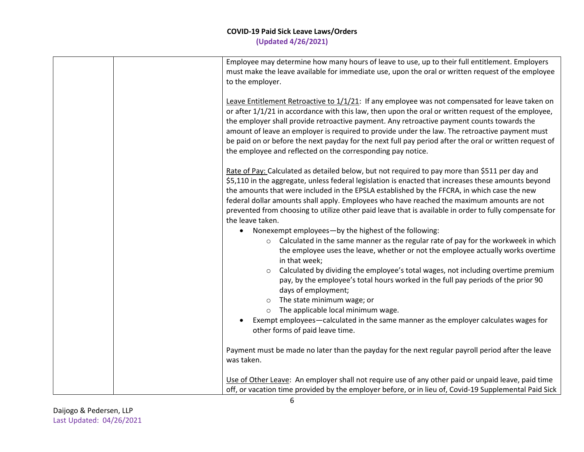| Employee may determine how many hours of leave to use, up to their full entitlement. Employers<br>must make the leave available for immediate use, upon the oral or written request of the employee<br>to the employer.<br>Leave Entitlement Retroactive to $1/1/21$ : If any employee was not compensated for leave taken on<br>or after 1/1/21 in accordance with this law, then upon the oral or written request of the employee,                                                                                             |  |
|----------------------------------------------------------------------------------------------------------------------------------------------------------------------------------------------------------------------------------------------------------------------------------------------------------------------------------------------------------------------------------------------------------------------------------------------------------------------------------------------------------------------------------|--|
|                                                                                                                                                                                                                                                                                                                                                                                                                                                                                                                                  |  |
| the employer shall provide retroactive payment. Any retroactive payment counts towards the<br>amount of leave an employer is required to provide under the law. The retroactive payment must<br>be paid on or before the next payday for the next full pay period after the oral or written request of<br>the employee and reflected on the corresponding pay notice.                                                                                                                                                            |  |
| Rate of Pay: Calculated as detailed below, but not required to pay more than \$511 per day and<br>\$5,110 in the aggregate, unless federal legislation is enacted that increases these amounts beyond<br>the amounts that were included in the EPSLA established by the FFCRA, in which case the new<br>federal dollar amounts shall apply. Employees who have reached the maximum amounts are not<br>prevented from choosing to utilize other paid leave that is available in order to fully compensate for<br>the leave taken. |  |
| Nonexempt employees-by the highest of the following:<br>$\bullet$                                                                                                                                                                                                                                                                                                                                                                                                                                                                |  |
| $\circ$ Calculated in the same manner as the regular rate of pay for the workweek in which<br>the employee uses the leave, whether or not the employee actually works overtime<br>in that week;                                                                                                                                                                                                                                                                                                                                  |  |
| Calculated by dividing the employee's total wages, not including overtime premium<br>$\circ$<br>pay, by the employee's total hours worked in the full pay periods of the prior 90<br>days of employment;                                                                                                                                                                                                                                                                                                                         |  |
| The state minimum wage; or<br>$\circ$                                                                                                                                                                                                                                                                                                                                                                                                                                                                                            |  |
| The applicable local minimum wage.<br>$\circ$                                                                                                                                                                                                                                                                                                                                                                                                                                                                                    |  |
| Exempt employees—calculated in the same manner as the employer calculates wages for<br>other forms of paid leave time.                                                                                                                                                                                                                                                                                                                                                                                                           |  |
| Payment must be made no later than the payday for the next regular payroll period after the leave<br>was taken.                                                                                                                                                                                                                                                                                                                                                                                                                  |  |
| Use of Other Leave: An employer shall not require use of any other paid or unpaid leave, paid time<br>off, or vacation time provided by the employer before, or in lieu of, Covid-19 Supplemental Paid Sick                                                                                                                                                                                                                                                                                                                      |  |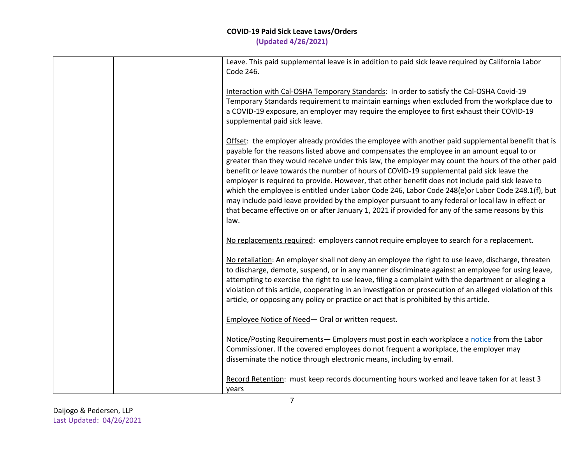|  | Leave. This paid supplemental leave is in addition to paid sick leave required by California Labor<br>Code 246.                                                                                                                                                                                                                                                                                                                                                                                                                                                                                                                                                                                                                                                                                                                |
|--|--------------------------------------------------------------------------------------------------------------------------------------------------------------------------------------------------------------------------------------------------------------------------------------------------------------------------------------------------------------------------------------------------------------------------------------------------------------------------------------------------------------------------------------------------------------------------------------------------------------------------------------------------------------------------------------------------------------------------------------------------------------------------------------------------------------------------------|
|  | Interaction with Cal-OSHA Temporary Standards: In order to satisfy the Cal-OSHA Covid-19<br>Temporary Standards requirement to maintain earnings when excluded from the workplace due to<br>a COVID-19 exposure, an employer may require the employee to first exhaust their COVID-19<br>supplemental paid sick leave.                                                                                                                                                                                                                                                                                                                                                                                                                                                                                                         |
|  | Offset: the employer already provides the employee with another paid supplemental benefit that is<br>payable for the reasons listed above and compensates the employee in an amount equal to or<br>greater than they would receive under this law, the employer may count the hours of the other paid<br>benefit or leave towards the number of hours of COVID-19 supplemental paid sick leave the<br>employer is required to provide. However, that other benefit does not include paid sick leave to<br>which the employee is entitled under Labor Code 246, Labor Code 248(e) or Labor Code 248.1(f), but<br>may include paid leave provided by the employer pursuant to any federal or local law in effect or<br>that became effective on or after January 1, 2021 if provided for any of the same reasons by this<br>law. |
|  | No replacements required: employers cannot require employee to search for a replacement.                                                                                                                                                                                                                                                                                                                                                                                                                                                                                                                                                                                                                                                                                                                                       |
|  | No retaliation: An employer shall not deny an employee the right to use leave, discharge, threaten<br>to discharge, demote, suspend, or in any manner discriminate against an employee for using leave,<br>attempting to exercise the right to use leave, filing a complaint with the department or alleging a<br>violation of this article, cooperating in an investigation or prosecution of an alleged violation of this<br>article, or opposing any policy or practice or act that is prohibited by this article.                                                                                                                                                                                                                                                                                                          |
|  | Employee Notice of Need- Oral or written request.                                                                                                                                                                                                                                                                                                                                                                                                                                                                                                                                                                                                                                                                                                                                                                              |
|  | Notice/Posting Requirements - Employers must post in each workplace a notice from the Labor<br>Commissioner. If the covered employees do not frequent a workplace, the employer may<br>disseminate the notice through electronic means, including by email.                                                                                                                                                                                                                                                                                                                                                                                                                                                                                                                                                                    |
|  | Record Retention: must keep records documenting hours worked and leave taken for at least 3<br>years                                                                                                                                                                                                                                                                                                                                                                                                                                                                                                                                                                                                                                                                                                                           |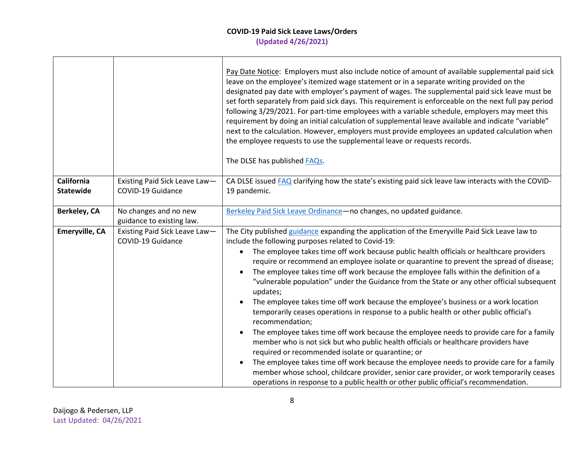|                                |                                                    | Pay Date Notice: Employers must also include notice of amount of available supplemental paid sick<br>leave on the employee's itemized wage statement or in a separate writing provided on the<br>designated pay date with employer's payment of wages. The supplemental paid sick leave must be<br>set forth separately from paid sick days. This requirement is enforceable on the next full pay period<br>following 3/29/2021. For part-time employees with a variable schedule, employers may meet this<br>requirement by doing an initial calculation of supplemental leave available and indicate "variable"<br>next to the calculation. However, employers must provide employees an updated calculation when<br>the employee requests to use the supplemental leave or requests records.<br>The DLSE has published FAQs.                                                                                                                                                                                                                                                                                                                                                                                                                                                                           |
|--------------------------------|----------------------------------------------------|-----------------------------------------------------------------------------------------------------------------------------------------------------------------------------------------------------------------------------------------------------------------------------------------------------------------------------------------------------------------------------------------------------------------------------------------------------------------------------------------------------------------------------------------------------------------------------------------------------------------------------------------------------------------------------------------------------------------------------------------------------------------------------------------------------------------------------------------------------------------------------------------------------------------------------------------------------------------------------------------------------------------------------------------------------------------------------------------------------------------------------------------------------------------------------------------------------------------------------------------------------------------------------------------------------------|
| California<br><b>Statewide</b> | Existing Paid Sick Leave Law-<br>COVID-19 Guidance | CA DLSE issued FAQ clarifying how the state's existing paid sick leave law interacts with the COVID-<br>19 pandemic.                                                                                                                                                                                                                                                                                                                                                                                                                                                                                                                                                                                                                                                                                                                                                                                                                                                                                                                                                                                                                                                                                                                                                                                      |
| <b>Berkeley, CA</b>            | No changes and no new<br>guidance to existing law. | Berkeley Paid Sick Leave Ordinance-no changes, no updated guidance.                                                                                                                                                                                                                                                                                                                                                                                                                                                                                                                                                                                                                                                                                                                                                                                                                                                                                                                                                                                                                                                                                                                                                                                                                                       |
| <b>Emeryville, CA</b>          | Existing Paid Sick Leave Law-<br>COVID-19 Guidance | The City published guidance expanding the application of the Emeryville Paid Sick Leave law to<br>include the following purposes related to Covid-19:<br>The employee takes time off work because public health officials or healthcare providers<br>$\bullet$<br>require or recommend an employee isolate or quarantine to prevent the spread of disease;<br>The employee takes time off work because the employee falls within the definition of a<br>"vulnerable population" under the Guidance from the State or any other official subsequent<br>updates;<br>The employee takes time off work because the employee's business or a work location<br>temporarily ceases operations in response to a public health or other public official's<br>recommendation;<br>The employee takes time off work because the employee needs to provide care for a family<br>$\bullet$<br>member who is not sick but who public health officials or healthcare providers have<br>required or recommended isolate or quarantine; or<br>The employee takes time off work because the employee needs to provide care for a family<br>member whose school, childcare provider, senior care provider, or work temporarily ceases<br>operations in response to a public health or other public official's recommendation. |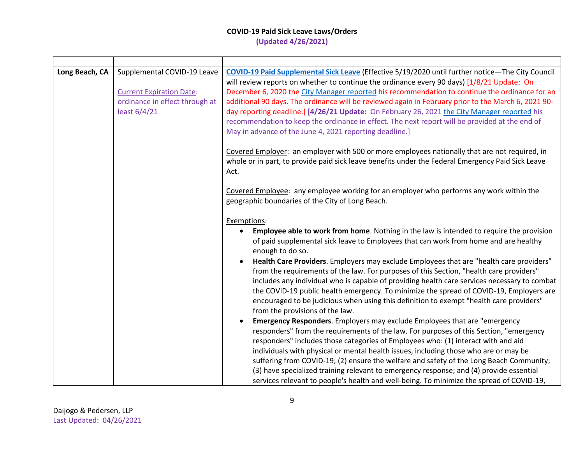| Long Beach, CA | Supplemental COVID-19 Leave<br><b>Current Expiration Date:</b><br>ordinance in effect through at<br>least 6/4/21 | COVID-19 Paid Supplemental Sick Leave (Effective 5/19/2020 until further notice-The City Council<br>will review reports on whether to continue the ordinance every 90 days) [1/8/21 Update: On<br>December 6, 2020 the City Manager reported his recommendation to continue the ordinance for an<br>additional 90 days. The ordinance will be reviewed again in February prior to the March 6, 2021 90-<br>day reporting deadline.] [4/26/21 Update: On February 26, 2021 the City Manager reported his<br>recommendation to keep the ordinance in effect. The next report will be provided at the end of<br>May in advance of the June 4, 2021 reporting deadline.]                                                                                                                                                                                                                                                                |
|----------------|------------------------------------------------------------------------------------------------------------------|-------------------------------------------------------------------------------------------------------------------------------------------------------------------------------------------------------------------------------------------------------------------------------------------------------------------------------------------------------------------------------------------------------------------------------------------------------------------------------------------------------------------------------------------------------------------------------------------------------------------------------------------------------------------------------------------------------------------------------------------------------------------------------------------------------------------------------------------------------------------------------------------------------------------------------------|
|                |                                                                                                                  | Covered Employer: an employer with 500 or more employees nationally that are not required, in<br>whole or in part, to provide paid sick leave benefits under the Federal Emergency Paid Sick Leave<br>Act.                                                                                                                                                                                                                                                                                                                                                                                                                                                                                                                                                                                                                                                                                                                          |
|                |                                                                                                                  | Covered Employee: any employee working for an employer who performs any work within the<br>geographic boundaries of the City of Long Beach.                                                                                                                                                                                                                                                                                                                                                                                                                                                                                                                                                                                                                                                                                                                                                                                         |
|                |                                                                                                                  | Exemptions:<br>Employee able to work from home. Nothing in the law is intended to require the provision<br>$\bullet$<br>of paid supplemental sick leave to Employees that can work from home and are healthy<br>enough to do so.<br>Health Care Providers. Employers may exclude Employees that are "health care providers"<br>$\bullet$<br>from the requirements of the law. For purposes of this Section, "health care providers"<br>includes any individual who is capable of providing health care services necessary to combat<br>the COVID-19 public health emergency. To minimize the spread of COVID-19, Employers are<br>encouraged to be judicious when using this definition to exempt "health care providers"<br>from the provisions of the law.<br>Emergency Responders. Employers may exclude Employees that are "emergency<br>responders" from the requirements of the law. For purposes of this Section, "emergency |
|                |                                                                                                                  | responders" includes those categories of Employees who: (1) interact with and aid<br>individuals with physical or mental health issues, including those who are or may be<br>suffering from COVID-19; (2) ensure the welfare and safety of the Long Beach Community;<br>(3) have specialized training relevant to emergency response; and (4) provide essential<br>services relevant to people's health and well-being. To minimize the spread of COVID-19,                                                                                                                                                                                                                                                                                                                                                                                                                                                                         |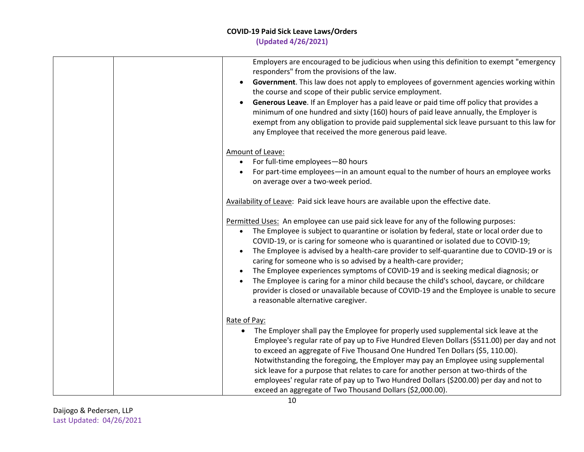| Employers are encouraged to be judicious when using this definition to exempt "emergency<br>responders" from the provisions of the law.<br>Government. This law does not apply to employees of government agencies working within<br>the course and scope of their public service employment.<br>Generous Leave. If an Employer has a paid leave or paid time off policy that provides a<br>minimum of one hundred and sixty (160) hours of paid leave annually, the Employer is<br>exempt from any obligation to provide paid supplemental sick leave pursuant to this law for<br>any Employee that received the more generous paid leave.                                                                                                                                                    |
|------------------------------------------------------------------------------------------------------------------------------------------------------------------------------------------------------------------------------------------------------------------------------------------------------------------------------------------------------------------------------------------------------------------------------------------------------------------------------------------------------------------------------------------------------------------------------------------------------------------------------------------------------------------------------------------------------------------------------------------------------------------------------------------------|
| Amount of Leave:                                                                                                                                                                                                                                                                                                                                                                                                                                                                                                                                                                                                                                                                                                                                                                               |
| For full-time employees-80 hours<br>$\bullet$                                                                                                                                                                                                                                                                                                                                                                                                                                                                                                                                                                                                                                                                                                                                                  |
| For part-time employees-in an amount equal to the number of hours an employee works<br>on average over a two-week period.                                                                                                                                                                                                                                                                                                                                                                                                                                                                                                                                                                                                                                                                      |
| Availability of Leave: Paid sick leave hours are available upon the effective date.                                                                                                                                                                                                                                                                                                                                                                                                                                                                                                                                                                                                                                                                                                            |
| Permitted Uses: An employee can use paid sick leave for any of the following purposes:<br>The Employee is subject to quarantine or isolation by federal, state or local order due to<br>COVID-19, or is caring for someone who is quarantined or isolated due to COVID-19;<br>The Employee is advised by a health-care provider to self-quarantine due to COVID-19 or is<br>caring for someone who is so advised by a health-care provider;<br>The Employee experiences symptoms of COVID-19 and is seeking medical diagnosis; or<br>$\bullet$<br>The Employee is caring for a minor child because the child's school, daycare, or childcare<br>$\bullet$<br>provider is closed or unavailable because of COVID-19 and the Employee is unable to secure<br>a reasonable alternative caregiver. |
| Rate of Pay:<br>The Employer shall pay the Employee for properly used supplemental sick leave at the<br>$\bullet$<br>Employee's regular rate of pay up to Five Hundred Eleven Dollars (\$511.00) per day and not<br>to exceed an aggregate of Five Thousand One Hundred Ten Dollars (\$5, 110.00).<br>Notwithstanding the foregoing, the Employer may pay an Employee using supplemental<br>sick leave for a purpose that relates to care for another person at two-thirds of the<br>employees' regular rate of pay up to Two Hundred Dollars (\$200.00) per day and not to<br>exceed an aggregate of Two Thousand Dollars (\$2,000.00).                                                                                                                                                       |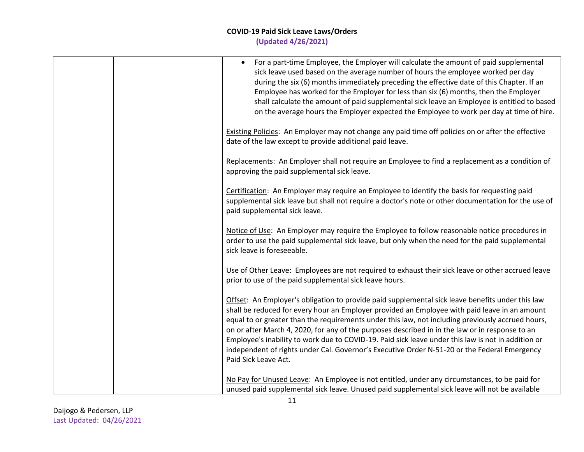| For a part-time Employee, the Employer will calculate the amount of paid supplemental<br>$\bullet$<br>sick leave used based on the average number of hours the employee worked per day<br>during the six (6) months immediately preceding the effective date of this Chapter. If an<br>Employee has worked for the Employer for less than six (6) months, then the Employer<br>shall calculate the amount of paid supplemental sick leave an Employee is entitled to based<br>on the average hours the Employer expected the Employee to work per day at time of hire.                                                                  |
|-----------------------------------------------------------------------------------------------------------------------------------------------------------------------------------------------------------------------------------------------------------------------------------------------------------------------------------------------------------------------------------------------------------------------------------------------------------------------------------------------------------------------------------------------------------------------------------------------------------------------------------------|
| Existing Policies: An Employer may not change any paid time off policies on or after the effective<br>date of the law except to provide additional paid leave.                                                                                                                                                                                                                                                                                                                                                                                                                                                                          |
| Replacements: An Employer shall not require an Employee to find a replacement as a condition of<br>approving the paid supplemental sick leave.                                                                                                                                                                                                                                                                                                                                                                                                                                                                                          |
| Certification: An Employer may require an Employee to identify the basis for requesting paid<br>supplemental sick leave but shall not require a doctor's note or other documentation for the use of<br>paid supplemental sick leave.                                                                                                                                                                                                                                                                                                                                                                                                    |
| Notice of Use: An Employer may require the Employee to follow reasonable notice procedures in<br>order to use the paid supplemental sick leave, but only when the need for the paid supplemental<br>sick leave is foreseeable.                                                                                                                                                                                                                                                                                                                                                                                                          |
| Use of Other Leave: Employees are not required to exhaust their sick leave or other accrued leave<br>prior to use of the paid supplemental sick leave hours.                                                                                                                                                                                                                                                                                                                                                                                                                                                                            |
| Offset: An Employer's obligation to provide paid supplemental sick leave benefits under this law<br>shall be reduced for every hour an Employer provided an Employee with paid leave in an amount<br>equal to or greater than the requirements under this law, not including previously accrued hours,<br>on or after March 4, 2020, for any of the purposes described in in the law or in response to an<br>Employee's inability to work due to COVID-19. Paid sick leave under this law is not in addition or<br>independent of rights under Cal. Governor's Executive Order N-51-20 or the Federal Emergency<br>Paid Sick Leave Act. |
| No Pay for Unused Leave: An Employee is not entitled, under any circumstances, to be paid for<br>unused paid supplemental sick leave. Unused paid supplemental sick leave will not be available                                                                                                                                                                                                                                                                                                                                                                                                                                         |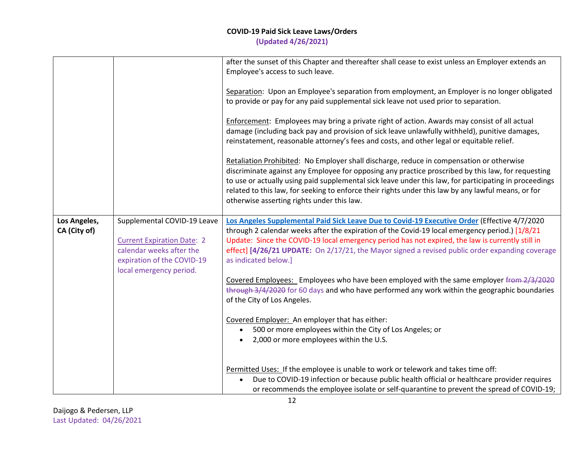|                              |                                                                                                                                                       | after the sunset of this Chapter and thereafter shall cease to exist unless an Employer extends an<br>Employee's access to such leave.<br>Separation: Upon an Employee's separation from employment, an Employer is no longer obligated<br>to provide or pay for any paid supplemental sick leave not used prior to separation.<br>Enforcement: Employees may bring a private right of action. Awards may consist of all actual<br>damage (including back pay and provision of sick leave unlawfully withheld), punitive damages,<br>reinstatement, reasonable attorney's fees and costs, and other legal or equitable relief.<br>Retaliation Prohibited: No Employer shall discharge, reduce in compensation or otherwise<br>discriminate against any Employee for opposing any practice proscribed by this law, for requesting<br>to use or actually using paid supplemental sick leave under this law, for participating in proceedings<br>related to this law, for seeking to enforce their rights under this law by any lawful means, or for<br>otherwise asserting rights under this law.    |
|------------------------------|-------------------------------------------------------------------------------------------------------------------------------------------------------|----------------------------------------------------------------------------------------------------------------------------------------------------------------------------------------------------------------------------------------------------------------------------------------------------------------------------------------------------------------------------------------------------------------------------------------------------------------------------------------------------------------------------------------------------------------------------------------------------------------------------------------------------------------------------------------------------------------------------------------------------------------------------------------------------------------------------------------------------------------------------------------------------------------------------------------------------------------------------------------------------------------------------------------------------------------------------------------------------|
| Los Angeles,<br>CA (City of) | Supplemental COVID-19 Leave<br><b>Current Expiration Date: 2</b><br>calendar weeks after the<br>expiration of the COVID-19<br>local emergency period. | Los Angeles Supplemental Paid Sick Leave Due to Covid-19 Executive Order (Effective 4/7/2020<br>through 2 calendar weeks after the expiration of the Covid-19 local emergency period.) [1/8/21<br>Update: Since the COVID-19 local emergency period has not expired, the law is currently still in<br>effect] [4/26/21 UPDATE: On 2/17/21, the Mayor signed a revised public order expanding coverage<br>as indicated below.]<br>Covered Employees: Employees who have been employed with the same employer from 2/3/2020<br>through 3/4/2020 for 60 days and who have performed any work within the geographic boundaries<br>of the City of Los Angeles.<br>Covered Employer: An employer that has either:<br>500 or more employees within the City of Los Angeles; or<br>2,000 or more employees within the U.S.<br>Permitted Uses: If the employee is unable to work or telework and takes time off:<br>Due to COVID-19 infection or because public health official or healthcare provider requires<br>or recommends the employee isolate or self-quarantine to prevent the spread of COVID-19; |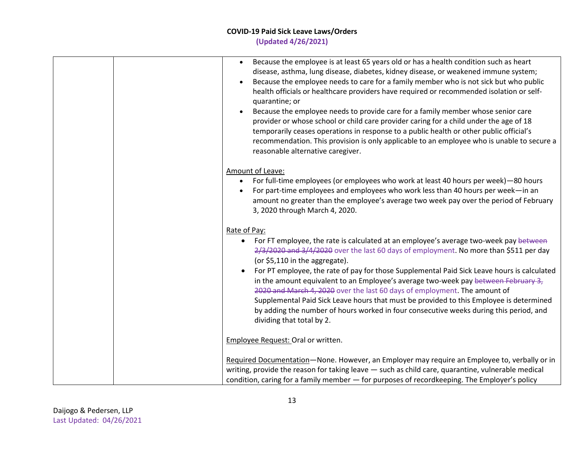| Because the employee is at least 65 years old or has a health condition such as heart<br>$\bullet$<br>disease, asthma, lung disease, diabetes, kidney disease, or weakened immune system;<br>Because the employee needs to care for a family member who is not sick but who public<br>$\bullet$<br>health officials or healthcare providers have required or recommended isolation or self-<br>quarantine; or<br>Because the employee needs to provide care for a family member whose senior care<br>provider or whose school or child care provider caring for a child under the age of 18<br>temporarily ceases operations in response to a public health or other public official's<br>recommendation. This provision is only applicable to an employee who is unable to secure a<br>reasonable alternative caregiver. |
|---------------------------------------------------------------------------------------------------------------------------------------------------------------------------------------------------------------------------------------------------------------------------------------------------------------------------------------------------------------------------------------------------------------------------------------------------------------------------------------------------------------------------------------------------------------------------------------------------------------------------------------------------------------------------------------------------------------------------------------------------------------------------------------------------------------------------|
| Amount of Leave:<br>For full-time employees (or employees who work at least 40 hours per week) -80 hours<br>$\bullet$<br>For part-time employees and employees who work less than 40 hours per week-in an<br>amount no greater than the employee's average two week pay over the period of February<br>3, 2020 through March 4, 2020.                                                                                                                                                                                                                                                                                                                                                                                                                                                                                     |
| Rate of Pay:<br>For FT employee, the rate is calculated at an employee's average two-week pay between<br>2/3/2020 and 3/4/2020 over the last 60 days of employment. No more than \$511 per day<br>(or \$5,110 in the aggregate).<br>For PT employee, the rate of pay for those Supplemental Paid Sick Leave hours is calculated<br>in the amount equivalent to an Employee's average two-week pay between February $3z$<br>2020 and March 4, 2020 over the last 60 days of employment. The amount of<br>Supplemental Paid Sick Leave hours that must be provided to this Employee is determined<br>by adding the number of hours worked in four consecutive weeks during this period, and<br>dividing that total by 2.                                                                                                    |
| Employee Request: Oral or written.                                                                                                                                                                                                                                                                                                                                                                                                                                                                                                                                                                                                                                                                                                                                                                                        |
| Required Documentation-None. However, an Employer may require an Employee to, verbally or in<br>writing, provide the reason for taking leave - such as child care, quarantine, vulnerable medical<br>condition, caring for a family member - for purposes of recordkeeping. The Employer's policy                                                                                                                                                                                                                                                                                                                                                                                                                                                                                                                         |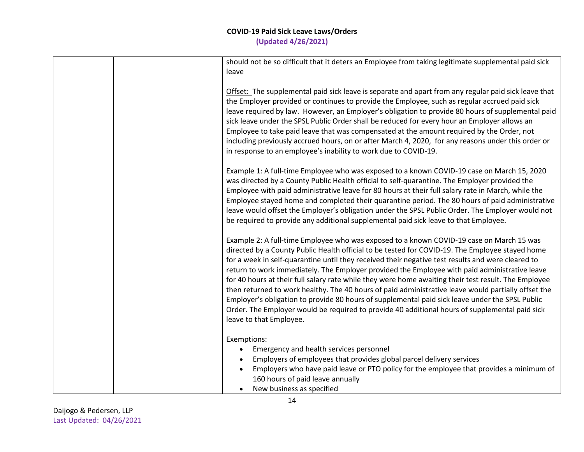| should not be so difficult that it deters an Employee from taking legitimate supplemental paid sick<br>leave                                                                                                                                                                                                                                                                                                                                                                                                                                                                                                                                                                                                                                                                                                                                     |
|--------------------------------------------------------------------------------------------------------------------------------------------------------------------------------------------------------------------------------------------------------------------------------------------------------------------------------------------------------------------------------------------------------------------------------------------------------------------------------------------------------------------------------------------------------------------------------------------------------------------------------------------------------------------------------------------------------------------------------------------------------------------------------------------------------------------------------------------------|
| Offset: The supplemental paid sick leave is separate and apart from any regular paid sick leave that<br>the Employer provided or continues to provide the Employee, such as regular accrued paid sick<br>leave required by law. However, an Employer's obligation to provide 80 hours of supplemental paid<br>sick leave under the SPSL Public Order shall be reduced for every hour an Employer allows an<br>Employee to take paid leave that was compensated at the amount required by the Order, not<br>including previously accrued hours, on or after March 4, 2020, for any reasons under this order or<br>in response to an employee's inability to work due to COVID-19.                                                                                                                                                                 |
| Example 1: A full-time Employee who was exposed to a known COVID-19 case on March 15, 2020<br>was directed by a County Public Health official to self-quarantine. The Employer provided the<br>Employee with paid administrative leave for 80 hours at their full salary rate in March, while the<br>Employee stayed home and completed their quarantine period. The 80 hours of paid administrative<br>leave would offset the Employer's obligation under the SPSL Public Order. The Employer would not<br>be required to provide any additional supplemental paid sick leave to that Employee.                                                                                                                                                                                                                                                 |
| Example 2: A full-time Employee who was exposed to a known COVID-19 case on March 15 was<br>directed by a County Public Health official to be tested for COVID-19. The Employee stayed home<br>for a week in self-quarantine until they received their negative test results and were cleared to<br>return to work immediately. The Employer provided the Employee with paid administrative leave<br>for 40 hours at their full salary rate while they were home awaiting their test result. The Employee<br>then returned to work healthy. The 40 hours of paid administrative leave would partially offset the<br>Employer's obligation to provide 80 hours of supplemental paid sick leave under the SPSL Public<br>Order. The Employer would be required to provide 40 additional hours of supplemental paid sick<br>leave to that Employee. |
| Exemptions:<br>Emergency and health services personnel<br>Employers of employees that provides global parcel delivery services<br>Employers who have paid leave or PTO policy for the employee that provides a minimum of<br>160 hours of paid leave annually<br>New business as specified                                                                                                                                                                                                                                                                                                                                                                                                                                                                                                                                                       |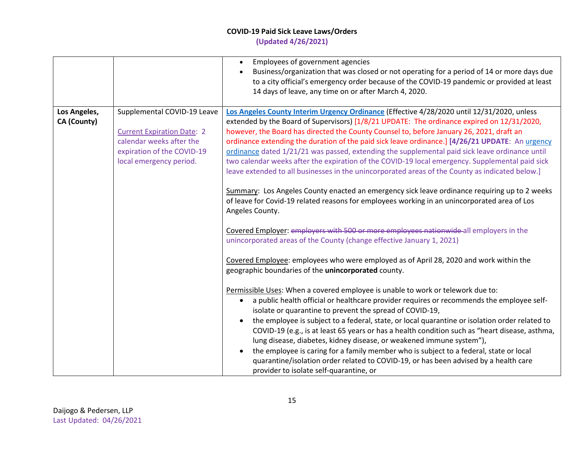## **COVID-19 Paid Sick Leave Laws/Orders**

**(Updated 4/26/2021)**

|                             |                                                                                                                                                       | Employees of government agencies<br>Business/organization that was closed or not operating for a period of 14 or more days due<br>to a city official's emergency order because of the COVID-19 pandemic or provided at least<br>14 days of leave, any time on or after March 4, 2020.                                                                                                                                                                                                                                                                                                                                                                                                                                                                                                                                                                                                                                                                                                                                                                                 |
|-----------------------------|-------------------------------------------------------------------------------------------------------------------------------------------------------|-----------------------------------------------------------------------------------------------------------------------------------------------------------------------------------------------------------------------------------------------------------------------------------------------------------------------------------------------------------------------------------------------------------------------------------------------------------------------------------------------------------------------------------------------------------------------------------------------------------------------------------------------------------------------------------------------------------------------------------------------------------------------------------------------------------------------------------------------------------------------------------------------------------------------------------------------------------------------------------------------------------------------------------------------------------------------|
| Los Angeles,<br>CA (County) | Supplemental COVID-19 Leave<br><b>Current Expiration Date: 2</b><br>calendar weeks after the<br>expiration of the COVID-19<br>local emergency period. | Los Angeles County Interim Urgency Ordinance (Effective 4/28/2020 until 12/31/2020, unless<br>extended by the Board of Supervisors) [1/8/21 UPDATE: The ordinance expired on 12/31/2020,<br>however, the Board has directed the County Counsel to, before January 26, 2021, draft an<br>ordinance extending the duration of the paid sick leave ordinance.] [4/26/21 UPDATE: An urgency<br>ordinance dated 1/21/21 was passed, extending the supplemental paid sick leave ordinance until<br>two calendar weeks after the expiration of the COVID-19 local emergency. Supplemental paid sick<br>leave extended to all businesses in the unincorporated areas of the County as indicated below.]<br>Summary: Los Angeles County enacted an emergency sick leave ordinance requiring up to 2 weeks<br>of leave for Covid-19 related reasons for employees working in an unincorporated area of Los<br>Angeles County.                                                                                                                                                   |
|                             |                                                                                                                                                       | Covered Employer: employers with 500 or more employees nationwide all employers in the<br>unincorporated areas of the County (change effective January 1, 2021)<br>Covered Employee: employees who were employed as of April 28, 2020 and work within the<br>geographic boundaries of the unincorporated county.<br>Permissible Uses: When a covered employee is unable to work or telework due to:<br>a public health official or healthcare provider requires or recommends the employee self-<br>isolate or quarantine to prevent the spread of COVID-19,<br>the employee is subject to a federal, state, or local quarantine or isolation order related to<br>COVID-19 (e.g., is at least 65 years or has a health condition such as "heart disease, asthma,<br>lung disease, diabetes, kidney disease, or weakened immune system"),<br>the employee is caring for a family member who is subject to a federal, state or local<br>quarantine/isolation order related to COVID-19, or has been advised by a health care<br>provider to isolate self-quarantine, or |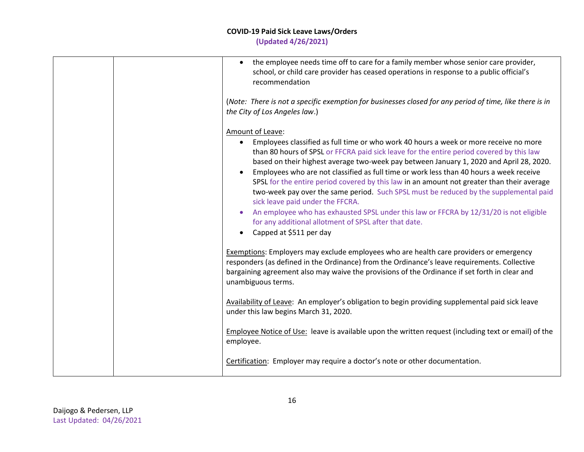| • the employee needs time off to care for a family member whose senior care provider,<br>school, or child care provider has ceased operations in response to a public official's<br>recommendation<br>(Note: There is not a specific exemption for businesses closed for any period of time, like there is in<br>the City of Los Angeles law.)                                                                                                                                                                                                                                                                                                                                                                                                                                                                                 |
|--------------------------------------------------------------------------------------------------------------------------------------------------------------------------------------------------------------------------------------------------------------------------------------------------------------------------------------------------------------------------------------------------------------------------------------------------------------------------------------------------------------------------------------------------------------------------------------------------------------------------------------------------------------------------------------------------------------------------------------------------------------------------------------------------------------------------------|
| Amount of Leave:<br>Employees classified as full time or who work 40 hours a week or more receive no more<br>$\bullet$<br>than 80 hours of SPSL or FFCRA paid sick leave for the entire period covered by this law<br>based on their highest average two-week pay between January 1, 2020 and April 28, 2020.<br>Employees who are not classified as full time or work less than 40 hours a week receive<br>SPSL for the entire period covered by this law in an amount not greater than their average<br>two-week pay over the same period. Such SPSL must be reduced by the supplemental paid<br>sick leave paid under the FFCRA.<br>An employee who has exhausted SPSL under this law or FFCRA by 12/31/20 is not eligible<br>for any additional allotment of SPSL after that date.<br>Capped at \$511 per day<br>$\bullet$ |
| Exemptions: Employers may exclude employees who are health care providers or emergency<br>responders (as defined in the Ordinance) from the Ordinance's leave requirements. Collective<br>bargaining agreement also may waive the provisions of the Ordinance if set forth in clear and<br>unambiguous terms.                                                                                                                                                                                                                                                                                                                                                                                                                                                                                                                  |
| Availability of Leave: An employer's obligation to begin providing supplemental paid sick leave<br>under this law begins March 31, 2020.                                                                                                                                                                                                                                                                                                                                                                                                                                                                                                                                                                                                                                                                                       |
| Employee Notice of Use: leave is available upon the written request (including text or email) of the<br>employee.                                                                                                                                                                                                                                                                                                                                                                                                                                                                                                                                                                                                                                                                                                              |
| Certification: Employer may require a doctor's note or other documentation.                                                                                                                                                                                                                                                                                                                                                                                                                                                                                                                                                                                                                                                                                                                                                    |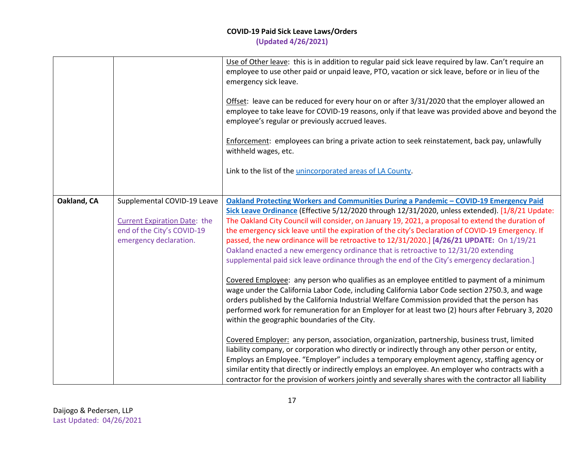|             |                                                                                                                            | Use of Other leave: this is in addition to regular paid sick leave required by law. Can't require an<br>employee to use other paid or unpaid leave, PTO, vacation or sick leave, before or in lieu of the<br>emergency sick leave.<br>Offset: leave can be reduced for every hour on or after 3/31/2020 that the employer allowed an<br>employee to take leave for COVID-19 reasons, only if that leave was provided above and beyond the<br>employee's regular or previously accrued leaves.                                                                                                                                                                                           |
|-------------|----------------------------------------------------------------------------------------------------------------------------|-----------------------------------------------------------------------------------------------------------------------------------------------------------------------------------------------------------------------------------------------------------------------------------------------------------------------------------------------------------------------------------------------------------------------------------------------------------------------------------------------------------------------------------------------------------------------------------------------------------------------------------------------------------------------------------------|
|             |                                                                                                                            | Enforcement: employees can bring a private action to seek reinstatement, back pay, unlawfully<br>withheld wages, etc.                                                                                                                                                                                                                                                                                                                                                                                                                                                                                                                                                                   |
|             |                                                                                                                            | Link to the list of the unincorporated areas of LA County.                                                                                                                                                                                                                                                                                                                                                                                                                                                                                                                                                                                                                              |
| Oakland, CA | Supplemental COVID-19 Leave<br><b>Current Expiration Date: the</b><br>end of the City's COVID-19<br>emergency declaration. | Oakland Protecting Workers and Communities During a Pandemic - COVID-19 Emergency Paid<br>Sick Leave Ordinance (Effective 5/12/2020 through 12/31/2020, unless extended). [1/8/21 Update:<br>The Oakland City Council will consider, on January 19, 2021, a proposal to extend the duration of<br>the emergency sick leave until the expiration of the city's Declaration of COVID-19 Emergency. If<br>passed, the new ordinance will be retroactive to 12/31/2020.] [4/26/21 UPDATE: On 1/19/21<br>Oakland enacted a new emergency ordinance that is retroactive to 12/31/20 extending<br>supplemental paid sick leave ordinance through the end of the City's emergency declaration.] |
|             |                                                                                                                            | Covered Employee: any person who qualifies as an employee entitled to payment of a minimum<br>wage under the California Labor Code, including California Labor Code section 2750.3, and wage<br>orders published by the California Industrial Welfare Commission provided that the person has<br>performed work for remuneration for an Employer for at least two (2) hours after February 3, 2020<br>within the geographic boundaries of the City.                                                                                                                                                                                                                                     |
|             |                                                                                                                            | Covered Employer: any person, association, organization, partnership, business trust, limited<br>liability company, or corporation who directly or indirectly through any other person or entity,<br>Employs an Employee. "Employer" includes a temporary employment agency, staffing agency or<br>similar entity that directly or indirectly employs an employee. An employer who contracts with a<br>contractor for the provision of workers jointly and severally shares with the contractor all liability                                                                                                                                                                           |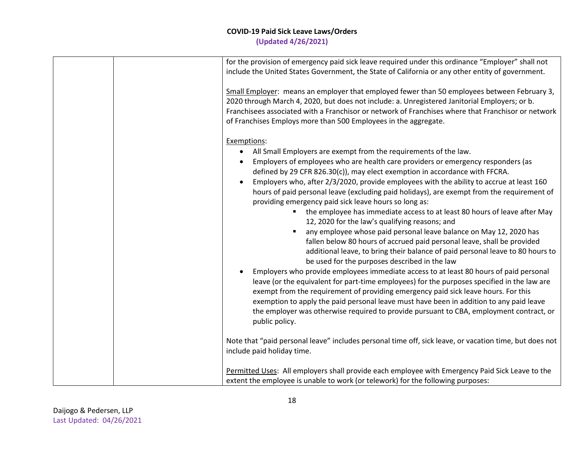| for the provision of emergency paid sick leave required under this ordinance "Employer" shall not<br>include the United States Government, the State of California or any other entity of government.                                                                                                                                                                                                                                                                                                                                                                                                                                                                                                                                                                                                                                                                                                                                                                                                                                                                                                                                                                                                                                                                                                                                                                                                           |
|-----------------------------------------------------------------------------------------------------------------------------------------------------------------------------------------------------------------------------------------------------------------------------------------------------------------------------------------------------------------------------------------------------------------------------------------------------------------------------------------------------------------------------------------------------------------------------------------------------------------------------------------------------------------------------------------------------------------------------------------------------------------------------------------------------------------------------------------------------------------------------------------------------------------------------------------------------------------------------------------------------------------------------------------------------------------------------------------------------------------------------------------------------------------------------------------------------------------------------------------------------------------------------------------------------------------------------------------------------------------------------------------------------------------|
| Small Employer: means an employer that employed fewer than 50 employees between February 3,<br>2020 through March 4, 2020, but does not include: a. Unregistered Janitorial Employers; or b.<br>Franchisees associated with a Franchisor or network of Franchises where that Franchisor or network<br>of Franchises Employs more than 500 Employees in the aggregate.                                                                                                                                                                                                                                                                                                                                                                                                                                                                                                                                                                                                                                                                                                                                                                                                                                                                                                                                                                                                                                           |
| Exemptions:<br>All Small Employers are exempt from the requirements of the law.<br>Employers of employees who are health care providers or emergency responders (as<br>defined by 29 CFR 826.30(c)), may elect exemption in accordance with FFCRA.<br>Employers who, after 2/3/2020, provide employees with the ability to accrue at least 160<br>hours of paid personal leave (excluding paid holidays), are exempt from the requirement of<br>providing emergency paid sick leave hours so long as:<br>the employee has immediate access to at least 80 hours of leave after May<br>12, 2020 for the law's qualifying reasons; and<br>any employee whose paid personal leave balance on May 12, 2020 has<br>fallen below 80 hours of accrued paid personal leave, shall be provided<br>additional leave, to bring their balance of paid personal leave to 80 hours to<br>be used for the purposes described in the law<br>Employers who provide employees immediate access to at least 80 hours of paid personal<br>leave (or the equivalent for part-time employees) for the purposes specified in the law are<br>exempt from the requirement of providing emergency paid sick leave hours. For this<br>exemption to apply the paid personal leave must have been in addition to any paid leave<br>the employer was otherwise required to provide pursuant to CBA, employment contract, or<br>public policy. |
| Note that "paid personal leave" includes personal time off, sick leave, or vacation time, but does not<br>include paid holiday time.                                                                                                                                                                                                                                                                                                                                                                                                                                                                                                                                                                                                                                                                                                                                                                                                                                                                                                                                                                                                                                                                                                                                                                                                                                                                            |
| Permitted Uses: All employers shall provide each employee with Emergency Paid Sick Leave to the<br>extent the employee is unable to work (or telework) for the following purposes:                                                                                                                                                                                                                                                                                                                                                                                                                                                                                                                                                                                                                                                                                                                                                                                                                                                                                                                                                                                                                                                                                                                                                                                                                              |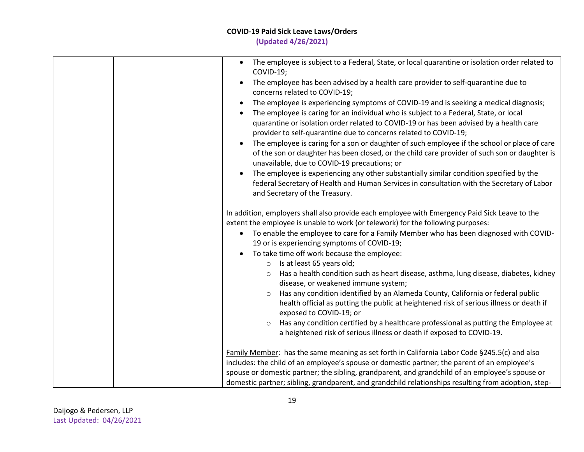## **COVID-19 Paid Sick Leave Laws/Orders**

**(Updated 4/26/2021)**

| The employee is subject to a Federal, State, or local quarantine or isolation order related to<br>COVID-19;<br>The employee has been advised by a health care provider to self-quarantine due to<br>concerns related to COVID-19;<br>The employee is experiencing symptoms of COVID-19 and is seeking a medical diagnosis;<br>٠<br>The employee is caring for an individual who is subject to a Federal, State, or local<br>quarantine or isolation order related to COVID-19 or has been advised by a health care<br>provider to self-quarantine due to concerns related to COVID-19;<br>The employee is caring for a son or daughter of such employee if the school or place of care<br>of the son or daughter has been closed, or the child care provider of such son or daughter is<br>unavailable, due to COVID-19 precautions; or<br>The employee is experiencing any other substantially similar condition specified by the<br>federal Secretary of Health and Human Services in consultation with the Secretary of Labor<br>and Secretary of the Treasury. |
|--------------------------------------------------------------------------------------------------------------------------------------------------------------------------------------------------------------------------------------------------------------------------------------------------------------------------------------------------------------------------------------------------------------------------------------------------------------------------------------------------------------------------------------------------------------------------------------------------------------------------------------------------------------------------------------------------------------------------------------------------------------------------------------------------------------------------------------------------------------------------------------------------------------------------------------------------------------------------------------------------------------------------------------------------------------------|
| In addition, employers shall also provide each employee with Emergency Paid Sick Leave to the<br>extent the employee is unable to work (or telework) for the following purposes:<br>To enable the employee to care for a Family Member who has been diagnosed with COVID-<br>$\bullet$<br>19 or is experiencing symptoms of COVID-19;<br>To take time off work because the employee:<br>$\bullet$<br>$\circ$ Is at least 65 years old;<br>Has a health condition such as heart disease, asthma, lung disease, diabetes, kidney<br>$\circ$<br>disease, or weakened immune system;<br>Has any condition identified by an Alameda County, California or federal public<br>$\circ$<br>health official as putting the public at heightened risk of serious illness or death if<br>exposed to COVID-19; or<br>Has any condition certified by a healthcare professional as putting the Employee at<br>$\circ$<br>a heightened risk of serious illness or death if exposed to COVID-19.                                                                                    |
| Family Member: has the same meaning as set forth in California Labor Code §245.5(c) and also<br>includes: the child of an employee's spouse or domestic partner; the parent of an employee's<br>spouse or domestic partner; the sibling, grandparent, and grandchild of an employee's spouse or<br>domestic partner; sibling, grandparent, and grandchild relationships resulting from adoption, step-                                                                                                                                                                                                                                                                                                                                                                                                                                                                                                                                                                                                                                                             |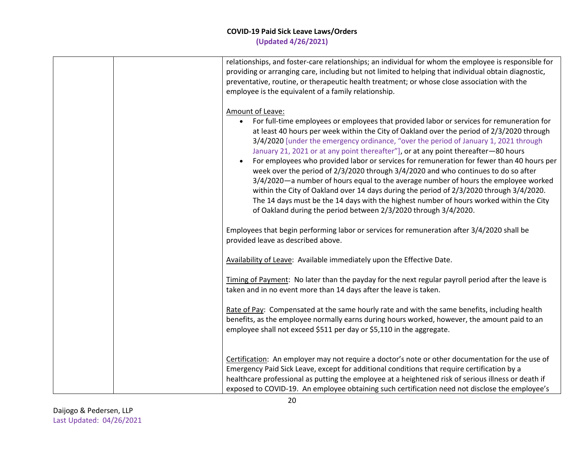|  | relationships, and foster-care relationships; an individual for whom the employee is responsible for<br>providing or arranging care, including but not limited to helping that individual obtain diagnostic,<br>preventative, routine, or therapeutic health treatment; or whose close association with the<br>employee is the equivalent of a family relationship.                                                                                                                                                                                                                                                                                                                                                                                                                                                                                                                                                                      |
|--|------------------------------------------------------------------------------------------------------------------------------------------------------------------------------------------------------------------------------------------------------------------------------------------------------------------------------------------------------------------------------------------------------------------------------------------------------------------------------------------------------------------------------------------------------------------------------------------------------------------------------------------------------------------------------------------------------------------------------------------------------------------------------------------------------------------------------------------------------------------------------------------------------------------------------------------|
|  | Amount of Leave:<br>For full-time employees or employees that provided labor or services for remuneration for<br>$\bullet$<br>at least 40 hours per week within the City of Oakland over the period of 2/3/2020 through<br>3/4/2020 [under the emergency ordinance, "over the period of January 1, 2021 through<br>January 21, 2021 or at any point thereafter"], or at any point thereafter-80 hours<br>For employees who provided labor or services for remuneration for fewer than 40 hours per<br>week over the period of 2/3/2020 through 3/4/2020 and who continues to do so after<br>3/4/2020—a number of hours equal to the average number of hours the employee worked<br>within the City of Oakland over 14 days during the period of 2/3/2020 through 3/4/2020.<br>The 14 days must be the 14 days with the highest number of hours worked within the City<br>of Oakland during the period between 2/3/2020 through 3/4/2020. |
|  | Employees that begin performing labor or services for remuneration after 3/4/2020 shall be<br>provided leave as described above.                                                                                                                                                                                                                                                                                                                                                                                                                                                                                                                                                                                                                                                                                                                                                                                                         |
|  | Availability of Leave: Available immediately upon the Effective Date.                                                                                                                                                                                                                                                                                                                                                                                                                                                                                                                                                                                                                                                                                                                                                                                                                                                                    |
|  | Timing of Payment: No later than the payday for the next regular payroll period after the leave is<br>taken and in no event more than 14 days after the leave is taken.                                                                                                                                                                                                                                                                                                                                                                                                                                                                                                                                                                                                                                                                                                                                                                  |
|  | Rate of Pay: Compensated at the same hourly rate and with the same benefits, including health<br>benefits, as the employee normally earns during hours worked, however, the amount paid to an<br>employee shall not exceed \$511 per day or \$5,110 in the aggregate.                                                                                                                                                                                                                                                                                                                                                                                                                                                                                                                                                                                                                                                                    |
|  | Certification: An employer may not require a doctor's note or other documentation for the use of<br>Emergency Paid Sick Leave, except for additional conditions that require certification by a<br>healthcare professional as putting the employee at a heightened risk of serious illness or death if<br>exposed to COVID-19. An employee obtaining such certification need not disclose the employee's                                                                                                                                                                                                                                                                                                                                                                                                                                                                                                                                 |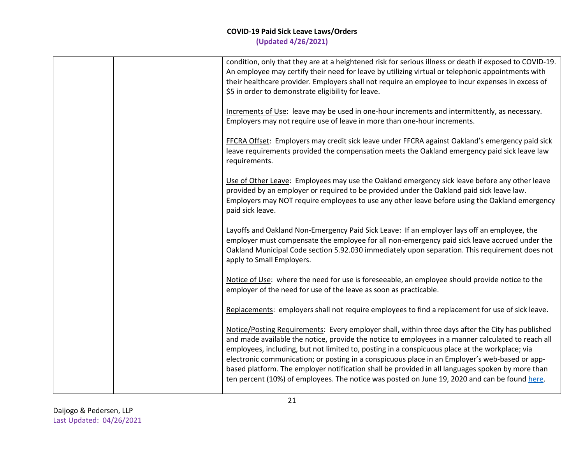|  | condition, only that they are at a heightened risk for serious illness or death if exposed to COVID-19.<br>An employee may certify their need for leave by utilizing virtual or telephonic appointments with<br>their healthcare provider. Employers shall not require an employee to incur expenses in excess of<br>\$5 in order to demonstrate eligibility for leave.                                                                                                                                                                                                                                          |
|--|------------------------------------------------------------------------------------------------------------------------------------------------------------------------------------------------------------------------------------------------------------------------------------------------------------------------------------------------------------------------------------------------------------------------------------------------------------------------------------------------------------------------------------------------------------------------------------------------------------------|
|  | Increments of Use: leave may be used in one-hour increments and intermittently, as necessary.<br>Employers may not require use of leave in more than one-hour increments.                                                                                                                                                                                                                                                                                                                                                                                                                                        |
|  | FFCRA Offset: Employers may credit sick leave under FFCRA against Oakland's emergency paid sick<br>leave requirements provided the compensation meets the Oakland emergency paid sick leave law<br>requirements.                                                                                                                                                                                                                                                                                                                                                                                                 |
|  | Use of Other Leave: Employees may use the Oakland emergency sick leave before any other leave<br>provided by an employer or required to be provided under the Oakland paid sick leave law.<br>Employers may NOT require employees to use any other leave before using the Oakland emergency<br>paid sick leave.                                                                                                                                                                                                                                                                                                  |
|  | Layoffs and Oakland Non-Emergency Paid Sick Leave: If an employer lays off an employee, the<br>employer must compensate the employee for all non-emergency paid sick leave accrued under the<br>Oakland Municipal Code section 5.92.030 immediately upon separation. This requirement does not<br>apply to Small Employers.                                                                                                                                                                                                                                                                                      |
|  | Notice of Use: where the need for use is foreseeable, an employee should provide notice to the<br>employer of the need for use of the leave as soon as practicable.                                                                                                                                                                                                                                                                                                                                                                                                                                              |
|  | Replacements: employers shall not require employees to find a replacement for use of sick leave.                                                                                                                                                                                                                                                                                                                                                                                                                                                                                                                 |
|  | Notice/Posting Requirements: Every employer shall, within three days after the City has published<br>and made available the notice, provide the notice to employees in a manner calculated to reach all<br>employees, including, but not limited to, posting in a conspicuous place at the workplace; via<br>electronic communication; or posting in a conspicuous place in an Employer's web-based or app-<br>based platform. The employer notification shall be provided in all languages spoken by more than<br>ten percent (10%) of employees. The notice was posted on June 19, 2020 and can be found here. |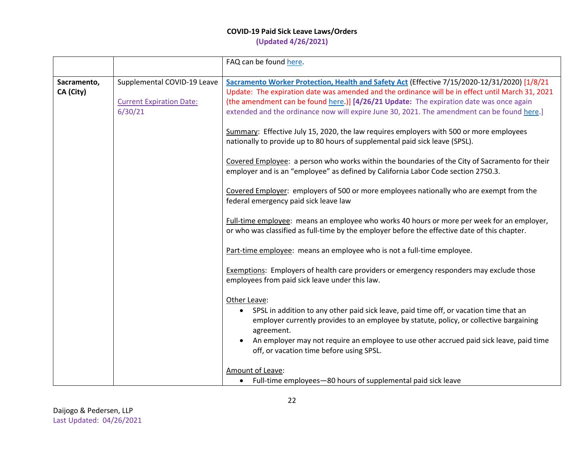|                          |                                                                           | FAQ can be found here.                                                                                                                                                                                                                                                                                                                                                                                                                                                                                                                                                                                                                                                                                                                                                                                                                                                                                                                                                                                                                                                                          |
|--------------------------|---------------------------------------------------------------------------|-------------------------------------------------------------------------------------------------------------------------------------------------------------------------------------------------------------------------------------------------------------------------------------------------------------------------------------------------------------------------------------------------------------------------------------------------------------------------------------------------------------------------------------------------------------------------------------------------------------------------------------------------------------------------------------------------------------------------------------------------------------------------------------------------------------------------------------------------------------------------------------------------------------------------------------------------------------------------------------------------------------------------------------------------------------------------------------------------|
| Sacramento,<br>CA (City) | Supplemental COVID-19 Leave<br><b>Current Expiration Date:</b><br>6/30/21 | Sacramento Worker Protection, Health and Safety Act (Effective 7/15/2020-12/31/2020) [1/8/21<br>Update: The expiration date was amended and the ordinance will be in effect until March 31, 2021<br>(the amendment can be found here.)] [4/26/21 Update: The expiration date was once again<br>extended and the ordinance now will expire June 30, 2021. The amendment can be found here.]<br>Summary: Effective July 15, 2020, the law requires employers with 500 or more employees<br>nationally to provide up to 80 hours of supplemental paid sick leave (SPSL).<br>Covered Employee: a person who works within the boundaries of the City of Sacramento for their<br>employer and is an "employee" as defined by California Labor Code section 2750.3.<br>Covered Employer: employers of 500 or more employees nationally who are exempt from the<br>federal emergency paid sick leave law<br>Full-time employee: means an employee who works 40 hours or more per week for an employer,<br>or who was classified as full-time by the employer before the effective date of this chapter. |
|                          |                                                                           | Part-time employee: means an employee who is not a full-time employee.<br><b>Exemptions:</b> Employers of health care providers or emergency responders may exclude those<br>employees from paid sick leave under this law.<br>Other Leave:<br>• SPSL in addition to any other paid sick leave, paid time off, or vacation time that an<br>employer currently provides to an employee by statute, policy, or collective bargaining<br>agreement.<br>An employer may not require an employee to use other accrued paid sick leave, paid time<br>off, or vacation time before using SPSL.<br>Amount of Leave:<br>Full-time employees-80 hours of supplemental paid sick leave                                                                                                                                                                                                                                                                                                                                                                                                                     |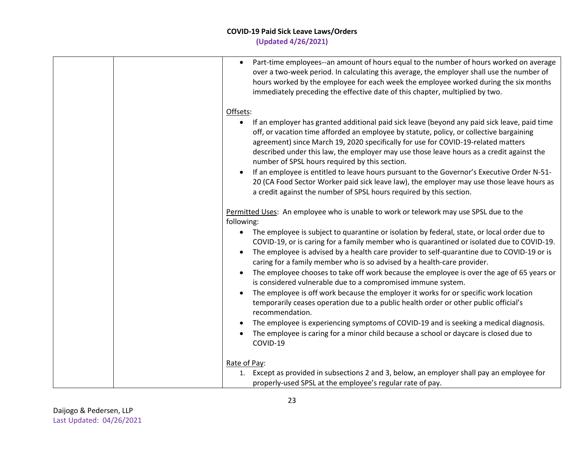| Part-time employees--an amount of hours equal to the number of hours worked on average<br>$\bullet$<br>over a two-week period. In calculating this average, the employer shall use the number of<br>hours worked by the employee for each week the employee worked during the six months<br>immediately preceding the effective date of this chapter, multiplied by two.                                                   |
|----------------------------------------------------------------------------------------------------------------------------------------------------------------------------------------------------------------------------------------------------------------------------------------------------------------------------------------------------------------------------------------------------------------------------|
| Offsets:                                                                                                                                                                                                                                                                                                                                                                                                                   |
| If an employer has granted additional paid sick leave (beyond any paid sick leave, paid time<br>off, or vacation time afforded an employee by statute, policy, or collective bargaining<br>agreement) since March 19, 2020 specifically for use for COVID-19-related matters<br>described under this law, the employer may use those leave hours as a credit against the<br>number of SPSL hours required by this section. |
| If an employee is entitled to leave hours pursuant to the Governor's Executive Order N-51-<br>20 (CA Food Sector Worker paid sick leave law), the employer may use those leave hours as<br>a credit against the number of SPSL hours required by this section.                                                                                                                                                             |
| Permitted Uses: An employee who is unable to work or telework may use SPSL due to the<br>following:                                                                                                                                                                                                                                                                                                                        |
| The employee is subject to quarantine or isolation by federal, state, or local order due to<br>COVID-19, or is caring for a family member who is quarantined or isolated due to COVID-19.                                                                                                                                                                                                                                  |
| The employee is advised by a health care provider to self-quarantine due to COVID-19 or is<br>caring for a family member who is so advised by a health-care provider.                                                                                                                                                                                                                                                      |
| The employee chooses to take off work because the employee is over the age of 65 years or<br>is considered vulnerable due to a compromised immune system.                                                                                                                                                                                                                                                                  |
| The employee is off work because the employer it works for or specific work location<br>temporarily ceases operation due to a public health order or other public official's<br>recommendation.                                                                                                                                                                                                                            |
| The employee is experiencing symptoms of COVID-19 and is seeking a medical diagnosis.<br>The employee is caring for a minor child because a school or daycare is closed due to<br>COVID-19                                                                                                                                                                                                                                 |
| Rate of Pay:                                                                                                                                                                                                                                                                                                                                                                                                               |
| Except as provided in subsections 2 and 3, below, an employer shall pay an employee for<br>1.<br>properly-used SPSL at the employee's regular rate of pay.                                                                                                                                                                                                                                                                 |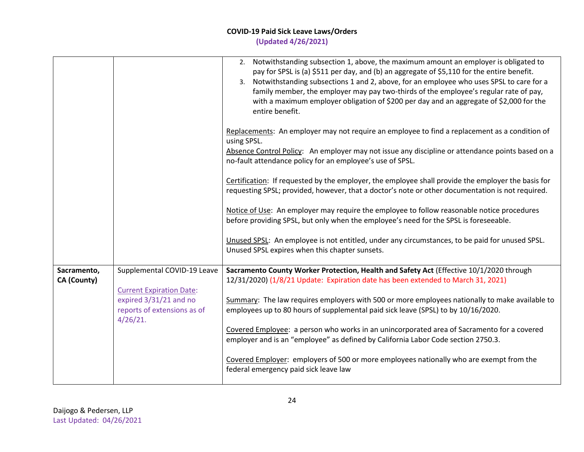|                                   |                                                                                                         | 2. Notwithstanding subsection 1, above, the maximum amount an employer is obligated to<br>pay for SPSL is (a) \$511 per day, and (b) an aggregate of \$5,110 for the entire benefit.<br>3. Notwithstanding subsections 1 and 2, above, for an employee who uses SPSL to care for a<br>family member, the employer may pay two-thirds of the employee's regular rate of pay,<br>with a maximum employer obligation of \$200 per day and an aggregate of \$2,000 for the<br>entire benefit. |
|-----------------------------------|---------------------------------------------------------------------------------------------------------|-------------------------------------------------------------------------------------------------------------------------------------------------------------------------------------------------------------------------------------------------------------------------------------------------------------------------------------------------------------------------------------------------------------------------------------------------------------------------------------------|
|                                   |                                                                                                         | Replacements: An employer may not require an employee to find a replacement as a condition of<br>using SPSL.<br>Absence Control Policy: An employer may not issue any discipline or attendance points based on a<br>no-fault attendance policy for an employee's use of SPSL.                                                                                                                                                                                                             |
|                                   |                                                                                                         | Certification: If requested by the employer, the employee shall provide the employer the basis for<br>requesting SPSL; provided, however, that a doctor's note or other documentation is not required.                                                                                                                                                                                                                                                                                    |
|                                   |                                                                                                         | Notice of Use: An employer may require the employee to follow reasonable notice procedures<br>before providing SPSL, but only when the employee's need for the SPSL is foreseeable.                                                                                                                                                                                                                                                                                                       |
|                                   |                                                                                                         | Unused SPSL: An employee is not entitled, under any circumstances, to be paid for unused SPSL.<br>Unused SPSL expires when this chapter sunsets.                                                                                                                                                                                                                                                                                                                                          |
| Sacramento,<br><b>CA (County)</b> | Supplemental COVID-19 Leave                                                                             | Sacramento County Worker Protection, Health and Safety Act (Effective 10/1/2020 through<br>12/31/2020) (1/8/21 Update: Expiration date has been extended to March 31, 2021)                                                                                                                                                                                                                                                                                                               |
|                                   | <b>Current Expiration Date:</b><br>expired 3/31/21 and no<br>reports of extensions as of<br>$4/26/21$ . | Summary: The law requires employers with 500 or more employees nationally to make available to<br>employees up to 80 hours of supplemental paid sick leave (SPSL) to by 10/16/2020.                                                                                                                                                                                                                                                                                                       |
|                                   |                                                                                                         | Covered Employee: a person who works in an unincorporated area of Sacramento for a covered<br>employer and is an "employee" as defined by California Labor Code section 2750.3.                                                                                                                                                                                                                                                                                                           |
|                                   |                                                                                                         | Covered Employer: employers of 500 or more employees nationally who are exempt from the<br>federal emergency paid sick leave law                                                                                                                                                                                                                                                                                                                                                          |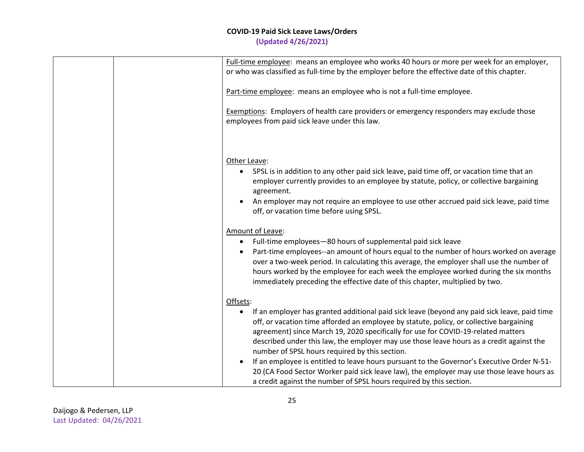|  | Full-time employee: means an employee who works 40 hours or more per week for an employer,<br>or who was classified as full-time by the employer before the effective date of this chapter.                                                                                                                                                                                                                                                                                                                                                                                                                                                                                                              |
|--|----------------------------------------------------------------------------------------------------------------------------------------------------------------------------------------------------------------------------------------------------------------------------------------------------------------------------------------------------------------------------------------------------------------------------------------------------------------------------------------------------------------------------------------------------------------------------------------------------------------------------------------------------------------------------------------------------------|
|  | Part-time employee: means an employee who is not a full-time employee.                                                                                                                                                                                                                                                                                                                                                                                                                                                                                                                                                                                                                                   |
|  | <b>Exemptions:</b> Employers of health care providers or emergency responders may exclude those<br>employees from paid sick leave under this law.                                                                                                                                                                                                                                                                                                                                                                                                                                                                                                                                                        |
|  | Other Leave:<br>SPSL is in addition to any other paid sick leave, paid time off, or vacation time that an<br>employer currently provides to an employee by statute, policy, or collective bargaining<br>agreement.<br>An employer may not require an employee to use other accrued paid sick leave, paid time<br>off, or vacation time before using SPSL.                                                                                                                                                                                                                                                                                                                                                |
|  | Amount of Leave:<br>Full-time employees-80 hours of supplemental paid sick leave<br>$\bullet$<br>Part-time employees--an amount of hours equal to the number of hours worked on average<br>$\bullet$<br>over a two-week period. In calculating this average, the employer shall use the number of<br>hours worked by the employee for each week the employee worked during the six months<br>immediately preceding the effective date of this chapter, multiplied by two.                                                                                                                                                                                                                                |
|  | Offsets:<br>If an employer has granted additional paid sick leave (beyond any paid sick leave, paid time<br>off, or vacation time afforded an employee by statute, policy, or collective bargaining<br>agreement) since March 19, 2020 specifically for use for COVID-19-related matters<br>described under this law, the employer may use those leave hours as a credit against the<br>number of SPSL hours required by this section.<br>If an employee is entitled to leave hours pursuant to the Governor's Executive Order N-51-<br>20 (CA Food Sector Worker paid sick leave law), the employer may use those leave hours as<br>a credit against the number of SPSL hours required by this section. |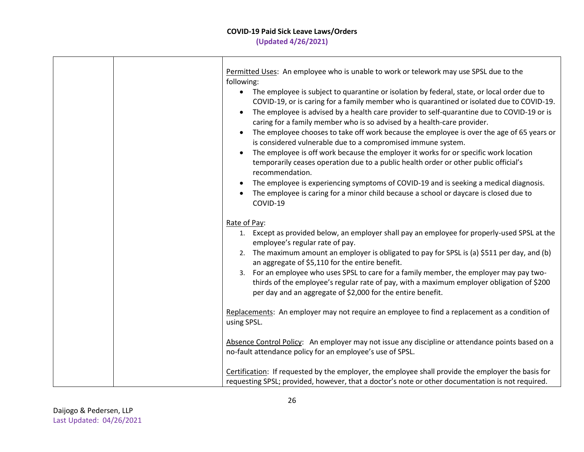|  | Permitted Uses: An employee who is unable to work or telework may use SPSL due to the<br>following:                                                                                                                                                                                                                                                                                                                                                                                                                                                                                                                                                                                                                                                                                                                                                                                                                                                                                   |
|--|---------------------------------------------------------------------------------------------------------------------------------------------------------------------------------------------------------------------------------------------------------------------------------------------------------------------------------------------------------------------------------------------------------------------------------------------------------------------------------------------------------------------------------------------------------------------------------------------------------------------------------------------------------------------------------------------------------------------------------------------------------------------------------------------------------------------------------------------------------------------------------------------------------------------------------------------------------------------------------------|
|  | The employee is subject to quarantine or isolation by federal, state, or local order due to<br>$\bullet$<br>COVID-19, or is caring for a family member who is quarantined or isolated due to COVID-19.<br>The employee is advised by a health care provider to self-quarantine due to COVID-19 or is<br>$\bullet$<br>caring for a family member who is so advised by a health-care provider.<br>The employee chooses to take off work because the employee is over the age of 65 years or<br>$\bullet$<br>is considered vulnerable due to a compromised immune system.<br>The employee is off work because the employer it works for or specific work location<br>$\bullet$<br>temporarily ceases operation due to a public health order or other public official's<br>recommendation.<br>The employee is experiencing symptoms of COVID-19 and is seeking a medical diagnosis.<br>$\bullet$<br>The employee is caring for a minor child because a school or daycare is closed due to |
|  | COVID-19                                                                                                                                                                                                                                                                                                                                                                                                                                                                                                                                                                                                                                                                                                                                                                                                                                                                                                                                                                              |
|  | Rate of Pay:<br>1. Except as provided below, an employer shall pay an employee for properly-used SPSL at the                                                                                                                                                                                                                                                                                                                                                                                                                                                                                                                                                                                                                                                                                                                                                                                                                                                                          |
|  | employee's regular rate of pay.<br>2. The maximum amount an employer is obligated to pay for SPSL is (a) \$511 per day, and (b)<br>an aggregate of \$5,110 for the entire benefit.                                                                                                                                                                                                                                                                                                                                                                                                                                                                                                                                                                                                                                                                                                                                                                                                    |
|  | For an employee who uses SPSL to care for a family member, the employer may pay two-<br>3.<br>thirds of the employee's regular rate of pay, with a maximum employer obligation of \$200<br>per day and an aggregate of \$2,000 for the entire benefit.                                                                                                                                                                                                                                                                                                                                                                                                                                                                                                                                                                                                                                                                                                                                |
|  | Replacements: An employer may not require an employee to find a replacement as a condition of<br>using SPSL.                                                                                                                                                                                                                                                                                                                                                                                                                                                                                                                                                                                                                                                                                                                                                                                                                                                                          |
|  | Absence Control Policy: An employer may not issue any discipline or attendance points based on a<br>no-fault attendance policy for an employee's use of SPSL.                                                                                                                                                                                                                                                                                                                                                                                                                                                                                                                                                                                                                                                                                                                                                                                                                         |
|  | Certification: If requested by the employer, the employee shall provide the employer the basis for<br>requesting SPSL; provided, however, that a doctor's note or other documentation is not required.                                                                                                                                                                                                                                                                                                                                                                                                                                                                                                                                                                                                                                                                                                                                                                                |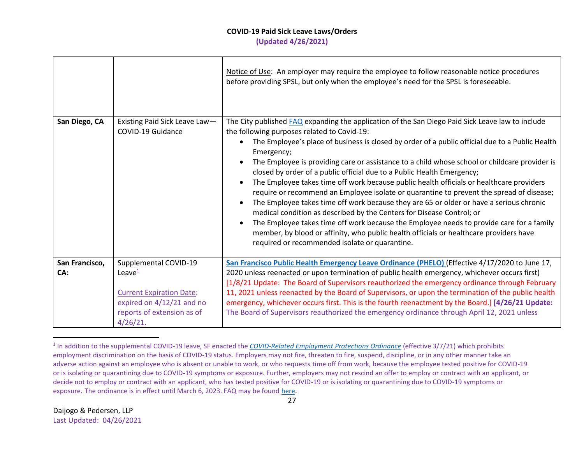# **COVID-19 Paid Sick Leave Laws/Orders**

**(Updated 4/26/2021)**

|                |                                                              | Notice of Use: An employer may require the employee to follow reasonable notice procedures<br>before providing SPSL, but only when the employee's need for the SPSL is foreseeable.                                                                                                                                                                                                                                                                                                                                                                                                                                                                                                                                                                                                                                                                                                                                                                                                                                                             |
|----------------|--------------------------------------------------------------|-------------------------------------------------------------------------------------------------------------------------------------------------------------------------------------------------------------------------------------------------------------------------------------------------------------------------------------------------------------------------------------------------------------------------------------------------------------------------------------------------------------------------------------------------------------------------------------------------------------------------------------------------------------------------------------------------------------------------------------------------------------------------------------------------------------------------------------------------------------------------------------------------------------------------------------------------------------------------------------------------------------------------------------------------|
| San Diego, CA  | Existing Paid Sick Leave Law-<br>COVID-19 Guidance           | The City published FAQ expanding the application of the San Diego Paid Sick Leave law to include<br>the following purposes related to Covid-19:<br>The Employee's place of business is closed by order of a public official due to a Public Health<br>Emergency;<br>The Employee is providing care or assistance to a child whose school or childcare provider is<br>closed by order of a public official due to a Public Health Emergency;<br>The Employee takes time off work because public health officials or healthcare providers<br>require or recommend an Employee isolate or quarantine to prevent the spread of disease;<br>The Employee takes time off work because they are 65 or older or have a serious chronic<br>medical condition as described by the Centers for Disease Control; or<br>The Employee takes time off work because the Employee needs to provide care for a family<br>member, by blood or affinity, who public health officials or healthcare providers have<br>required or recommended isolate or quarantine. |
| San Francisco, | Supplemental COVID-19                                        | San Francisco Public Health Emergency Leave Ordinance (PHELO) (Effective 4/17/2020 to June 17,                                                                                                                                                                                                                                                                                                                                                                                                                                                                                                                                                                                                                                                                                                                                                                                                                                                                                                                                                  |
| CA:            | Leave $1$                                                    | 2020 unless reenacted or upon termination of public health emergency, whichever occurs first)<br>[1/8/21 Update: The Board of Supervisors reauthorized the emergency ordinance through February                                                                                                                                                                                                                                                                                                                                                                                                                                                                                                                                                                                                                                                                                                                                                                                                                                                 |
|                | <b>Current Expiration Date:</b><br>expired on 4/12/21 and no | 11, 2021 unless reenacted by the Board of Supervisors, or upon the termination of the public health<br>emergency, whichever occurs first. This is the fourth reenactment by the Board.] [4/26/21 Update:                                                                                                                                                                                                                                                                                                                                                                                                                                                                                                                                                                                                                                                                                                                                                                                                                                        |
|                | reports of extension as of<br>$4/26/21$ .                    | The Board of Supervisors reauthorized the emergency ordinance through April 12, 2021 unless                                                                                                                                                                                                                                                                                                                                                                                                                                                                                                                                                                                                                                                                                                                                                                                                                                                                                                                                                     |

<sup>&</sup>lt;sup>1</sup> In addition to the supplemental COVID-19 leave, SF enacted the *[COVID-Related Employment Protections Ordinance](https://sfgov.org/olse/sites/default/files/Leg%20Final-1.pdf)* (effective 3/7/21) which prohibits employment discrimination on the basis of COVID-19 status. Employers may not fire, threaten to fire, suspend, discipline, or in any other manner take an adverse action against an employee who is absent or unable to work, or who requests time off from work, because the employee tested positive for COVID-19 or is isolating or quarantining due to COVID-19 symptoms or exposure. Further, employers may not rescind an offer to employ or contract with an applicant, or decide not to employ or contract with an applicant, who has tested positive for COVID-19 or is isolating or quarantining due to COVID-19 symptoms or exposure. The ordinance is in effect until March 6, 2023. FAQ may be foun[d here.](https://sfgov.org/olse/sites/default/files/CEPO%20FAQs%2003.19.21_0.pdf)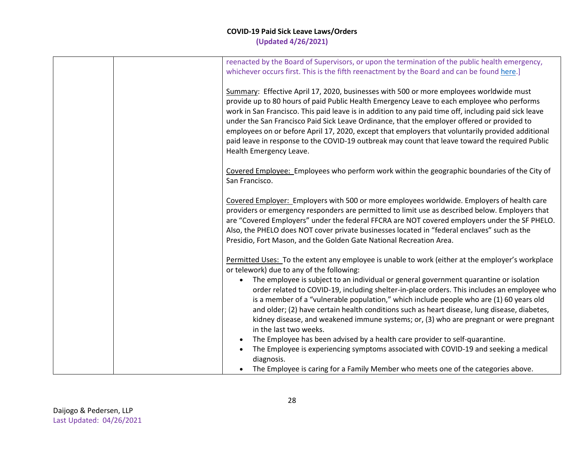|  | reenacted by the Board of Supervisors, or upon the termination of the public health emergency,                                                                                                       |
|--|------------------------------------------------------------------------------------------------------------------------------------------------------------------------------------------------------|
|  | whichever occurs first. This is the fifth reenactment by the Board and can be found here.]                                                                                                           |
|  | Summary: Effective April 17, 2020, businesses with 500 or more employees worldwide must                                                                                                              |
|  | provide up to 80 hours of paid Public Health Emergency Leave to each employee who performs                                                                                                           |
|  | work in San Francisco. This paid leave is in addition to any paid time off, including paid sick leave<br>under the San Francisco Paid Sick Leave Ordinance, that the employer offered or provided to |
|  | employees on or before April 17, 2020, except that employers that voluntarily provided additional                                                                                                    |
|  | paid leave in response to the COVID-19 outbreak may count that leave toward the required Public                                                                                                      |
|  | Health Emergency Leave.                                                                                                                                                                              |
|  | Covered Employee: Employees who perform work within the geographic boundaries of the City of                                                                                                         |
|  | San Francisco.                                                                                                                                                                                       |
|  | Covered Employer: Employers with 500 or more employees worldwide. Employers of health care                                                                                                           |
|  | providers or emergency responders are permitted to limit use as described below. Employers that                                                                                                      |
|  | are "Covered Employers" under the federal FFCRA are NOT covered employers under the SF PHELO.                                                                                                        |
|  | Also, the PHELO does NOT cover private businesses located in "federal enclaves" such as the<br>Presidio, Fort Mason, and the Golden Gate National Recreation Area.                                   |
|  |                                                                                                                                                                                                      |
|  | Permitted Uses: To the extent any employee is unable to work (either at the employer's workplace                                                                                                     |
|  | or telework) due to any of the following:                                                                                                                                                            |
|  | The employee is subject to an individual or general government quarantine or isolation<br>order related to COVID-19, including shelter-in-place orders. This includes an employee who                |
|  | is a member of a "vulnerable population," which include people who are (1) 60 years old                                                                                                              |
|  | and older; (2) have certain health conditions such as heart disease, lung disease, diabetes,                                                                                                         |
|  | kidney disease, and weakened immune systems; or, (3) who are pregnant or were pregnant                                                                                                               |
|  | in the last two weeks.<br>The Employee has been advised by a health care provider to self-quarantine.                                                                                                |
|  | The Employee is experiencing symptoms associated with COVID-19 and seeking a medical                                                                                                                 |
|  | diagnosis.                                                                                                                                                                                           |
|  | The Employee is caring for a Family Member who meets one of the categories above.                                                                                                                    |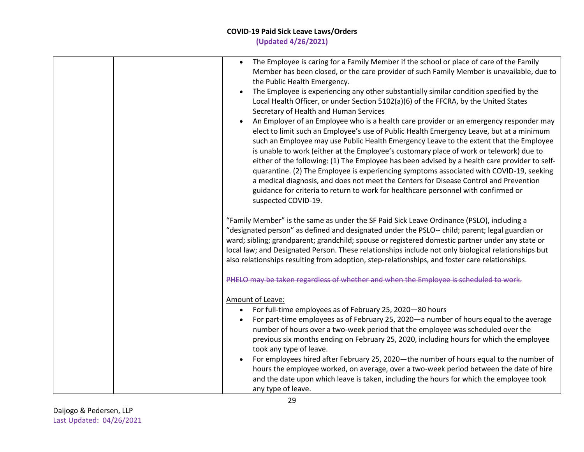| The Employee is caring for a Family Member if the school or place of care of the Family<br>$\bullet$<br>Member has been closed, or the care provider of such Family Member is unavailable, due to<br>the Public Health Emergency.<br>The Employee is experiencing any other substantially similar condition specified by the<br>Local Health Officer, or under Section 5102(a)(6) of the FFCRA, by the United States<br>Secretary of Health and Human Services<br>An Employer of an Employee who is a health care provider or an emergency responder may<br>elect to limit such an Employee's use of Public Health Emergency Leave, but at a minimum<br>such an Employee may use Public Health Emergency Leave to the extent that the Employee<br>is unable to work (either at the Employee's customary place of work or telework) due to<br>either of the following: (1) The Employee has been advised by a health care provider to self-<br>quarantine. (2) The Employee is experiencing symptoms associated with COVID-19, seeking<br>a medical diagnosis, and does not meet the Centers for Disease Control and Prevention<br>guidance for criteria to return to work for healthcare personnel with confirmed or<br>suspected COVID-19. |
|---------------------------------------------------------------------------------------------------------------------------------------------------------------------------------------------------------------------------------------------------------------------------------------------------------------------------------------------------------------------------------------------------------------------------------------------------------------------------------------------------------------------------------------------------------------------------------------------------------------------------------------------------------------------------------------------------------------------------------------------------------------------------------------------------------------------------------------------------------------------------------------------------------------------------------------------------------------------------------------------------------------------------------------------------------------------------------------------------------------------------------------------------------------------------------------------------------------------------------------------|
| "Family Member" is the same as under the SF Paid Sick Leave Ordinance (PSLO), including a<br>"designated person" as defined and designated under the PSLO-- child; parent; legal guardian or<br>ward; sibling; grandparent; grandchild; spouse or registered domestic partner under any state or<br>local law; and Designated Person. These relationships include not only biological relationships but<br>also relationships resulting from adoption, step-relationships, and foster care relationships.<br>PHELO may be taken regardless of whether and when the Employee is scheduled to work.                                                                                                                                                                                                                                                                                                                                                                                                                                                                                                                                                                                                                                           |
| Amount of Leave:<br>For full-time employees as of February 25, 2020-80 hours<br>For part-time employees as of February 25, 2020 - a number of hours equal to the average<br>$\bullet$<br>number of hours over a two-week period that the employee was scheduled over the<br>previous six months ending on February 25, 2020, including hours for which the employee<br>took any type of leave.<br>For employees hired after February 25, 2020—the number of hours equal to the number of<br>hours the employee worked, on average, over a two-week period between the date of hire<br>and the date upon which leave is taken, including the hours for which the employee took<br>any type of leave.                                                                                                                                                                                                                                                                                                                                                                                                                                                                                                                                         |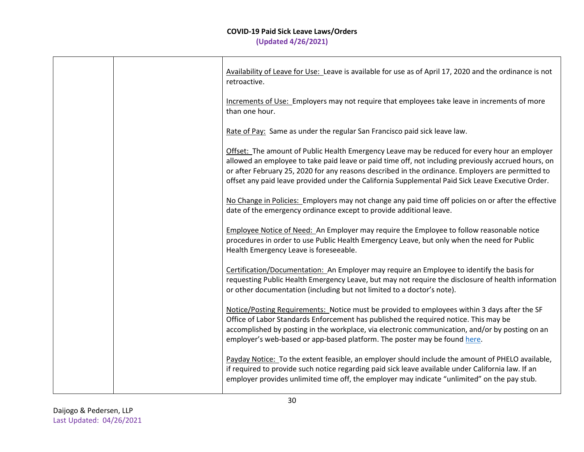|  | Availability of Leave for Use: Leave is available for use as of April 17, 2020 and the ordinance is not<br>retroactive.                                                                                                                                                                                                                                                                                        |
|--|----------------------------------------------------------------------------------------------------------------------------------------------------------------------------------------------------------------------------------------------------------------------------------------------------------------------------------------------------------------------------------------------------------------|
|  | Increments of Use: Employers may not require that employees take leave in increments of more<br>than one hour.                                                                                                                                                                                                                                                                                                 |
|  | Rate of Pay: Same as under the regular San Francisco paid sick leave law.                                                                                                                                                                                                                                                                                                                                      |
|  | Offset: The amount of Public Health Emergency Leave may be reduced for every hour an employer<br>allowed an employee to take paid leave or paid time off, not including previously accrued hours, on<br>or after February 25, 2020 for any reasons described in the ordinance. Employers are permitted to<br>offset any paid leave provided under the California Supplemental Paid Sick Leave Executive Order. |
|  | No Change in Policies: Employers may not change any paid time off policies on or after the effective<br>date of the emergency ordinance except to provide additional leave.                                                                                                                                                                                                                                    |
|  | Employee Notice of Need: An Employer may require the Employee to follow reasonable notice<br>procedures in order to use Public Health Emergency Leave, but only when the need for Public<br>Health Emergency Leave is foreseeable.                                                                                                                                                                             |
|  | Certification/Documentation: An Employer may require an Employee to identify the basis for<br>requesting Public Health Emergency Leave, but may not require the disclosure of health information<br>or other documentation (including but not limited to a doctor's note).                                                                                                                                     |
|  | Notice/Posting Requirements: Notice must be provided to employees within 3 days after the SF<br>Office of Labor Standards Enforcement has published the required notice. This may be<br>accomplished by posting in the workplace, via electronic communication, and/or by posting on an<br>employer's web-based or app-based platform. The poster may be found here.                                           |
|  | Payday Notice: To the extent feasible, an employer should include the amount of PHELO available,<br>if required to provide such notice regarding paid sick leave available under California law. If an<br>employer provides unlimited time off, the employer may indicate "unlimited" on the pay stub.                                                                                                         |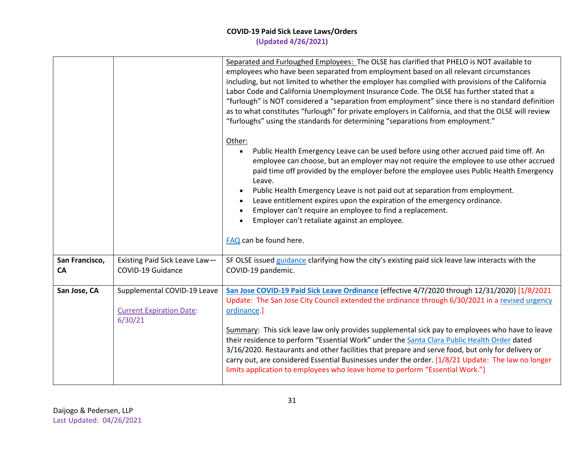|                      |                                                                           | Separated and Furloughed Employees: The OLSE has clarified that PHELO is NOT available to<br>employees who have been separated from employment based on all relevant circumstances<br>including, but not limited to whether the employer has complied with provisions of the California<br>Labor Code and California Unemployment Insurance Code. The OLSE has further stated that a<br>"furlough" is NOT considered a "separation from employment" since there is no standard definition<br>as to what constitutes "furlough" for private employers in California, and that the OLSE will review<br>"furloughs" using the standards for determining "separations from employment."                         |
|----------------------|---------------------------------------------------------------------------|-------------------------------------------------------------------------------------------------------------------------------------------------------------------------------------------------------------------------------------------------------------------------------------------------------------------------------------------------------------------------------------------------------------------------------------------------------------------------------------------------------------------------------------------------------------------------------------------------------------------------------------------------------------------------------------------------------------|
|                      |                                                                           | Other:<br>Public Health Emergency Leave can be used before using other accrued paid time off. An<br>$\bullet$<br>employee can choose, but an employer may not require the employee to use other accrued<br>paid time off provided by the employer before the employee uses Public Health Emergency<br>Leave.<br>Public Health Emergency Leave is not paid out at separation from employment.<br>Leave entitlement expires upon the expiration of the emergency ordinance.<br>Employer can't require an employee to find a replacement.<br>Employer can't retaliate against an employee.<br>FAQ can be found here.                                                                                           |
| San Francisco,<br>CA | Existing Paid Sick Leave Law-<br>COVID-19 Guidance                        | SF OLSE issued guidance clarifying how the city's existing paid sick leave law interacts with the<br>COVID-19 pandemic.                                                                                                                                                                                                                                                                                                                                                                                                                                                                                                                                                                                     |
| San Jose, CA         | Supplemental COVID-19 Leave<br><b>Current Expiration Date:</b><br>6/30/21 | San Jose COVID-19 Paid Sick Leave Ordinance (effective 4/7/2020 through 12/31/2020) [1/8/2021<br>Update: The San Jose City Council extended the ordinance through 6/30/2021 in a revised urgency<br>ordinance.]<br>Summary: This sick leave law only provides supplemental sick pay to employees who have to leave<br>their residence to perform "Essential Work" under the Santa Clara Public Health Order dated<br>3/16/2020. Restaurants and other facilities that prepare and serve food, but only for delivery or<br>carry out, are considered Essential Businesses under the order. [1/8/21 Update: The law no longer<br>limits application to employees who leave home to perform "Essential Work."] |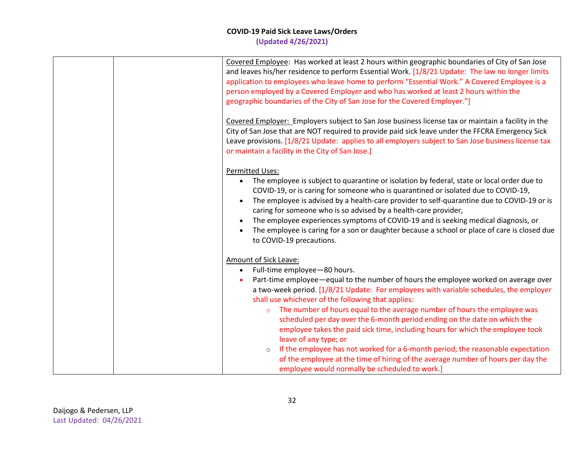| Covered Employee: Has worked at least 2 hours within geographic boundaries of City of San Jose<br>and leaves his/her residence to perform Essential Work. [1/8/21 Update: The law no longer limits<br>application to employees who leave home to perform "Essential Work." A Covered Employee is a<br>person employed by a Covered Employer and who has worked at least 2 hours within the<br>geographic boundaries of the City of San Jose for the Covered Employer."]                                                                                                                                                                                                                                                                                                                                                       |
|-------------------------------------------------------------------------------------------------------------------------------------------------------------------------------------------------------------------------------------------------------------------------------------------------------------------------------------------------------------------------------------------------------------------------------------------------------------------------------------------------------------------------------------------------------------------------------------------------------------------------------------------------------------------------------------------------------------------------------------------------------------------------------------------------------------------------------|
| Covered Employer: Employers subject to San Jose business license tax or maintain a facility in the<br>City of San Jose that are NOT required to provide paid sick leave under the FFCRA Emergency Sick<br>Leave provisions. [1/8/21 Update: applies to all employers subject to San Jose business license tax<br>or maintain a facility in the City of San Jose.]                                                                                                                                                                                                                                                                                                                                                                                                                                                             |
| <b>Permitted Uses:</b><br>The employee is subject to quarantine or isolation by federal, state or local order due to<br>$\bullet$<br>COVID-19, or is caring for someone who is quarantined or isolated due to COVID-19,<br>The employee is advised by a health-care provider to self-quarantine due to COVID-19 or is<br>$\bullet$<br>caring for someone who is so advised by a health-care provider,<br>The employee experiences symptoms of COVID-19 and is seeking medical diagnosis, or<br>The employee is caring for a son or daughter because a school or place of care is closed due<br>to COVID-19 precautions.                                                                                                                                                                                                       |
| Amount of Sick Leave:<br>Full-time employee-80 hours.<br>$\bullet$<br>Part-time employee—equal to the number of hours the employee worked on average over<br>a two-week period. [1/8/21 Update: For employees with variable schedules, the employer<br>shall use whichever of the following that applies:<br>The number of hours equal to the average number of hours the employee was<br>$\circ$<br>scheduled per day over the 6-month period ending on the date on which the<br>employee takes the paid sick time, including hours for which the employee took<br>leave of any type; or<br>If the employee has not worked for a 6-month period, the reasonable expectation<br>$\circ$<br>of the employee at the time of hiring of the average number of hours per day the<br>employee would normally be scheduled to work.] |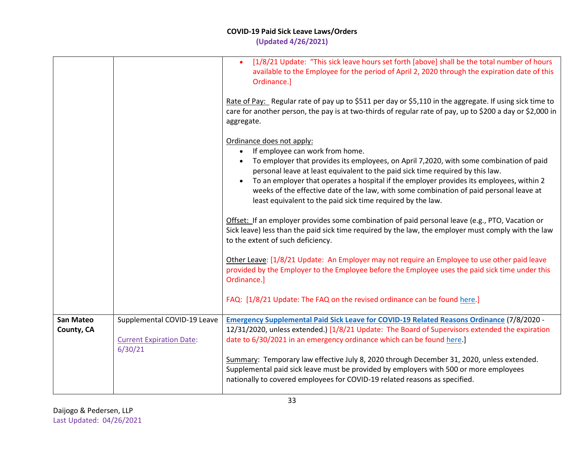|                                |                                                                           | [1/8/21 Update: "This sick leave hours set forth [above] shall be the total number of hours<br>$\bullet$<br>available to the Employee for the period of April 2, 2020 through the expiration date of this<br>Ordinance.]<br>Rate of Pay: Regular rate of pay up to \$511 per day or \$5,110 in the aggregate. If using sick time to<br>care for another person, the pay is at two-thirds of regular rate of pay, up to \$200 a day or \$2,000 in<br>aggregate.                                               |
|--------------------------------|---------------------------------------------------------------------------|--------------------------------------------------------------------------------------------------------------------------------------------------------------------------------------------------------------------------------------------------------------------------------------------------------------------------------------------------------------------------------------------------------------------------------------------------------------------------------------------------------------|
|                                |                                                                           | Ordinance does not apply:<br>If employee can work from home.<br>$\bullet$<br>To employer that provides its employees, on April 7,2020, with some combination of paid<br>personal leave at least equivalent to the paid sick time required by this law.<br>To an employer that operates a hospital if the employer provides its employees, within 2<br>weeks of the effective date of the law, with some combination of paid personal leave at<br>least equivalent to the paid sick time required by the law. |
|                                |                                                                           | Offset: If an employer provides some combination of paid personal leave (e.g., PTO, Vacation or<br>Sick leave) less than the paid sick time required by the law, the employer must comply with the law<br>to the extent of such deficiency.                                                                                                                                                                                                                                                                  |
|                                |                                                                           | Other Leave: [1/8/21 Update: An Employer may not require an Employee to use other paid leave<br>provided by the Employer to the Employee before the Employee uses the paid sick time under this<br>Ordinance.]                                                                                                                                                                                                                                                                                               |
|                                |                                                                           | FAQ: [1/8/21 Update: The FAQ on the revised ordinance can be found here.]                                                                                                                                                                                                                                                                                                                                                                                                                                    |
| <b>San Mateo</b><br>County, CA | Supplemental COVID-19 Leave<br><b>Current Expiration Date:</b><br>6/30/21 | <b>Emergency Supplemental Paid Sick Leave for COVID-19 Related Reasons Ordinance (7/8/2020 -</b><br>12/31/2020, unless extended.) [1/8/21 Update: The Board of Supervisors extended the expiration<br>date to 6/30/2021 in an emergency ordinance which can be found here.]                                                                                                                                                                                                                                  |
|                                |                                                                           | Summary: Temporary law effective July 8, 2020 through December 31, 2020, unless extended.<br>Supplemental paid sick leave must be provided by employers with 500 or more employees<br>nationally to covered employees for COVID-19 related reasons as specified.                                                                                                                                                                                                                                             |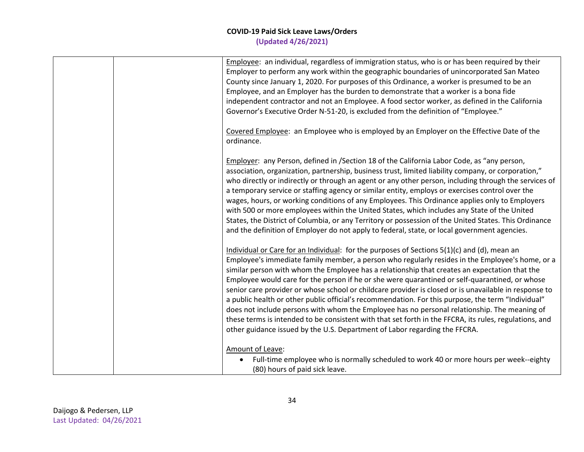|  | Employee: an individual, regardless of immigration status, who is or has been required by their<br>Employer to perform any work within the geographic boundaries of unincorporated San Mateo<br>County since January 1, 2020. For purposes of this Ordinance, a worker is presumed to be an<br>Employee, and an Employer has the burden to demonstrate that a worker is a bona fide<br>independent contractor and not an Employee. A food sector worker, as defined in the California<br>Governor's Executive Order N-51-20, is excluded from the definition of "Employee."                                                                                                                                                                                                                                                                                                                                |
|--|------------------------------------------------------------------------------------------------------------------------------------------------------------------------------------------------------------------------------------------------------------------------------------------------------------------------------------------------------------------------------------------------------------------------------------------------------------------------------------------------------------------------------------------------------------------------------------------------------------------------------------------------------------------------------------------------------------------------------------------------------------------------------------------------------------------------------------------------------------------------------------------------------------|
|  | Covered Employee: an Employee who is employed by an Employer on the Effective Date of the<br>ordinance.                                                                                                                                                                                                                                                                                                                                                                                                                                                                                                                                                                                                                                                                                                                                                                                                    |
|  | Employer: any Person, defined in /Section 18 of the California Labor Code, as "any person,<br>association, organization, partnership, business trust, limited liability company, or corporation,"<br>who directly or indirectly or through an agent or any other person, including through the services of<br>a temporary service or staffing agency or similar entity, employs or exercises control over the<br>wages, hours, or working conditions of any Employees. This Ordinance applies only to Employers<br>with 500 or more employees within the United States, which includes any State of the United<br>States, the District of Columbia, or any Territory or possession of the United States. This Ordinance<br>and the definition of Employer do not apply to federal, state, or local government agencies.                                                                                    |
|  | Individual or Care for an Individual: for the purposes of Sections $5(1)(c)$ and (d), mean an<br>Employee's immediate family member, a person who regularly resides in the Employee's home, or a<br>similar person with whom the Employee has a relationship that creates an expectation that the<br>Employee would care for the person if he or she were quarantined or self-quarantined, or whose<br>senior care provider or whose school or childcare provider is closed or is unavailable in response to<br>a public health or other public official's recommendation. For this purpose, the term "Individual"<br>does not include persons with whom the Employee has no personal relationship. The meaning of<br>these terms is intended to be consistent with that set forth in the FFCRA, its rules, regulations, and<br>other guidance issued by the U.S. Department of Labor regarding the FFCRA. |
|  | Amount of Leave:<br>Full-time employee who is normally scheduled to work 40 or more hours per week--eighty<br>(80) hours of paid sick leave.                                                                                                                                                                                                                                                                                                                                                                                                                                                                                                                                                                                                                                                                                                                                                               |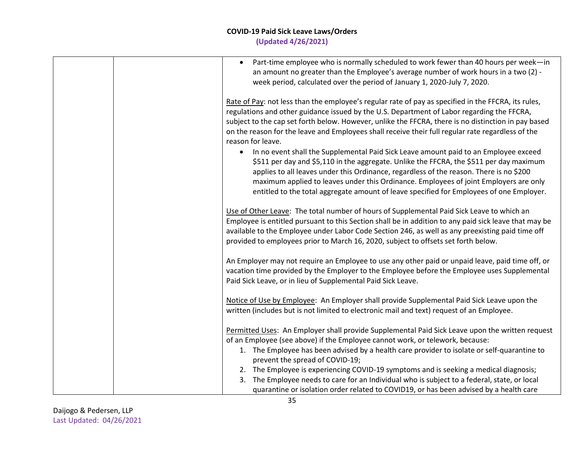| Part-time employee who is normally scheduled to work fewer than 40 hours per week-in<br>$\bullet$<br>an amount no greater than the Employee's average number of work hours in a two (2) -<br>week period, calculated over the period of January 1, 2020-July 7, 2020.                                                                                                                                                                                                        |
|------------------------------------------------------------------------------------------------------------------------------------------------------------------------------------------------------------------------------------------------------------------------------------------------------------------------------------------------------------------------------------------------------------------------------------------------------------------------------|
| Rate of Pay: not less than the employee's regular rate of pay as specified in the FFCRA, its rules,<br>regulations and other guidance issued by the U.S. Department of Labor regarding the FFCRA,<br>subject to the cap set forth below. However, unlike the FFCRA, there is no distinction in pay based<br>on the reason for the leave and Employees shall receive their full regular rate regardless of the<br>reason for leave.                                           |
| In no event shall the Supplemental Paid Sick Leave amount paid to an Employee exceed<br>$\bullet$<br>\$511 per day and \$5,110 in the aggregate. Unlike the FFCRA, the \$511 per day maximum<br>applies to all leaves under this Ordinance, regardless of the reason. There is no \$200<br>maximum applied to leaves under this Ordinance. Employees of joint Employers are only<br>entitled to the total aggregate amount of leave specified for Employees of one Employer. |
| Use of Other Leave: The total number of hours of Supplemental Paid Sick Leave to which an<br>Employee is entitled pursuant to this Section shall be in addition to any paid sick leave that may be<br>available to the Employee under Labor Code Section 246, as well as any preexisting paid time off<br>provided to employees prior to March 16, 2020, subject to offsets set forth below.                                                                                 |
| An Employer may not require an Employee to use any other paid or unpaid leave, paid time off, or<br>vacation time provided by the Employer to the Employee before the Employee uses Supplemental<br>Paid Sick Leave, or in lieu of Supplemental Paid Sick Leave.                                                                                                                                                                                                             |
| Notice of Use by Employee: An Employer shall provide Supplemental Paid Sick Leave upon the<br>written (includes but is not limited to electronic mail and text) request of an Employee.                                                                                                                                                                                                                                                                                      |
| Permitted Uses: An Employer shall provide Supplemental Paid Sick Leave upon the written request<br>of an Employee (see above) if the Employee cannot work, or telework, because:<br>1. The Employee has been advised by a health care provider to isolate or self-quarantine to<br>prevent the spread of COVID-19;                                                                                                                                                           |
| 2. The Employee is experiencing COVID-19 symptoms and is seeking a medical diagnosis;<br>The Employee needs to care for an Individual who is subject to a federal, state, or local<br>3.<br>quarantine or isolation order related to COVID19, or has been advised by a health care                                                                                                                                                                                           |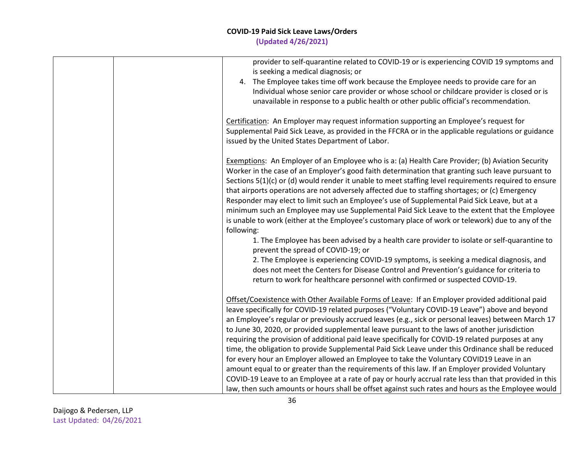| provider to self-quarantine related to COVID-19 or is experiencing COVID 19 symptoms and<br>is seeking a medical diagnosis; or    |
|-----------------------------------------------------------------------------------------------------------------------------------|
| 4. The Employee takes time off work because the Employee needs to provide care for an                                             |
| Individual whose senior care provider or whose school or childcare provider is closed or is                                       |
| unavailable in response to a public health or other public official's recommendation.                                             |
| Certification: An Employer may request information supporting an Employee's request for                                           |
| Supplemental Paid Sick Leave, as provided in the FFCRA or in the applicable regulations or guidance                               |
| issued by the United States Department of Labor.                                                                                  |
| Exemptions: An Employer of an Employee who is a: (a) Health Care Provider; (b) Aviation Security                                  |
| Worker in the case of an Employer's good faith determination that granting such leave pursuant to                                 |
| Sections 5(1)(c) or (d) would render it unable to meet staffing level requirements required to ensure                             |
| that airports operations are not adversely affected due to staffing shortages; or (c) Emergency                                   |
| Responder may elect to limit such an Employee's use of Supplemental Paid Sick Leave, but at a                                     |
| minimum such an Employee may use Supplemental Paid Sick Leave to the extent that the Employee                                     |
| is unable to work (either at the Employee's customary place of work or telework) due to any of the                                |
| following:                                                                                                                        |
| 1. The Employee has been advised by a health care provider to isolate or self-quarantine to<br>prevent the spread of COVID-19; or |
| 2. The Employee is experiencing COVID-19 symptoms, is seeking a medical diagnosis, and                                            |
| does not meet the Centers for Disease Control and Prevention's guidance for criteria to                                           |
| return to work for healthcare personnel with confirmed or suspected COVID-19.                                                     |
| Offset/Coexistence with Other Available Forms of Leave: If an Employer provided additional paid                                   |
| leave specifically for COVID-19 related purposes ("Voluntary COVID-19 Leave") above and beyond                                    |
| an Employee's regular or previously accrued leaves (e.g., sick or personal leaves) between March 17                               |
| to June 30, 2020, or provided supplemental leave pursuant to the laws of another jurisdiction                                     |
| requiring the provision of additional paid leave specifically for COVID-19 related purposes at any                                |
| time, the obligation to provide Supplemental Paid Sick Leave under this Ordinance shall be reduced                                |
| for every hour an Employer allowed an Employee to take the Voluntary COVID19 Leave in an                                          |
| amount equal to or greater than the requirements of this law. If an Employer provided Voluntary                                   |
| COVID-19 Leave to an Employee at a rate of pay or hourly accrual rate less than that provided in this                             |
| law, then such amounts or hours shall be offset against such rates and hours as the Employee would                                |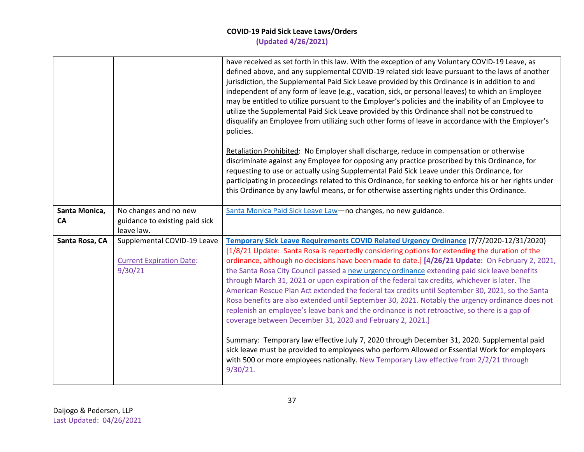|                     |                                                                           | have received as set forth in this law. With the exception of any Voluntary COVID-19 Leave, as<br>defined above, and any supplemental COVID-19 related sick leave pursuant to the laws of another<br>jurisdiction, the Supplemental Paid Sick Leave provided by this Ordinance is in addition to and<br>independent of any form of leave (e.g., vacation, sick, or personal leaves) to which an Employee<br>may be entitled to utilize pursuant to the Employer's policies and the inability of an Employee to<br>utilize the Supplemental Paid Sick Leave provided by this Ordinance shall not be construed to<br>disqualify an Employee from utilizing such other forms of leave in accordance with the Employer's<br>policies.                                                                                                                                                                                                                                                                                                                                                                                                                                               |
|---------------------|---------------------------------------------------------------------------|---------------------------------------------------------------------------------------------------------------------------------------------------------------------------------------------------------------------------------------------------------------------------------------------------------------------------------------------------------------------------------------------------------------------------------------------------------------------------------------------------------------------------------------------------------------------------------------------------------------------------------------------------------------------------------------------------------------------------------------------------------------------------------------------------------------------------------------------------------------------------------------------------------------------------------------------------------------------------------------------------------------------------------------------------------------------------------------------------------------------------------------------------------------------------------|
|                     |                                                                           | Retaliation Prohibited: No Employer shall discharge, reduce in compensation or otherwise<br>discriminate against any Employee for opposing any practice proscribed by this Ordinance, for<br>requesting to use or actually using Supplemental Paid Sick Leave under this Ordinance, for<br>participating in proceedings related to this Ordinance, for seeking to enforce his or her rights under<br>this Ordinance by any lawful means, or for otherwise asserting rights under this Ordinance.                                                                                                                                                                                                                                                                                                                                                                                                                                                                                                                                                                                                                                                                                |
| Santa Monica,<br>CA | No changes and no new<br>guidance to existing paid sick<br>leave law.     | Santa Monica Paid Sick Leave Law-no changes, no new guidance.                                                                                                                                                                                                                                                                                                                                                                                                                                                                                                                                                                                                                                                                                                                                                                                                                                                                                                                                                                                                                                                                                                                   |
| Santa Rosa, CA      | Supplemental COVID-19 Leave<br><b>Current Expiration Date:</b><br>9/30/21 | <b>Temporary Sick Leave Requirements COVID Related Urgency Ordinance (7/7/2020-12/31/2020)</b><br>[1/8/21 Update: Santa Rosa is reportedly considering options for extending the duration of the<br>ordinance, although no decisions have been made to date.] [4/26/21 Update: On February 2, 2021,<br>the Santa Rosa City Council passed a new urgency ordinance extending paid sick leave benefits<br>through March 31, 2021 or upon expiration of the federal tax credits, whichever is later. The<br>American Rescue Plan Act extended the federal tax credits until September 30, 2021, so the Santa<br>Rosa benefits are also extended until September 30, 2021. Notably the urgency ordinance does not<br>replenish an employee's leave bank and the ordinance is not retroactive, so there is a gap of<br>coverage between December 31, 2020 and February 2, 2021.]<br>Summary: Temporary law effective July 7, 2020 through December 31, 2020. Supplemental paid<br>sick leave must be provided to employees who perform Allowed or Essential Work for employers<br>with 500 or more employees nationally. New Temporary Law effective from 2/2/21 through<br>9/30/21. |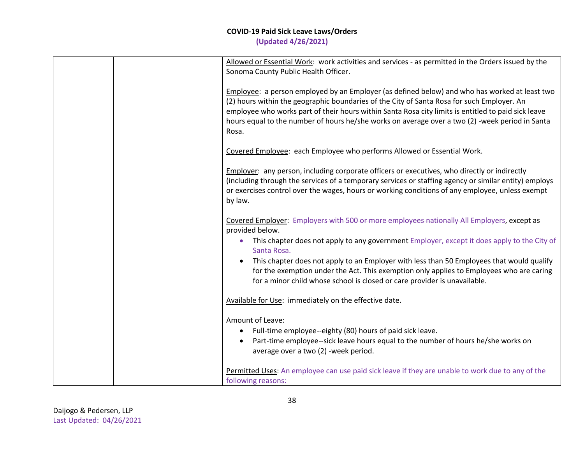|  | Allowed or Essential Work: work activities and services - as permitted in the Orders issued by the<br>Sonoma County Public Health Officer.                                                                                                                                                                                                                                                                     |
|--|----------------------------------------------------------------------------------------------------------------------------------------------------------------------------------------------------------------------------------------------------------------------------------------------------------------------------------------------------------------------------------------------------------------|
|  | Employee: a person employed by an Employer (as defined below) and who has worked at least two<br>(2) hours within the geographic boundaries of the City of Santa Rosa for such Employer. An<br>employee who works part of their hours within Santa Rosa city limits is entitled to paid sick leave<br>hours equal to the number of hours he/she works on average over a two (2) -week period in Santa<br>Rosa. |
|  | Covered Employee: each Employee who performs Allowed or Essential Work.                                                                                                                                                                                                                                                                                                                                        |
|  | <b>Employer:</b> any person, including corporate officers or executives, who directly or indirectly<br>(including through the services of a temporary services or staffing agency or similar entity) employs<br>or exercises control over the wages, hours or working conditions of any employee, unless exempt<br>by law.                                                                                     |
|  | Covered Employer: Employers with 500 or more employees nationally All Employers, except as<br>provided below.                                                                                                                                                                                                                                                                                                  |
|  | This chapter does not apply to any government Employer, except it does apply to the City of<br>Santa Rosa.                                                                                                                                                                                                                                                                                                     |
|  | This chapter does not apply to an Employer with less than 50 Employees that would qualify<br>for the exemption under the Act. This exemption only applies to Employees who are caring<br>for a minor child whose school is closed or care provider is unavailable.                                                                                                                                             |
|  | Available for Use: immediately on the effective date.                                                                                                                                                                                                                                                                                                                                                          |
|  | Amount of Leave:<br>Full-time employee--eighty (80) hours of paid sick leave.<br>$\bullet$<br>Part-time employee--sick leave hours equal to the number of hours he/she works on<br>$\bullet$<br>average over a two (2) -week period.                                                                                                                                                                           |
|  | Permitted Uses: An employee can use paid sick leave if they are unable to work due to any of the<br>following reasons:                                                                                                                                                                                                                                                                                         |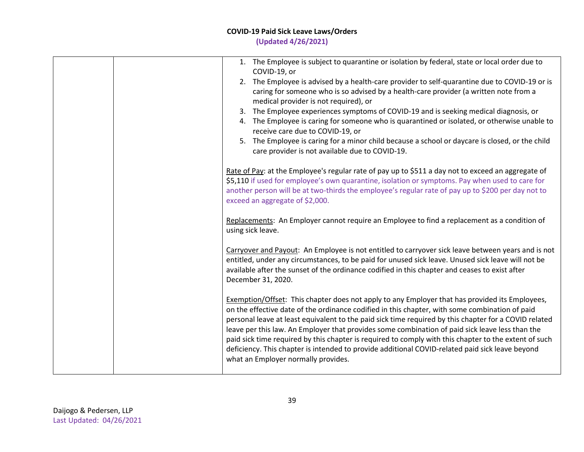### **COVID-19 Paid Sick Leave Laws/Orders**

**(Updated 4/26/2021)**

| 1. The Employee is subject to quarantine or isolation by federal, state or local order due to<br>COVID-19, or<br>2. The Employee is advised by a health-care provider to self-quarantine due to COVID-19 or is<br>caring for someone who is so advised by a health-care provider (a written note from a<br>medical provider is not required), or<br>The Employee experiences symptoms of COVID-19 and is seeking medical diagnosis, or<br>3.<br>4. The Employee is caring for someone who is quarantined or isolated, or otherwise unable to<br>receive care due to COVID-19, or<br>The Employee is caring for a minor child because a school or daycare is closed, or the child<br>5.<br>care provider is not available due to COVID-19. |
|-------------------------------------------------------------------------------------------------------------------------------------------------------------------------------------------------------------------------------------------------------------------------------------------------------------------------------------------------------------------------------------------------------------------------------------------------------------------------------------------------------------------------------------------------------------------------------------------------------------------------------------------------------------------------------------------------------------------------------------------|
| Rate of Pay: at the Employee's regular rate of pay up to \$511 a day not to exceed an aggregate of<br>\$5,110 if used for employee's own quarantine, isolation or symptoms. Pay when used to care for<br>another person will be at two-thirds the employee's regular rate of pay up to \$200 per day not to<br>exceed an aggregate of \$2,000.<br>Replacements: An Employer cannot require an Employee to find a replacement as a condition of                                                                                                                                                                                                                                                                                            |
| using sick leave.<br>Carryover and Payout: An Employee is not entitled to carryover sick leave between years and is not<br>entitled, under any circumstances, to be paid for unused sick leave. Unused sick leave will not be<br>available after the sunset of the ordinance codified in this chapter and ceases to exist after<br>December 31, 2020.                                                                                                                                                                                                                                                                                                                                                                                     |
| <b>Exemption/Offset:</b> This chapter does not apply to any Employer that has provided its Employees,<br>on the effective date of the ordinance codified in this chapter, with some combination of paid<br>personal leave at least equivalent to the paid sick time required by this chapter for a COVID related<br>leave per this law. An Employer that provides some combination of paid sick leave less than the<br>paid sick time required by this chapter is required to comply with this chapter to the extent of such<br>deficiency. This chapter is intended to provide additional COVID-related paid sick leave beyond<br>what an Employer normally provides.                                                                    |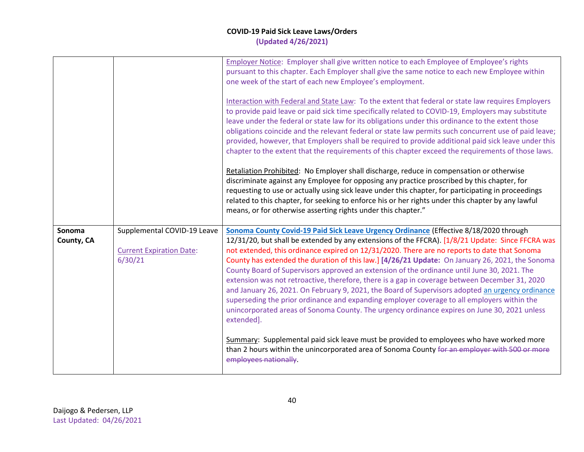|                      |                                                                           | Employer Notice: Employer shall give written notice to each Employee of Employee's rights<br>pursuant to this chapter. Each Employer shall give the same notice to each new Employee within<br>one week of the start of each new Employee's employment.<br>Interaction with Federal and State Law: To the extent that federal or state law requires Employers<br>to provide paid leave or paid sick time specifically related to COVID-19, Employers may substitute<br>leave under the federal or state law for its obligations under this ordinance to the extent those<br>obligations coincide and the relevant federal or state law permits such concurrent use of paid leave;<br>provided, however, that Employers shall be required to provide additional paid sick leave under this<br>chapter to the extent that the requirements of this chapter exceed the requirements of those laws.<br>Retaliation Prohibited: No Employer shall discharge, reduce in compensation or otherwise<br>discriminate against any Employee for opposing any practice proscribed by this chapter, for<br>requesting to use or actually using sick leave under this chapter, for participating in proceedings<br>related to this chapter, for seeking to enforce his or her rights under this chapter by any lawful<br>means, or for otherwise asserting rights under this chapter." |
|----------------------|---------------------------------------------------------------------------|--------------------------------------------------------------------------------------------------------------------------------------------------------------------------------------------------------------------------------------------------------------------------------------------------------------------------------------------------------------------------------------------------------------------------------------------------------------------------------------------------------------------------------------------------------------------------------------------------------------------------------------------------------------------------------------------------------------------------------------------------------------------------------------------------------------------------------------------------------------------------------------------------------------------------------------------------------------------------------------------------------------------------------------------------------------------------------------------------------------------------------------------------------------------------------------------------------------------------------------------------------------------------------------------------------------------------------------------------------------------------|
| Sonoma<br>County, CA | Supplemental COVID-19 Leave<br><b>Current Expiration Date:</b><br>6/30/21 | Sonoma County Covid-19 Paid Sick Leave Urgency Ordinance (Effective 8/18/2020 through<br>12/31/20, but shall be extended by any extensions of the FFCRA). [1/8/21 Update: Since FFCRA was<br>not extended, this ordinance expired on 12/31/2020. There are no reports to date that Sonoma<br>County has extended the duration of this law.] [4/26/21 Update: On January 26, 2021, the Sonoma<br>County Board of Supervisors approved an extension of the ordinance until June 30, 2021. The<br>extension was not retroactive, therefore, there is a gap in coverage between December 31, 2020<br>and January 26, 2021. On February 9, 2021, the Board of Supervisors adopted an urgency ordinance<br>superseding the prior ordinance and expanding employer coverage to all employers within the<br>unincorporated areas of Sonoma County. The urgency ordinance expires on June 30, 2021 unless<br>extended].<br>Summary: Supplemental paid sick leave must be provided to employees who have worked more<br>than 2 hours within the unincorporated area of Sonoma County for an employer with 500 or more<br>employees nationally.                                                                                                                                                                                                                                     |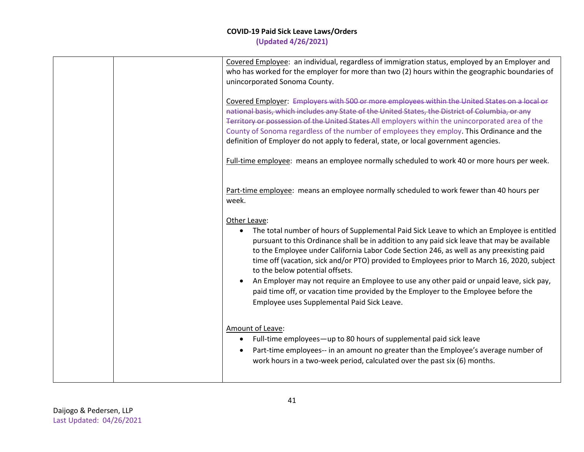|  | Covered Employee: an individual, regardless of immigration status, employed by an Employer and<br>who has worked for the employer for more than two (2) hours within the geographic boundaries of<br>unincorporated Sonoma County.                                                                                                                                                                                                                                                                                                                                                                                                                                         |
|--|----------------------------------------------------------------------------------------------------------------------------------------------------------------------------------------------------------------------------------------------------------------------------------------------------------------------------------------------------------------------------------------------------------------------------------------------------------------------------------------------------------------------------------------------------------------------------------------------------------------------------------------------------------------------------|
|  | Covered Employer: Employers with 500 or more employees within the United States on a local or<br>national basis, which includes any State of the United States, the District of Columbia, or any<br>Territory or possession of the United States All employers within the unincorporated area of the<br>County of Sonoma regardless of the number of employees they employ. This Ordinance and the<br>definition of Employer do not apply to federal, state, or local government agencies.                                                                                                                                                                                 |
|  | Full-time employee: means an employee normally scheduled to work 40 or more hours per week.                                                                                                                                                                                                                                                                                                                                                                                                                                                                                                                                                                                |
|  | Part-time employee: means an employee normally scheduled to work fewer than 40 hours per<br>week.                                                                                                                                                                                                                                                                                                                                                                                                                                                                                                                                                                          |
|  | Other Leave:<br>The total number of hours of Supplemental Paid Sick Leave to which an Employee is entitled<br>pursuant to this Ordinance shall be in addition to any paid sick leave that may be available<br>to the Employee under California Labor Code Section 246, as well as any preexisting paid<br>time off (vacation, sick and/or PTO) provided to Employees prior to March 16, 2020, subject<br>to the below potential offsets.<br>An Employer may not require an Employee to use any other paid or unpaid leave, sick pay,<br>paid time off, or vacation time provided by the Employer to the Employee before the<br>Employee uses Supplemental Paid Sick Leave. |
|  | Amount of Leave:<br>Full-time employees-up to 80 hours of supplemental paid sick leave<br>$\bullet$<br>Part-time employees-- in an amount no greater than the Employee's average number of<br>work hours in a two-week period, calculated over the past six (6) months.                                                                                                                                                                                                                                                                                                                                                                                                    |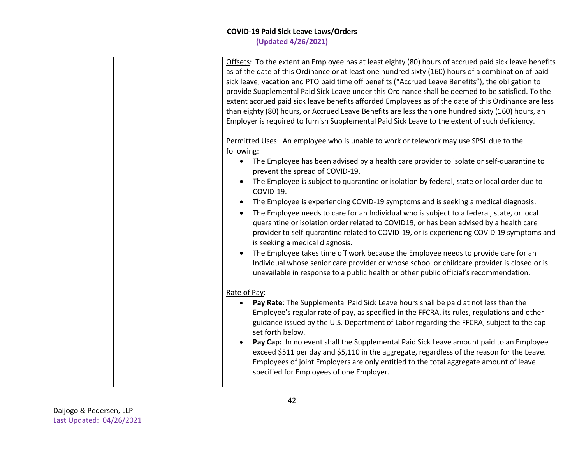| Offsets: To the extent an Employee has at least eighty (80) hours of accrued paid sick leave benefits<br>as of the date of this Ordinance or at least one hundred sixty (160) hours of a combination of paid<br>sick leave, vacation and PTO paid time off benefits ("Accrued Leave Benefits"), the obligation to<br>provide Supplemental Paid Sick Leave under this Ordinance shall be deemed to be satisfied. To the<br>extent accrued paid sick leave benefits afforded Employees as of the date of this Ordinance are less<br>than eighty (80) hours, or Accrued Leave Benefits are less than one hundred sixty (160) hours, an<br>Employer is required to furnish Supplemental Paid Sick Leave to the extent of such deficiency.                                                                                                                                                                                                                                                                                                                              |
|--------------------------------------------------------------------------------------------------------------------------------------------------------------------------------------------------------------------------------------------------------------------------------------------------------------------------------------------------------------------------------------------------------------------------------------------------------------------------------------------------------------------------------------------------------------------------------------------------------------------------------------------------------------------------------------------------------------------------------------------------------------------------------------------------------------------------------------------------------------------------------------------------------------------------------------------------------------------------------------------------------------------------------------------------------------------|
| Permitted Uses: An employee who is unable to work or telework may use SPSL due to the<br>following:<br>The Employee has been advised by a health care provider to isolate or self-quarantine to<br>$\bullet$<br>prevent the spread of COVID-19.<br>The Employee is subject to quarantine or isolation by federal, state or local order due to<br>COVID-19.<br>The Employee is experiencing COVID-19 symptoms and is seeking a medical diagnosis.<br>$\bullet$<br>The Employee needs to care for an Individual who is subject to a federal, state, or local<br>quarantine or isolation order related to COVID19, or has been advised by a health care<br>provider to self-quarantine related to COVID-19, or is experiencing COVID 19 symptoms and<br>is seeking a medical diagnosis.<br>The Employee takes time off work because the Employee needs to provide care for an<br>Individual whose senior care provider or whose school or childcare provider is closed or is<br>unavailable in response to a public health or other public official's recommendation. |
| Rate of Pay:<br>Pay Rate: The Supplemental Paid Sick Leave hours shall be paid at not less than the<br>Employee's regular rate of pay, as specified in the FFCRA, its rules, regulations and other<br>guidance issued by the U.S. Department of Labor regarding the FFCRA, subject to the cap<br>set forth below.<br>Pay Cap: In no event shall the Supplemental Paid Sick Leave amount paid to an Employee<br>exceed \$511 per day and \$5,110 in the aggregate, regardless of the reason for the Leave.<br>Employees of joint Employers are only entitled to the total aggregate amount of leave<br>specified for Employees of one Employer.                                                                                                                                                                                                                                                                                                                                                                                                                     |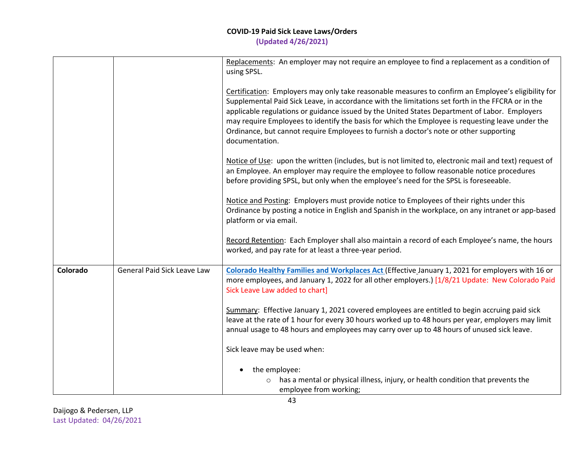|          |                             | Replacements: An employer may not require an employee to find a replacement as a condition of<br>using SPSL.                                                                                                                                                                                                                                                                                                                                                                                                              |
|----------|-----------------------------|---------------------------------------------------------------------------------------------------------------------------------------------------------------------------------------------------------------------------------------------------------------------------------------------------------------------------------------------------------------------------------------------------------------------------------------------------------------------------------------------------------------------------|
|          |                             | Certification: Employers may only take reasonable measures to confirm an Employee's eligibility for<br>Supplemental Paid Sick Leave, in accordance with the limitations set forth in the FFCRA or in the<br>applicable regulations or guidance issued by the United States Department of Labor. Employers<br>may require Employees to identify the basis for which the Employee is requesting leave under the<br>Ordinance, but cannot require Employees to furnish a doctor's note or other supporting<br>documentation. |
|          |                             | Notice of Use: upon the written (includes, but is not limited to, electronic mail and text) request of<br>an Employee. An employer may require the employee to follow reasonable notice procedures<br>before providing SPSL, but only when the employee's need for the SPSL is foreseeable.                                                                                                                                                                                                                               |
|          |                             | Notice and Posting: Employers must provide notice to Employees of their rights under this<br>Ordinance by posting a notice in English and Spanish in the workplace, on any intranet or app-based<br>platform or via email.                                                                                                                                                                                                                                                                                                |
|          |                             | Record Retention: Each Employer shall also maintain a record of each Employee's name, the hours<br>worked, and pay rate for at least a three-year period.                                                                                                                                                                                                                                                                                                                                                                 |
| Colorado | General Paid Sick Leave Law | Colorado Healthy Families and Workplaces Act (Effective January 1, 2021 for employers with 16 or<br>more employees, and January 1, 2022 for all other employers.) [1/8/21 Update: New Colorado Paid<br>Sick Leave Law added to chart]                                                                                                                                                                                                                                                                                     |
|          |                             | Summary: Effective January 1, 2021 covered employees are entitled to begin accruing paid sick<br>leave at the rate of 1 hour for every 30 hours worked up to 48 hours per year, employers may limit<br>annual usage to 48 hours and employees may carry over up to 48 hours of unused sick leave.                                                                                                                                                                                                                         |
|          |                             | Sick leave may be used when:                                                                                                                                                                                                                                                                                                                                                                                                                                                                                              |
|          |                             | the employee:<br>has a mental or physical illness, injury, or health condition that prevents the<br>$\circ$<br>employee from working;                                                                                                                                                                                                                                                                                                                                                                                     |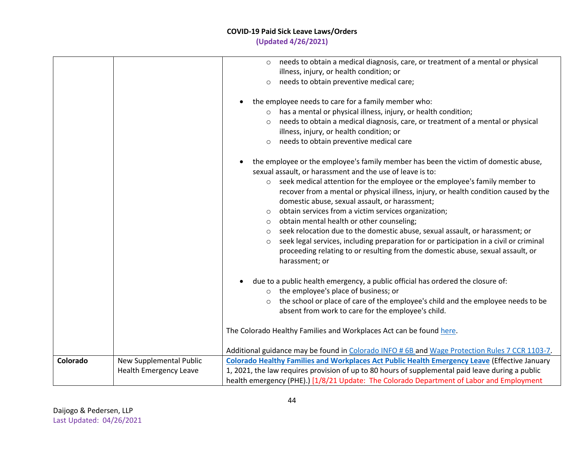|          |                               | needs to obtain a medical diagnosis, care, or treatment of a mental or physical<br>$\circ$           |
|----------|-------------------------------|------------------------------------------------------------------------------------------------------|
|          |                               | illness, injury, or health condition; or                                                             |
|          |                               |                                                                                                      |
|          |                               | needs to obtain preventive medical care;<br>$\circ$                                                  |
|          |                               | the employee needs to care for a family member who:<br>$\bullet$                                     |
|          |                               | has a mental or physical illness, injury, or health condition;<br>$\circ$                            |
|          |                               | needs to obtain a medical diagnosis, care, or treatment of a mental or physical<br>$\circ$           |
|          |                               | illness, injury, or health condition; or                                                             |
|          |                               | needs to obtain preventive medical care<br>$\circ$                                                   |
|          |                               |                                                                                                      |
|          |                               | the employee or the employee's family member has been the victim of domestic abuse,                  |
|          |                               | sexual assault, or harassment and the use of leave is to:                                            |
|          |                               | seek medical attention for the employee or the employee's family member to<br>$\circ$                |
|          |                               | recover from a mental or physical illness, injury, or health condition caused by the                 |
|          |                               | domestic abuse, sexual assault, or harassment;                                                       |
|          |                               | obtain services from a victim services organization;<br>$\circ$                                      |
|          |                               | obtain mental health or other counseling;<br>$\circ$                                                 |
|          |                               | seek relocation due to the domestic abuse, sexual assault, or harassment; or<br>$\circ$              |
|          |                               | seek legal services, including preparation for or participation in a civil or criminal<br>$\circ$    |
|          |                               | proceeding relating to or resulting from the domestic abuse, sexual assault, or                      |
|          |                               | harassment; or                                                                                       |
|          |                               |                                                                                                      |
|          |                               | due to a public health emergency, a public official has ordered the closure of:                      |
|          |                               | the employee's place of business; or<br>$\circ$                                                      |
|          |                               | the school or place of care of the employee's child and the employee needs to be<br>$\circ$          |
|          |                               | absent from work to care for the employee's child.                                                   |
|          |                               |                                                                                                      |
|          |                               | The Colorado Healthy Families and Workplaces Act can be found here.                                  |
|          |                               |                                                                                                      |
|          |                               | Additional guidance may be found in Colorado INFO # 6B and Wage Protection Rules 7 CCR 1103-7.       |
| Colorado | New Supplemental Public       | <b>Colorado Healthy Families and Workplaces Act Public Health Emergency Leave (Effective January</b> |
|          | <b>Health Emergency Leave</b> | 1, 2021, the law requires provision of up to 80 hours of supplemental paid leave during a public     |
|          |                               | health emergency (PHE).) [1/8/21 Update: The Colorado Department of Labor and Employment             |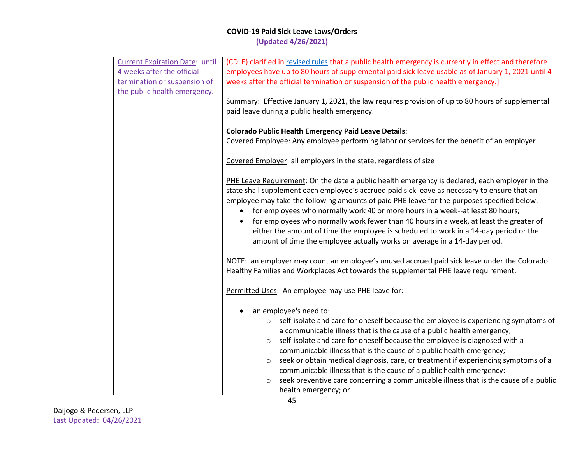| <b>Current Expiration Date: until</b> | (CDLE) clarified in revised rules that a public health emergency is currently in effect and therefore |
|---------------------------------------|-------------------------------------------------------------------------------------------------------|
| 4 weeks after the official            | employees have up to 80 hours of supplemental paid sick leave usable as of January 1, 2021 until 4    |
| termination or suspension of          | weeks after the official termination or suspension of the public health emergency.]                   |
| the public health emergency.          |                                                                                                       |
|                                       | Summary: Effective January 1, 2021, the law requires provision of up to 80 hours of supplemental      |
|                                       | paid leave during a public health emergency.                                                          |
|                                       |                                                                                                       |
|                                       | <b>Colorado Public Health Emergency Paid Leave Details:</b>                                           |
|                                       |                                                                                                       |
|                                       | Covered Employee: Any employee performing labor or services for the benefit of an employer            |
|                                       |                                                                                                       |
|                                       | Covered Employer: all employers in the state, regardless of size                                      |
|                                       |                                                                                                       |
|                                       | PHE Leave Requirement: On the date a public health emergency is declared, each employer in the        |
|                                       | state shall supplement each employee's accrued paid sick leave as necessary to ensure that an         |
|                                       | employee may take the following amounts of paid PHE leave for the purposes specified below:           |
|                                       | for employees who normally work 40 or more hours in a week--at least 80 hours;                        |
|                                       | for employees who normally work fewer than 40 hours in a week, at least the greater of                |
|                                       | either the amount of time the employee is scheduled to work in a 14-day period or the                 |
|                                       | amount of time the employee actually works on average in a 14-day period.                             |
|                                       |                                                                                                       |
|                                       | NOTE: an employer may count an employee's unused accrued paid sick leave under the Colorado           |
|                                       | Healthy Families and Workplaces Act towards the supplemental PHE leave requirement.                   |
|                                       |                                                                                                       |
|                                       | Permitted Uses: An employee may use PHE leave for:                                                    |
|                                       |                                                                                                       |
|                                       | an employee's need to:                                                                                |
|                                       | self-isolate and care for oneself because the employee is experiencing symptoms of<br>$\circ$         |
|                                       | a communicable illness that is the cause of a public health emergency;                                |
|                                       |                                                                                                       |
|                                       | self-isolate and care for oneself because the employee is diagnosed with a<br>$\circ$                 |
|                                       | communicable illness that is the cause of a public health emergency;                                  |
|                                       | seek or obtain medical diagnosis, care, or treatment if experiencing symptoms of a<br>$\circ$         |
|                                       | communicable illness that is the cause of a public health emergency:                                  |
|                                       | seek preventive care concerning a communicable illness that is the cause of a public<br>$\circ$       |
|                                       | health emergency; or                                                                                  |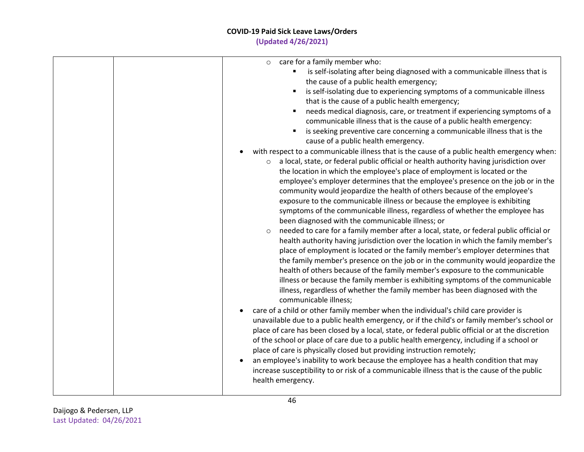# **COVID-19 Paid Sick Leave Laws/Orders**

**(Updated 4/26/2021)**

| care for a family member who:<br>$\circ$                                                                                                                                                                                                                                                                                                                                                                                                                                                                                                                                                                                                                                                                                                                                                                                                          |
|---------------------------------------------------------------------------------------------------------------------------------------------------------------------------------------------------------------------------------------------------------------------------------------------------------------------------------------------------------------------------------------------------------------------------------------------------------------------------------------------------------------------------------------------------------------------------------------------------------------------------------------------------------------------------------------------------------------------------------------------------------------------------------------------------------------------------------------------------|
| is self-isolating after being diagnosed with a communicable illness that is                                                                                                                                                                                                                                                                                                                                                                                                                                                                                                                                                                                                                                                                                                                                                                       |
| the cause of a public health emergency;                                                                                                                                                                                                                                                                                                                                                                                                                                                                                                                                                                                                                                                                                                                                                                                                           |
| is self-isolating due to experiencing symptoms of a communicable illness                                                                                                                                                                                                                                                                                                                                                                                                                                                                                                                                                                                                                                                                                                                                                                          |
| that is the cause of a public health emergency;                                                                                                                                                                                                                                                                                                                                                                                                                                                                                                                                                                                                                                                                                                                                                                                                   |
| needs medical diagnosis, care, or treatment if experiencing symptoms of a<br>communicable illness that is the cause of a public health emergency:                                                                                                                                                                                                                                                                                                                                                                                                                                                                                                                                                                                                                                                                                                 |
| is seeking preventive care concerning a communicable illness that is the<br>cause of a public health emergency.                                                                                                                                                                                                                                                                                                                                                                                                                                                                                                                                                                                                                                                                                                                                   |
| with respect to a communicable illness that is the cause of a public health emergency when:                                                                                                                                                                                                                                                                                                                                                                                                                                                                                                                                                                                                                                                                                                                                                       |
| a local, state, or federal public official or health authority having jurisdiction over<br>$\circ$<br>the location in which the employee's place of employment is located or the<br>employee's employer determines that the employee's presence on the job or in the<br>community would jeopardize the health of others because of the employee's<br>exposure to the communicable illness or because the employee is exhibiting<br>symptoms of the communicable illness, regardless of whether the employee has<br>been diagnosed with the communicable illness; or<br>needed to care for a family member after a local, state, or federal public official or<br>$\circ$<br>health authority having jurisdiction over the location in which the family member's<br>place of employment is located or the family member's employer determines that |
| the family member's presence on the job or in the community would jeopardize the<br>health of others because of the family member's exposure to the communicable<br>illness or because the family member is exhibiting symptoms of the communicable<br>illness, regardless of whether the family member has been diagnosed with the<br>communicable illness;                                                                                                                                                                                                                                                                                                                                                                                                                                                                                      |
| care of a child or other family member when the individual's child care provider is<br>unavailable due to a public health emergency, or if the child's or family member's school or<br>place of care has been closed by a local, state, or federal public official or at the discretion<br>of the school or place of care due to a public health emergency, including if a school or<br>place of care is physically closed but providing instruction remotely;<br>an employee's inability to work because the employee has a health condition that may                                                                                                                                                                                                                                                                                            |
| increase susceptibility to or risk of a communicable illness that is the cause of the public<br>health emergency.                                                                                                                                                                                                                                                                                                                                                                                                                                                                                                                                                                                                                                                                                                                                 |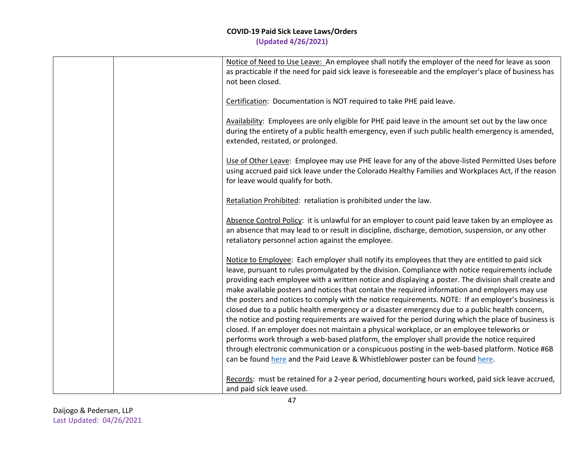|  | Notice of Need to Use Leave: An employee shall notify the employer of the need for leave as soon<br>as practicable if the need for paid sick leave is foreseeable and the employer's place of business has<br>not been closed.                                                                                                                                                                                                                                                                                                                                                                                                                                                                                                                                                                                                                                                                                                                                                                                                                                                                                   |
|--|------------------------------------------------------------------------------------------------------------------------------------------------------------------------------------------------------------------------------------------------------------------------------------------------------------------------------------------------------------------------------------------------------------------------------------------------------------------------------------------------------------------------------------------------------------------------------------------------------------------------------------------------------------------------------------------------------------------------------------------------------------------------------------------------------------------------------------------------------------------------------------------------------------------------------------------------------------------------------------------------------------------------------------------------------------------------------------------------------------------|
|  | Certification: Documentation is NOT required to take PHE paid leave.                                                                                                                                                                                                                                                                                                                                                                                                                                                                                                                                                                                                                                                                                                                                                                                                                                                                                                                                                                                                                                             |
|  | Availability: Employees are only eligible for PHE paid leave in the amount set out by the law once<br>during the entirety of a public health emergency, even if such public health emergency is amended,<br>extended, restated, or prolonged.                                                                                                                                                                                                                                                                                                                                                                                                                                                                                                                                                                                                                                                                                                                                                                                                                                                                    |
|  | Use of Other Leave: Employee may use PHE leave for any of the above-listed Permitted Uses before<br>using accrued paid sick leave under the Colorado Healthy Families and Workplaces Act, if the reason<br>for leave would qualify for both.                                                                                                                                                                                                                                                                                                                                                                                                                                                                                                                                                                                                                                                                                                                                                                                                                                                                     |
|  | Retaliation Prohibited: retaliation is prohibited under the law.                                                                                                                                                                                                                                                                                                                                                                                                                                                                                                                                                                                                                                                                                                                                                                                                                                                                                                                                                                                                                                                 |
|  | Absence Control Policy: it is unlawful for an employer to count paid leave taken by an employee as<br>an absence that may lead to or result in discipline, discharge, demotion, suspension, or any other<br>retaliatory personnel action against the employee.                                                                                                                                                                                                                                                                                                                                                                                                                                                                                                                                                                                                                                                                                                                                                                                                                                                   |
|  | Notice to Employee: Each employer shall notify its employees that they are entitled to paid sick<br>leave, pursuant to rules promulgated by the division. Compliance with notice requirements include<br>providing each employee with a written notice and displaying a poster. The division shall create and<br>make available posters and notices that contain the required information and employers may use<br>the posters and notices to comply with the notice requirements. NOTE: If an employer's business is<br>closed due to a public health emergency or a disaster emergency due to a public health concern,<br>the notice and posting requirements are waived for the period during which the place of business is<br>closed. If an employer does not maintain a physical workplace, or an employee teleworks or<br>performs work through a web-based platform, the employer shall provide the notice required<br>through electronic communication or a conspicuous posting in the web-based platform. Notice #6B<br>can be found here and the Paid Leave & Whistleblower poster can be found here. |
|  | Records: must be retained for a 2-year period, documenting hours worked, paid sick leave accrued,<br>and paid sick leave used.                                                                                                                                                                                                                                                                                                                                                                                                                                                                                                                                                                                                                                                                                                                                                                                                                                                                                                                                                                                   |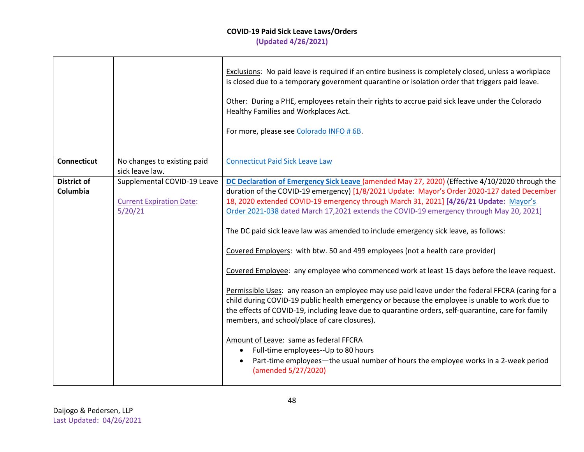|                                |                                                                           | Exclusions: No paid leave is required if an entire business is completely closed, unless a workplace<br>is closed due to a temporary government quarantine or isolation order that triggers paid leave.<br>Other: During a PHE, employees retain their rights to accrue paid sick leave under the Colorado<br>Healthy Families and Workplaces Act.<br>For more, please see Colorado INFO # 6B.                                                                                                                                                                                                                                                                                                                                                                                                                                                                                                                                                                                                                                                                                                                                                                                                                                                    |
|--------------------------------|---------------------------------------------------------------------------|---------------------------------------------------------------------------------------------------------------------------------------------------------------------------------------------------------------------------------------------------------------------------------------------------------------------------------------------------------------------------------------------------------------------------------------------------------------------------------------------------------------------------------------------------------------------------------------------------------------------------------------------------------------------------------------------------------------------------------------------------------------------------------------------------------------------------------------------------------------------------------------------------------------------------------------------------------------------------------------------------------------------------------------------------------------------------------------------------------------------------------------------------------------------------------------------------------------------------------------------------|
| <b>Connecticut</b>             | No changes to existing paid<br>sick leave law.                            | <b>Connecticut Paid Sick Leave Law</b>                                                                                                                                                                                                                                                                                                                                                                                                                                                                                                                                                                                                                                                                                                                                                                                                                                                                                                                                                                                                                                                                                                                                                                                                            |
| <b>District of</b><br>Columbia | Supplemental COVID-19 Leave<br><b>Current Expiration Date:</b><br>5/20/21 | DC Declaration of Emergency Sick Leave (amended May 27, 2020) (Effective 4/10/2020 through the<br>duration of the COVID-19 emergency) [1/8/2021 Update: Mayor's Order 2020-127 dated December<br>18, 2020 extended COVID-19 emergency through March 31, 2021] [4/26/21 Update: Mayor's<br>Order 2021-038 dated March 17,2021 extends the COVID-19 emergency through May 20, 2021]<br>The DC paid sick leave law was amended to include emergency sick leave, as follows:<br>Covered Employers: with btw. 50 and 499 employees (not a health care provider)<br>Covered Employee: any employee who commenced work at least 15 days before the leave request.<br>Permissible Uses: any reason an employee may use paid leave under the federal FFCRA (caring for a<br>child during COVID-19 public health emergency or because the employee is unable to work due to<br>the effects of COVID-19, including leave due to quarantine orders, self-quarantine, care for family<br>members, and school/place of care closures).<br>Amount of Leave: same as federal FFCRA<br>Full-time employees--Up to 80 hours<br>$\bullet$<br>Part-time employees—the usual number of hours the employee works in a 2-week period<br>$\bullet$<br>(amended 5/27/2020) |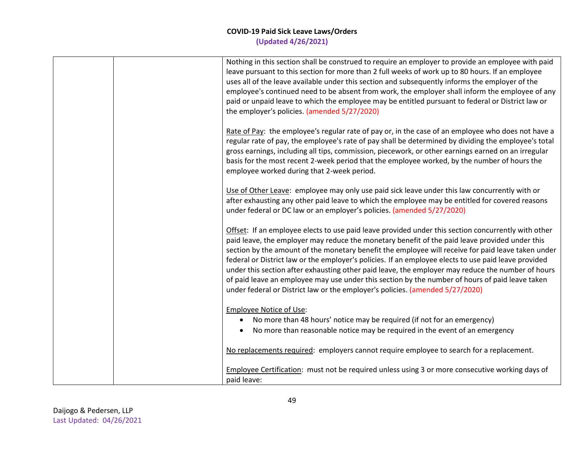|  | Nothing in this section shall be construed to require an employer to provide an employee with paid<br>leave pursuant to this section for more than 2 full weeks of work up to 80 hours. If an employee<br>uses all of the leave available under this section and subsequently informs the employer of the<br>employee's continued need to be absent from work, the employer shall inform the employee of any<br>paid or unpaid leave to which the employee may be entitled pursuant to federal or District law or<br>the employer's policies. (amended 5/27/2020)                                                                                                                                            |
|--|--------------------------------------------------------------------------------------------------------------------------------------------------------------------------------------------------------------------------------------------------------------------------------------------------------------------------------------------------------------------------------------------------------------------------------------------------------------------------------------------------------------------------------------------------------------------------------------------------------------------------------------------------------------------------------------------------------------|
|  | Rate of Pay: the employee's regular rate of pay or, in the case of an employee who does not have a<br>regular rate of pay, the employee's rate of pay shall be determined by dividing the employee's total<br>gross earnings, including all tips, commission, piecework, or other earnings earned on an irregular<br>basis for the most recent 2-week period that the employee worked, by the number of hours the<br>employee worked during that 2-week period.                                                                                                                                                                                                                                              |
|  | Use of Other Leave: employee may only use paid sick leave under this law concurrently with or<br>after exhausting any other paid leave to which the employee may be entitled for covered reasons<br>under federal or DC law or an employer's policies. (amended 5/27/2020)                                                                                                                                                                                                                                                                                                                                                                                                                                   |
|  | Offset: If an employee elects to use paid leave provided under this section concurrently with other<br>paid leave, the employer may reduce the monetary benefit of the paid leave provided under this<br>section by the amount of the monetary benefit the employee will receive for paid leave taken under<br>federal or District law or the employer's policies. If an employee elects to use paid leave provided<br>under this section after exhausting other paid leave, the employer may reduce the number of hours<br>of paid leave an employee may use under this section by the number of hours of paid leave taken<br>under federal or District law or the employer's policies. (amended 5/27/2020) |
|  | <b>Employee Notice of Use:</b><br>No more than 48 hours' notice may be required (if not for an emergency)<br>No more than reasonable notice may be required in the event of an emergency                                                                                                                                                                                                                                                                                                                                                                                                                                                                                                                     |
|  | No replacements required: employers cannot require employee to search for a replacement.                                                                                                                                                                                                                                                                                                                                                                                                                                                                                                                                                                                                                     |
|  | Employee Certification: must not be required unless using 3 or more consecutive working days of<br>paid leave:                                                                                                                                                                                                                                                                                                                                                                                                                                                                                                                                                                                               |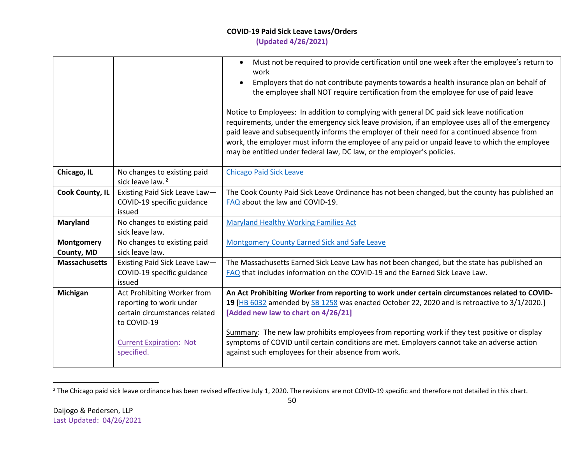work

|                                                 | Employers that do not contribute payments towards a health insurance plan on behalf of<br>the employee shall NOT require certification from the employee for use of paid leave                                                                                                                                                                                                                                                                                           |
|-------------------------------------------------|--------------------------------------------------------------------------------------------------------------------------------------------------------------------------------------------------------------------------------------------------------------------------------------------------------------------------------------------------------------------------------------------------------------------------------------------------------------------------|
|                                                 | Notice to Employees: In addition to complying with general DC paid sick leave notification<br>requirements, under the emergency sick leave provision, if an employee uses all of the emergency<br>paid leave and subsequently informs the employer of their need for a continued absence from<br>work, the employer must inform the employee of any paid or unpaid leave to which the employee<br>may be entitled under federal law, DC law, or the employer's policies. |
| anges to existing paid<br>ave law. <sup>2</sup> | <b>Chicago Paid Sick Leave</b>                                                                                                                                                                                                                                                                                                                                                                                                                                           |
| ng Paid Sick Leave Law-                         | The Cook County Paid Sick Leave Ordinance has not been changed, but the county has published are                                                                                                                                                                                                                                                                                                                                                                         |
| 0-19 specific guidance                          | FAQ about the law and COVID-19.                                                                                                                                                                                                                                                                                                                                                                                                                                          |
|                                                 |                                                                                                                                                                                                                                                                                                                                                                                                                                                                          |
| .                                               | $\mathbf{a}$ , and the second contract of the second contract of the second contract of the second contract of the second contract of the second contract of the second contract of the second contract of the second contract of                                                                                                                                                                                                                                        |

• Must not be required to provide certification until one week after the employee's return to

|                          |                                                                                                                                                        | paid leave and subsequently informs the employer of their need for a continued absence from<br>work, the employer must inform the employee of any paid or unpaid leave to which the employee<br>may be entitled under federal law, DC law, or the employer's policies.                                                                                                                                                                                                                       |
|--------------------------|--------------------------------------------------------------------------------------------------------------------------------------------------------|----------------------------------------------------------------------------------------------------------------------------------------------------------------------------------------------------------------------------------------------------------------------------------------------------------------------------------------------------------------------------------------------------------------------------------------------------------------------------------------------|
| Chicago, IL              | No changes to existing paid<br>sick leave law. <sup>2</sup>                                                                                            | <b>Chicago Paid Sick Leave</b>                                                                                                                                                                                                                                                                                                                                                                                                                                                               |
| <b>Cook County, IL</b>   | Existing Paid Sick Leave Law-<br>COVID-19 specific guidance<br>issued                                                                                  | The Cook County Paid Sick Leave Ordinance has not been changed, but the county has published an<br>FAQ about the law and COVID-19.                                                                                                                                                                                                                                                                                                                                                           |
| Maryland                 | No changes to existing paid<br>sick leave law.                                                                                                         | <b>Maryland Healthy Working Families Act</b>                                                                                                                                                                                                                                                                                                                                                                                                                                                 |
| Montgomery<br>County, MD | No changes to existing paid<br>sick leave law.                                                                                                         | <b>Montgomery County Earned Sick and Safe Leave</b>                                                                                                                                                                                                                                                                                                                                                                                                                                          |
| <b>Massachusetts</b>     | Existing Paid Sick Leave Law-<br>COVID-19 specific guidance<br>issued                                                                                  | The Massachusetts Earned Sick Leave Law has not been changed, but the state has published an<br>FAQ that includes information on the COVID-19 and the Earned Sick Leave Law.                                                                                                                                                                                                                                                                                                                 |
| Michigan                 | Act Prohibiting Worker from<br>reporting to work under<br>certain circumstances related<br>to COVID-19<br><b>Current Expiration: Not</b><br>specified. | An Act Prohibiting Worker from reporting to work under certain circumstances related to COVID-<br>19 [HB 6032 amended by SB 1258 was enacted October 22, 2020 and is retroactive to 3/1/2020.]<br>[Added new law to chart on 4/26/21]<br>Summary: The new law prohibits employees from reporting work if they test positive or display<br>symptoms of COVID until certain conditions are met. Employers cannot take an adverse action<br>against such employees for their absence from work. |
|                          |                                                                                                                                                        |                                                                                                                                                                                                                                                                                                                                                                                                                                                                                              |

<sup>&</sup>lt;sup>2</sup> The Chicago paid sick leave ordinance has been revised effective July 1, 2020. The revisions are not COVID-19 specific and therefore not detailed in this chart.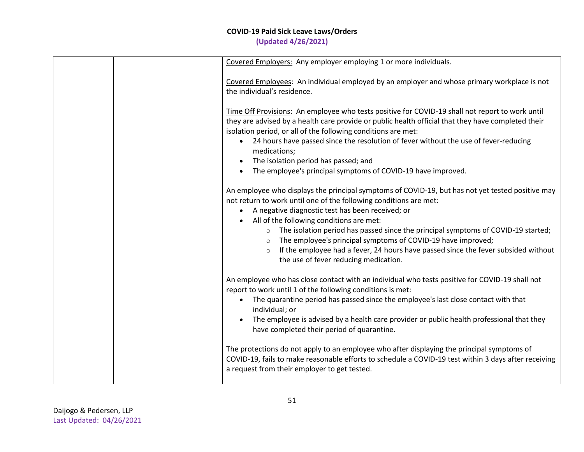| Covered Employers: Any employer employing 1 or more individuals.                                                                                                                                                                                                                                                                                                                                                                                                                                                                                                                               |
|------------------------------------------------------------------------------------------------------------------------------------------------------------------------------------------------------------------------------------------------------------------------------------------------------------------------------------------------------------------------------------------------------------------------------------------------------------------------------------------------------------------------------------------------------------------------------------------------|
| Covered Employees: An individual employed by an employer and whose primary workplace is not<br>the individual's residence.                                                                                                                                                                                                                                                                                                                                                                                                                                                                     |
| Time Off Provisions: An employee who tests positive for COVID-19 shall not report to work until<br>they are advised by a health care provide or public health official that they have completed their<br>isolation period, or all of the following conditions are met:<br>• 24 hours have passed since the resolution of fever without the use of fever-reducing<br>medications;<br>The isolation period has passed; and<br>$\bullet$<br>The employee's principal symptoms of COVID-19 have improved.                                                                                          |
| An employee who displays the principal symptoms of COVID-19, but has not yet tested positive may<br>not return to work until one of the following conditions are met:<br>A negative diagnostic test has been received; or<br>$\bullet$<br>All of the following conditions are met:<br>o The isolation period has passed since the principal symptoms of COVID-19 started;<br>The employee's principal symptoms of COVID-19 have improved;<br>$\circ$<br>If the employee had a fever, 24 hours have passed since the fever subsided without<br>$\circ$<br>the use of fever reducing medication. |
| An employee who has close contact with an individual who tests positive for COVID-19 shall not<br>report to work until 1 of the following conditions is met:<br>The quarantine period has passed since the employee's last close contact with that<br>$\bullet$<br>individual; or<br>The employee is advised by a health care provider or public health professional that they<br>have completed their period of quarantine.                                                                                                                                                                   |
| The protections do not apply to an employee who after displaying the principal symptoms of<br>COVID-19, fails to make reasonable efforts to schedule a COVID-19 test within 3 days after receiving<br>a request from their employer to get tested.                                                                                                                                                                                                                                                                                                                                             |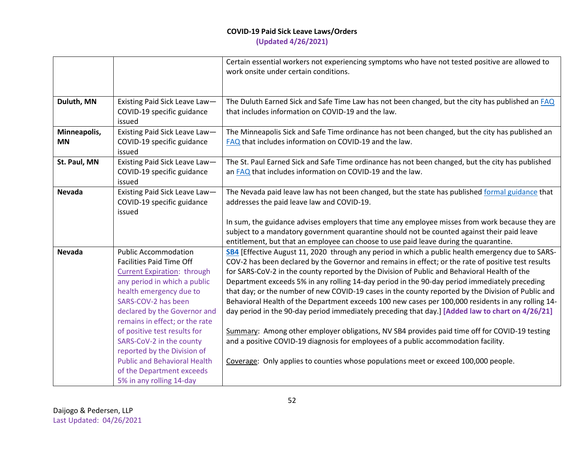|                           |                                                                                                                                                                                                                                                          | Certain essential workers not experiencing symptoms who have not tested positive are allowed to<br>work onsite under certain conditions.                                                                                                                                                                                                                                                                                                                                                                                                                                                                                                                                                                                  |
|---------------------------|----------------------------------------------------------------------------------------------------------------------------------------------------------------------------------------------------------------------------------------------------------|---------------------------------------------------------------------------------------------------------------------------------------------------------------------------------------------------------------------------------------------------------------------------------------------------------------------------------------------------------------------------------------------------------------------------------------------------------------------------------------------------------------------------------------------------------------------------------------------------------------------------------------------------------------------------------------------------------------------------|
| Duluth, MN                | Existing Paid Sick Leave Law-<br>COVID-19 specific guidance<br>issued                                                                                                                                                                                    | The Duluth Earned Sick and Safe Time Law has not been changed, but the city has published an FAQ<br>that includes information on COVID-19 and the law.                                                                                                                                                                                                                                                                                                                                                                                                                                                                                                                                                                    |
| Minneapolis,<br><b>MN</b> | Existing Paid Sick Leave Law-<br>COVID-19 specific guidance<br>issued                                                                                                                                                                                    | The Minneapolis Sick and Safe Time ordinance has not been changed, but the city has published an<br>FAQ that includes information on COVID-19 and the law.                                                                                                                                                                                                                                                                                                                                                                                                                                                                                                                                                                |
| St. Paul, MN              | Existing Paid Sick Leave Law-<br>COVID-19 specific guidance<br>issued                                                                                                                                                                                    | The St. Paul Earned Sick and Safe Time ordinance has not been changed, but the city has published<br>an FAQ that includes information on COVID-19 and the law.                                                                                                                                                                                                                                                                                                                                                                                                                                                                                                                                                            |
| <b>Nevada</b>             | Existing Paid Sick Leave Law-<br>COVID-19 specific guidance<br>issued                                                                                                                                                                                    | The Nevada paid leave law has not been changed, but the state has published formal guidance that<br>addresses the paid leave law and COVID-19.<br>In sum, the guidance advises employers that time any employee misses from work because they are                                                                                                                                                                                                                                                                                                                                                                                                                                                                         |
|                           |                                                                                                                                                                                                                                                          | subject to a mandatory government quarantine should not be counted against their paid leave<br>entitlement, but that an employee can choose to use paid leave during the quarantine.                                                                                                                                                                                                                                                                                                                                                                                                                                                                                                                                      |
| <b>Nevada</b>             | <b>Public Accommodation</b><br><b>Facilities Paid Time Off</b><br><b>Current Expiration: through</b><br>any period in which a public<br>health emergency due to<br>SARS-COV-2 has been<br>declared by the Governor and<br>remains in effect; or the rate | SB4 [Effective August 11, 2020 through any period in which a public health emergency due to SARS-<br>COV-2 has been declared by the Governor and remains in effect; or the rate of positive test results<br>for SARS-CoV-2 in the county reported by the Division of Public and Behavioral Health of the<br>Department exceeds 5% in any rolling 14-day period in the 90-day period immediately preceding<br>that day; or the number of new COVID-19 cases in the county reported by the Division of Public and<br>Behavioral Health of the Department exceeds 100 new cases per 100,000 residents in any rolling 14-<br>day period in the 90-day period immediately preceding that day.] [Added law to chart on 4/26/21] |
|                           | of positive test results for<br>SARS-CoV-2 in the county<br>reported by the Division of                                                                                                                                                                  | Summary: Among other employer obligations, NV SB4 provides paid time off for COVID-19 testing<br>and a positive COVID-19 diagnosis for employees of a public accommodation facility.                                                                                                                                                                                                                                                                                                                                                                                                                                                                                                                                      |
|                           | <b>Public and Behavioral Health</b><br>of the Department exceeds<br>5% in any rolling 14-day                                                                                                                                                             | Coverage: Only applies to counties whose populations meet or exceed 100,000 people.                                                                                                                                                                                                                                                                                                                                                                                                                                                                                                                                                                                                                                       |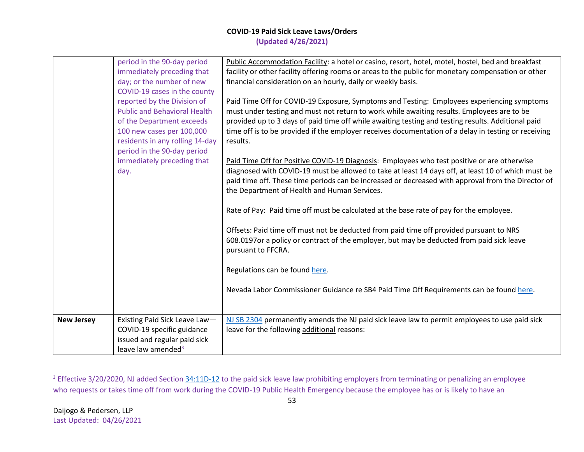|                   | period in the 90-day period         | Public Accommodation Facility: a hotel or casino, resort, hotel, motel, hostel, bed and breakfast                                                                                                          |
|-------------------|-------------------------------------|------------------------------------------------------------------------------------------------------------------------------------------------------------------------------------------------------------|
|                   | immediately preceding that          | facility or other facility offering rooms or areas to the public for monetary compensation or other                                                                                                        |
|                   | day; or the number of new           | financial consideration on an hourly, daily or weekly basis.                                                                                                                                               |
|                   | COVID-19 cases in the county        |                                                                                                                                                                                                            |
|                   | reported by the Division of         | Paid Time Off for COVID-19 Exposure, Symptoms and Testing: Employees experiencing symptoms                                                                                                                 |
|                   | <b>Public and Behavioral Health</b> | must under testing and must not return to work while awaiting results. Employees are to be                                                                                                                 |
|                   | of the Department exceeds           | provided up to 3 days of paid time off while awaiting testing and testing results. Additional paid                                                                                                         |
|                   | 100 new cases per 100,000           | time off is to be provided if the employer receives documentation of a delay in testing or receiving                                                                                                       |
|                   | residents in any rolling 14-day     | results.                                                                                                                                                                                                   |
|                   | period in the 90-day period         |                                                                                                                                                                                                            |
|                   | immediately preceding that          | Paid Time Off for Positive COVID-19 Diagnosis: Employees who test positive or are otherwise                                                                                                                |
|                   | day.                                | diagnosed with COVID-19 must be allowed to take at least 14 days off, at least 10 of which must be                                                                                                         |
|                   |                                     | paid time off. These time periods can be increased or decreased with approval from the Director of                                                                                                         |
|                   |                                     |                                                                                                                                                                                                            |
|                   |                                     | the Department of Health and Human Services.                                                                                                                                                               |
|                   |                                     | Rate of Pay: Paid time off must be calculated at the base rate of pay for the employee.                                                                                                                    |
|                   |                                     | Offsets: Paid time off must not be deducted from paid time off provided pursuant to NRS<br>608.0197or a policy or contract of the employer, but may be deducted from paid sick leave<br>pursuant to FFCRA. |
|                   |                                     | Regulations can be found here.                                                                                                                                                                             |
|                   |                                     | Nevada Labor Commissioner Guidance re SB4 Paid Time Off Requirements can be found here.                                                                                                                    |
|                   |                                     |                                                                                                                                                                                                            |
| <b>New Jersey</b> | Existing Paid Sick Leave Law-       | NJ SB 2304 permanently amends the NJ paid sick leave law to permit employees to use paid sick                                                                                                              |
|                   | COVID-19 specific guidance          | leave for the following additional reasons:                                                                                                                                                                |
|                   | issued and regular paid sick        |                                                                                                                                                                                                            |
|                   | leave law amended <sup>3</sup>      |                                                                                                                                                                                                            |

<sup>&</sup>lt;sup>3</sup> Effective 3/20/2020, NJ added Section [34:11D-12](https://casetext.com/statute/new-jersey-statutes/title-34-labor-and-workmens-compensation/chapter-3411d/section-3411d-12-employer-prohibited-from-terminating-penalizing-employee-during-times-of-emergency) to the paid sick leave law prohibiting employers from terminating or penalizing an employee who requests or takes time off from work during the COVID-19 Public Health Emergency because the employee has or is likely to have an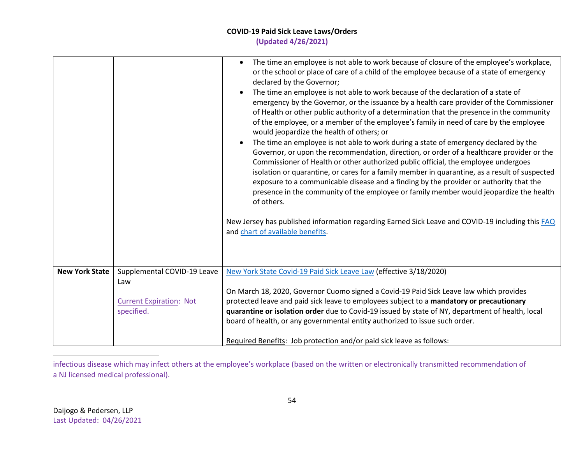|                       |                                                                                    | The time an employee is not able to work because of closure of the employee's workplace,<br>$\bullet$<br>or the school or place of care of a child of the employee because of a state of emergency<br>declared by the Governor;<br>The time an employee is not able to work because of the declaration of a state of<br>emergency by the Governor, or the issuance by a health care provider of the Commissioner<br>of Health or other public authority of a determination that the presence in the community<br>of the employee, or a member of the employee's family in need of care by the employee<br>would jeopardize the health of others; or<br>The time an employee is not able to work during a state of emergency declared by the<br>Governor, or upon the recommendation, direction, or order of a healthcare provider or the<br>Commissioner of Health or other authorized public official, the employee undergoes<br>isolation or quarantine, or cares for a family member in quarantine, as a result of suspected<br>exposure to a communicable disease and a finding by the provider or authority that the<br>presence in the community of the employee or family member would jeopardize the health<br>of others.<br>New Jersey has published information regarding Earned Sick Leave and COVID-19 including this FAQ<br>and chart of available benefits. |
|-----------------------|------------------------------------------------------------------------------------|---------------------------------------------------------------------------------------------------------------------------------------------------------------------------------------------------------------------------------------------------------------------------------------------------------------------------------------------------------------------------------------------------------------------------------------------------------------------------------------------------------------------------------------------------------------------------------------------------------------------------------------------------------------------------------------------------------------------------------------------------------------------------------------------------------------------------------------------------------------------------------------------------------------------------------------------------------------------------------------------------------------------------------------------------------------------------------------------------------------------------------------------------------------------------------------------------------------------------------------------------------------------------------------------------------------------------------------------------------------------------|
| <b>New York State</b> | Supplemental COVID-19 Leave<br>Law<br><b>Current Expiration: Not</b><br>specified. | New York State Covid-19 Paid Sick Leave Law (effective 3/18/2020)<br>On March 18, 2020, Governor Cuomo signed a Covid-19 Paid Sick Leave law which provides<br>protected leave and paid sick leave to employees subject to a mandatory or precautionary<br>quarantine or isolation order due to Covid-19 issued by state of NY, department of health, local<br>board of health, or any governmental entity authorized to issue such order.<br>Required Benefits: Job protection and/or paid sick leave as follows:                                                                                                                                                                                                                                                                                                                                                                                                                                                                                                                                                                                                                                                                                                                                                                                                                                                        |

infectious disease which may infect others at the employee's workplace (based on the written or electronically transmitted recommendation of a NJ licensed medical professional).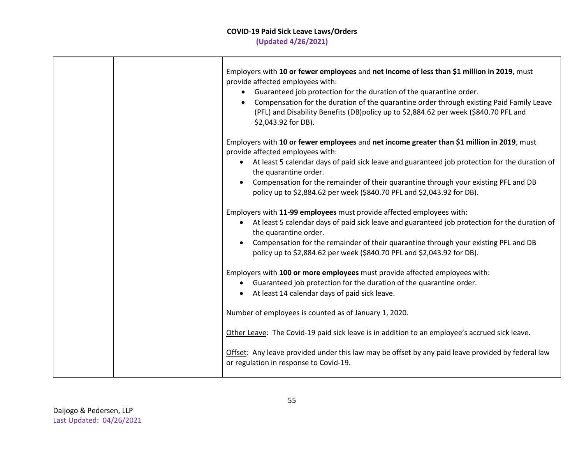|  | Employers with 10 or fewer employees and net income of less than \$1 million in 2019, must<br>provide affected employees with:<br>• Guaranteed job protection for the duration of the quarantine order.<br>Compensation for the duration of the quarantine order through existing Paid Family Leave<br>(PFL) and Disability Benefits (DB)policy up to \$2,884.62 per week (\$840.70 PFL and<br>\$2,043.92 for DB).                     |
|--|----------------------------------------------------------------------------------------------------------------------------------------------------------------------------------------------------------------------------------------------------------------------------------------------------------------------------------------------------------------------------------------------------------------------------------------|
|  | Employers with 10 or fewer employees and net income greater than \$1 million in 2019, must<br>provide affected employees with:<br>At least 5 calendar days of paid sick leave and guaranteed job protection for the duration of<br>$\bullet$<br>the quarantine order.<br>Compensation for the remainder of their quarantine through your existing PFL and DB<br>policy up to \$2,884.62 per week (\$840.70 PFL and \$2,043.92 for DB). |
|  | Employers with 11-99 employees must provide affected employees with:<br>• At least 5 calendar days of paid sick leave and guaranteed job protection for the duration of<br>the quarantine order.<br>Compensation for the remainder of their quarantine through your existing PFL and DB<br>$\bullet$<br>policy up to \$2,884.62 per week (\$840.70 PFL and \$2,043.92 for DB).                                                         |
|  | Employers with 100 or more employees must provide affected employees with:<br>Guaranteed job protection for the duration of the quarantine order.<br>At least 14 calendar days of paid sick leave.                                                                                                                                                                                                                                     |
|  | Number of employees is counted as of January 1, 2020.                                                                                                                                                                                                                                                                                                                                                                                  |
|  | Other Leave: The Covid-19 paid sick leave is in addition to an employee's accrued sick leave.<br>Offset: Any leave provided under this law may be offset by any paid leave provided by federal law<br>or regulation in response to Covid-19.                                                                                                                                                                                           |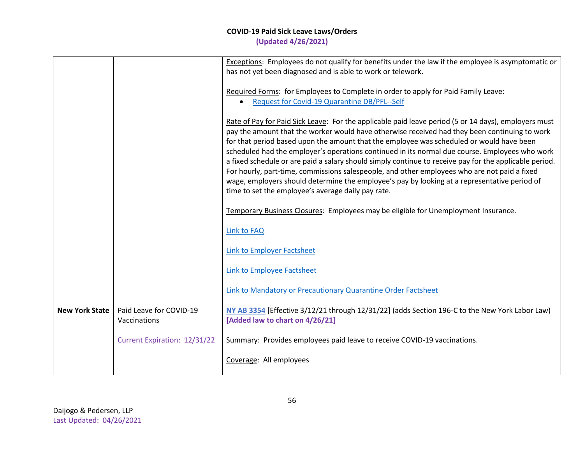|                       |                                         | Exceptions: Employees do not qualify for benefits under the law if the employee is asymptomatic or<br>has not yet been diagnosed and is able to work or telework.                                                                                                                                                                                                                                                                                                                                                                                                                                                                                                                                                                                                   |
|-----------------------|-----------------------------------------|---------------------------------------------------------------------------------------------------------------------------------------------------------------------------------------------------------------------------------------------------------------------------------------------------------------------------------------------------------------------------------------------------------------------------------------------------------------------------------------------------------------------------------------------------------------------------------------------------------------------------------------------------------------------------------------------------------------------------------------------------------------------|
|                       |                                         | Required Forms: for Employees to Complete in order to apply for Paid Family Leave:<br>Request for Covid-19 Quarantine DB/PFL--Self                                                                                                                                                                                                                                                                                                                                                                                                                                                                                                                                                                                                                                  |
|                       |                                         | Rate of Pay for Paid Sick Leave: For the applicable paid leave period (5 or 14 days), employers must<br>pay the amount that the worker would have otherwise received had they been continuing to work<br>for that period based upon the amount that the employee was scheduled or would have been<br>scheduled had the employer's operations continued in its normal due course. Employees who work<br>a fixed schedule or are paid a salary should simply continue to receive pay for the applicable period.<br>For hourly, part-time, commissions salespeople, and other employees who are not paid a fixed<br>wage, employers should determine the employee's pay by looking at a representative period of<br>time to set the employee's average daily pay rate. |
|                       |                                         | Temporary Business Closures: Employees may be eligible for Unemployment Insurance.                                                                                                                                                                                                                                                                                                                                                                                                                                                                                                                                                                                                                                                                                  |
|                       |                                         | <b>Link to FAQ</b>                                                                                                                                                                                                                                                                                                                                                                                                                                                                                                                                                                                                                                                                                                                                                  |
|                       |                                         | Link to Employer Factsheet                                                                                                                                                                                                                                                                                                                                                                                                                                                                                                                                                                                                                                                                                                                                          |
|                       |                                         | Link to Employee Factsheet                                                                                                                                                                                                                                                                                                                                                                                                                                                                                                                                                                                                                                                                                                                                          |
|                       |                                         | Link to Mandatory or Precautionary Quarantine Order Factsheet                                                                                                                                                                                                                                                                                                                                                                                                                                                                                                                                                                                                                                                                                                       |
| <b>New York State</b> | Paid Leave for COVID-19<br>Vaccinations | NY AB 3354 [Effective 3/12/21 through 12/31/22] (adds Section 196-C to the New York Labor Law)<br>[Added law to chart on 4/26/21]                                                                                                                                                                                                                                                                                                                                                                                                                                                                                                                                                                                                                                   |
|                       | Current Expiration: 12/31/22            | Summary: Provides employees paid leave to receive COVID-19 vaccinations.                                                                                                                                                                                                                                                                                                                                                                                                                                                                                                                                                                                                                                                                                            |
|                       |                                         | Coverage: All employees                                                                                                                                                                                                                                                                                                                                                                                                                                                                                                                                                                                                                                                                                                                                             |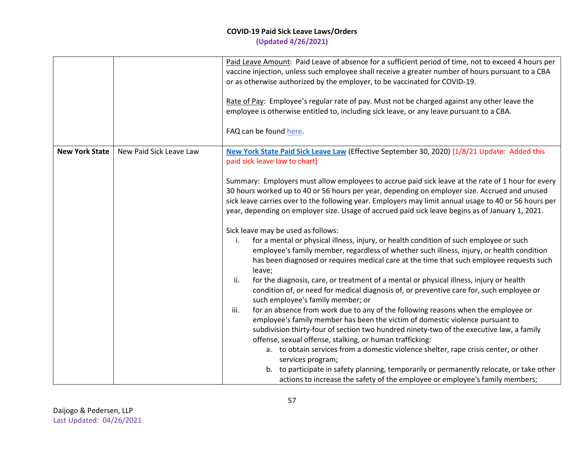|                       |                         | Paid Leave Amount: Paid Leave of absence for a sufficient period of time, not to exceed 4 hours per<br>vaccine injection, unless such employee shall receive a greater number of hours pursuant to a CBA<br>or as otherwise authorized by the employer, to be vaccinated for COVID-19.<br>Rate of Pay: Employee's regular rate of pay. Must not be charged against any other leave the<br>employee is otherwise entitled to, including sick leave, or any leave pursuant to a CBA.<br>FAQ can be found here. |
|-----------------------|-------------------------|--------------------------------------------------------------------------------------------------------------------------------------------------------------------------------------------------------------------------------------------------------------------------------------------------------------------------------------------------------------------------------------------------------------------------------------------------------------------------------------------------------------|
| <b>New York State</b> | New Paid Sick Leave Law | New York State Paid Sick Leave Law (Effective September 30, 2020) [1/8/21 Update: Added this<br>paid sick leave law to chart]                                                                                                                                                                                                                                                                                                                                                                                |
|                       |                         | Summary: Employers must allow employees to accrue paid sick leave at the rate of 1 hour for every<br>30 hours worked up to 40 or 56 hours per year, depending on employer size. Accrued and unused<br>sick leave carries over to the following year. Employers may limit annual usage to 40 or 56 hours per<br>year, depending on employer size. Usage of accrued paid sick leave begins as of January 1, 2021.                                                                                              |
|                       |                         | Sick leave may be used as follows:<br>for a mental or physical illness, injury, or health condition of such employee or such<br>i.<br>employee's family member, regardless of whether such illness, injury, or health condition<br>has been diagnosed or requires medical care at the time that such employee requests such<br>leave;                                                                                                                                                                        |
|                       |                         | ii.<br>for the diagnosis, care, or treatment of a mental or physical illness, injury or health<br>condition of, or need for medical diagnosis of, or preventive care for, such employee or<br>such employee's family member; or                                                                                                                                                                                                                                                                              |
|                       |                         | iii.<br>for an absence from work due to any of the following reasons when the employee or<br>employee's family member has been the victim of domestic violence pursuant to<br>subdivision thirty-four of section two hundred ninety-two of the executive law, a family<br>offense, sexual offense, stalking, or human trafficking:                                                                                                                                                                           |
|                       |                         | a. to obtain services from a domestic violence shelter, rape crisis center, or other<br>services program;<br>b. to participate in safety planning, temporarily or permanently relocate, or take other<br>actions to increase the safety of the employee or employee's family members;                                                                                                                                                                                                                        |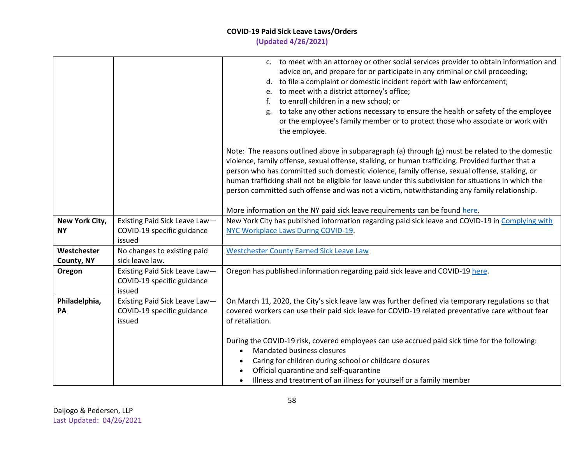|                             |                                                                       | c. to meet with an attorney or other social services provider to obtain information and<br>advice on, and prepare for or participate in any criminal or civil proceeding;<br>d. to file a complaint or domestic incident report with law enforcement;<br>e. to meet with a district attorney's office;<br>to enroll children in a new school; or<br>f.<br>to take any other actions necessary to ensure the health or safety of the employee<br>g.                                                             |
|-----------------------------|-----------------------------------------------------------------------|----------------------------------------------------------------------------------------------------------------------------------------------------------------------------------------------------------------------------------------------------------------------------------------------------------------------------------------------------------------------------------------------------------------------------------------------------------------------------------------------------------------|
|                             |                                                                       | or the employee's family member or to protect those who associate or work with<br>the employee.                                                                                                                                                                                                                                                                                                                                                                                                                |
|                             |                                                                       | Note: The reasons outlined above in subparagraph (a) through (g) must be related to the domestic<br>violence, family offense, sexual offense, stalking, or human trafficking. Provided further that a<br>person who has committed such domestic violence, family offense, sexual offense, stalking, or<br>human trafficking shall not be eligible for leave under this subdivision for situations in which the<br>person committed such offense and was not a victim, notwithstanding any family relationship. |
|                             |                                                                       | More information on the NY paid sick leave requirements can be found here.                                                                                                                                                                                                                                                                                                                                                                                                                                     |
| New York City,<br><b>NY</b> | Existing Paid Sick Leave Law-<br>COVID-19 specific guidance<br>issued | New York City has published information regarding paid sick leave and COVID-19 in Complying with<br>NYC Workplace Laws During COVID-19.                                                                                                                                                                                                                                                                                                                                                                        |
| Westchester<br>County, NY   | No changes to existing paid<br>sick leave law.                        | <b>Westchester County Earned Sick Leave Law</b>                                                                                                                                                                                                                                                                                                                                                                                                                                                                |
| Oregon                      | Existing Paid Sick Leave Law-<br>COVID-19 specific guidance<br>issued | Oregon has published information regarding paid sick leave and COVID-19 here.                                                                                                                                                                                                                                                                                                                                                                                                                                  |
| Philadelphia,<br>PA         | Existing Paid Sick Leave Law-<br>COVID-19 specific guidance<br>issued | On March 11, 2020, the City's sick leave law was further defined via temporary regulations so that<br>covered workers can use their paid sick leave for COVID-19 related preventative care without fear<br>of retaliation.                                                                                                                                                                                                                                                                                     |
|                             |                                                                       | During the COVID-19 risk, covered employees can use accrued paid sick time for the following:<br>Mandated business closures<br>Caring for children during school or childcare closures<br>Official quarantine and self-quarantine<br>Illness and treatment of an illness for yourself or a family member                                                                                                                                                                                                       |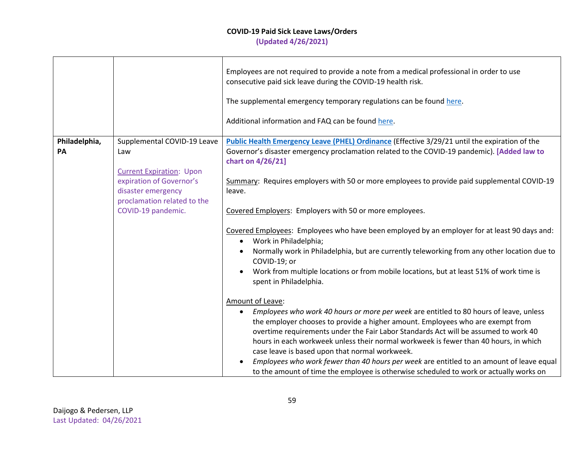|               |                                                | Employees are not required to provide a note from a medical professional in order to use<br>consecutive paid sick leave during the COVID-19 health risk.                                                                                                                                                                                                                                                               |
|---------------|------------------------------------------------|------------------------------------------------------------------------------------------------------------------------------------------------------------------------------------------------------------------------------------------------------------------------------------------------------------------------------------------------------------------------------------------------------------------------|
|               |                                                | The supplemental emergency temporary regulations can be found here.                                                                                                                                                                                                                                                                                                                                                    |
|               |                                                | Additional information and FAQ can be found here.                                                                                                                                                                                                                                                                                                                                                                      |
| Philadelphia, | Supplemental COVID-19 Leave                    | Public Health Emergency Leave (PHEL) Ordinance (Effective 3/29/21 until the expiration of the                                                                                                                                                                                                                                                                                                                          |
| PA            | Law                                            | Governor's disaster emergency proclamation related to the COVID-19 pandemic). [Added law to<br>chart on 4/26/21]                                                                                                                                                                                                                                                                                                       |
|               | <b>Current Expiration: Upon</b>                |                                                                                                                                                                                                                                                                                                                                                                                                                        |
|               | expiration of Governor's<br>disaster emergency | Summary: Requires employers with 50 or more employees to provide paid supplemental COVID-19<br>leave.                                                                                                                                                                                                                                                                                                                  |
|               | proclamation related to the                    |                                                                                                                                                                                                                                                                                                                                                                                                                        |
|               | COVID-19 pandemic.                             | Covered Employers: Employers with 50 or more employees.                                                                                                                                                                                                                                                                                                                                                                |
|               |                                                | Covered Employees: Employees who have been employed by an employer for at least 90 days and:<br>Work in Philadelphia;<br>$\bullet$                                                                                                                                                                                                                                                                                     |
|               |                                                | Normally work in Philadelphia, but are currently teleworking from any other location due to<br>COVID-19; or                                                                                                                                                                                                                                                                                                            |
|               |                                                | Work from multiple locations or from mobile locations, but at least 51% of work time is<br>spent in Philadelphia.                                                                                                                                                                                                                                                                                                      |
|               |                                                | Amount of Leave:                                                                                                                                                                                                                                                                                                                                                                                                       |
|               |                                                | Employees who work 40 hours or more per week are entitled to 80 hours of leave, unless<br>$\bullet$<br>the employer chooses to provide a higher amount. Employees who are exempt from<br>overtime requirements under the Fair Labor Standards Act will be assumed to work 40<br>hours in each workweek unless their normal workweek is fewer than 40 hours, in which<br>case leave is based upon that normal workweek. |
|               |                                                | Employees who work fewer than 40 hours per week are entitled to an amount of leave equal<br>to the amount of time the employee is otherwise scheduled to work or actually works on                                                                                                                                                                                                                                     |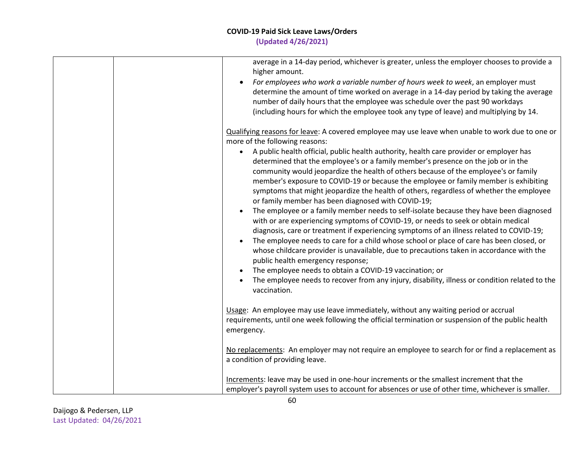| average in a 14-day period, whichever is greater, unless the employer chooses to provide a<br>higher amount.<br>For employees who work a variable number of hours week to week, an employer must<br>determine the amount of time worked on average in a 14-day period by taking the average<br>number of daily hours that the employee was schedule over the past 90 workdays<br>(including hours for which the employee took any type of leave) and multiplying by 14.                                                                                                                                                                                                                                                                                                                                                            |
|------------------------------------------------------------------------------------------------------------------------------------------------------------------------------------------------------------------------------------------------------------------------------------------------------------------------------------------------------------------------------------------------------------------------------------------------------------------------------------------------------------------------------------------------------------------------------------------------------------------------------------------------------------------------------------------------------------------------------------------------------------------------------------------------------------------------------------|
| Qualifying reasons for leave: A covered employee may use leave when unable to work due to one or<br>more of the following reasons:<br>A public health official, public health authority, health care provider or employer has<br>$\bullet$<br>determined that the employee's or a family member's presence on the job or in the<br>community would jeopardize the health of others because of the employee's or family<br>member's exposure to COVID-19 or because the employee or family member is exhibiting                                                                                                                                                                                                                                                                                                                     |
| symptoms that might jeopardize the health of others, regardless of whether the employee<br>or family member has been diagnosed with COVID-19;<br>The employee or a family member needs to self-isolate because they have been diagnosed<br>with or are experiencing symptoms of COVID-19, or needs to seek or obtain medical<br>diagnosis, care or treatment if experiencing symptoms of an illness related to COVID-19;<br>The employee needs to care for a child whose school or place of care has been closed, or<br>whose childcare provider is unavailable, due to precautions taken in accordance with the<br>public health emergency response;<br>The employee needs to obtain a COVID-19 vaccination; or<br>The employee needs to recover from any injury, disability, illness or condition related to the<br>vaccination. |
| Usage: An employee may use leave immediately, without any waiting period or accrual<br>requirements, until one week following the official termination or suspension of the public health<br>emergency.                                                                                                                                                                                                                                                                                                                                                                                                                                                                                                                                                                                                                            |
| No replacements: An employer may not require an employee to search for or find a replacement as<br>a condition of providing leave.                                                                                                                                                                                                                                                                                                                                                                                                                                                                                                                                                                                                                                                                                                 |
| Increments: leave may be used in one-hour increments or the smallest increment that the<br>employer's payroll system uses to account for absences or use of other time, whichever is smaller.                                                                                                                                                                                                                                                                                                                                                                                                                                                                                                                                                                                                                                      |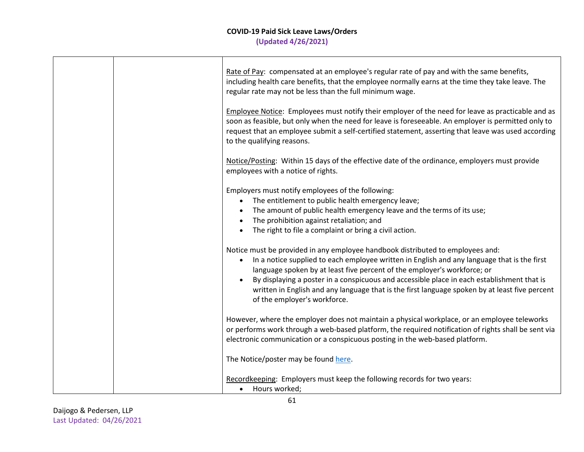|  | Rate of Pay: compensated at an employee's regular rate of pay and with the same benefits,<br>including health care benefits, that the employee normally earns at the time they take leave. The<br>regular rate may not be less than the full minimum wage.<br>Employee Notice: Employees must notify their employer of the need for leave as practicable and as<br>soon as feasible, but only when the need for leave is foreseeable. An employer is permitted only to                                 |
|--|--------------------------------------------------------------------------------------------------------------------------------------------------------------------------------------------------------------------------------------------------------------------------------------------------------------------------------------------------------------------------------------------------------------------------------------------------------------------------------------------------------|
|  | request that an employee submit a self-certified statement, asserting that leave was used according<br>to the qualifying reasons.                                                                                                                                                                                                                                                                                                                                                                      |
|  | Notice/Posting: Within 15 days of the effective date of the ordinance, employers must provide<br>employees with a notice of rights.                                                                                                                                                                                                                                                                                                                                                                    |
|  | Employers must notify employees of the following:                                                                                                                                                                                                                                                                                                                                                                                                                                                      |
|  | The entitlement to public health emergency leave;<br>$\bullet$                                                                                                                                                                                                                                                                                                                                                                                                                                         |
|  | The amount of public health emergency leave and the terms of its use;                                                                                                                                                                                                                                                                                                                                                                                                                                  |
|  | The prohibition against retaliation; and<br>$\bullet$                                                                                                                                                                                                                                                                                                                                                                                                                                                  |
|  | The right to file a complaint or bring a civil action.<br>$\bullet$                                                                                                                                                                                                                                                                                                                                                                                                                                    |
|  | Notice must be provided in any employee handbook distributed to employees and:<br>In a notice supplied to each employee written in English and any language that is the first<br>language spoken by at least five percent of the employer's workforce; or<br>By displaying a poster in a conspicuous and accessible place in each establishment that is<br>$\bullet$<br>written in English and any language that is the first language spoken by at least five percent<br>of the employer's workforce. |
|  | However, where the employer does not maintain a physical workplace, or an employee teleworks<br>or performs work through a web-based platform, the required notification of rights shall be sent via<br>electronic communication or a conspicuous posting in the web-based platform.                                                                                                                                                                                                                   |
|  | The Notice/poster may be found here.                                                                                                                                                                                                                                                                                                                                                                                                                                                                   |
|  | Recordkeeping: Employers must keep the following records for two years:                                                                                                                                                                                                                                                                                                                                                                                                                                |
|  | Hours worked;<br>$\bullet$                                                                                                                                                                                                                                                                                                                                                                                                                                                                             |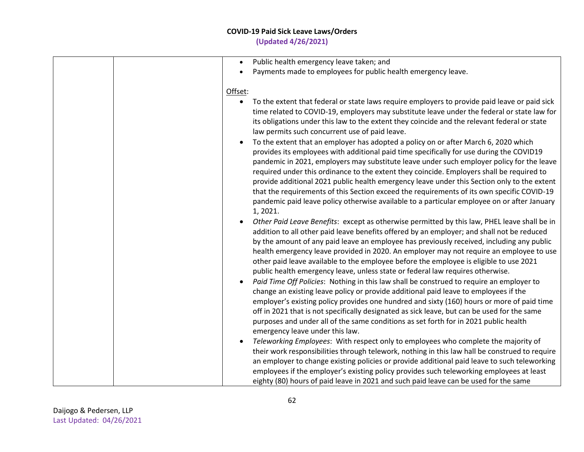## **COVID-19 Paid Sick Leave Laws/Orders**

**(Updated 4/26/2021)**

|         | Public health emergency leave taken; and<br>$\bullet$                                            |
|---------|--------------------------------------------------------------------------------------------------|
|         | Payments made to employees for public health emergency leave.                                    |
|         |                                                                                                  |
| Offset: |                                                                                                  |
|         | $\bullet$                                                                                        |
|         | To the extent that federal or state laws require employers to provide paid leave or paid sick    |
|         | time related to COVID-19, employers may substitute leave under the federal or state law for      |
|         | its obligations under this law to the extent they coincide and the relevant federal or state     |
|         | law permits such concurrent use of paid leave.                                                   |
|         | To the extent that an employer has adopted a policy on or after March 6, 2020 which<br>$\bullet$ |
|         | provides its employees with additional paid time specifically for use during the COVID19         |
|         | pandemic in 2021, employers may substitute leave under such employer policy for the leave        |
|         | required under this ordinance to the extent they coincide. Employers shall be required to        |
|         | provide additional 2021 public health emergency leave under this Section only to the extent      |
|         |                                                                                                  |
|         | that the requirements of this Section exceed the requirements of its own specific COVID-19       |
|         | pandemic paid leave policy otherwise available to a particular employee on or after January      |
|         | 1, 2021.                                                                                         |
|         | Other Paid Leave Benefits: except as otherwise permitted by this law, PHEL leave shall be in     |
|         | addition to all other paid leave benefits offered by an employer; and shall not be reduced       |
|         | by the amount of any paid leave an employee has previously received, including any public        |
|         | health emergency leave provided in 2020. An employer may not require an employee to use          |
|         | other paid leave available to the employee before the employee is eligible to use 2021           |
|         | public health emergency leave, unless state or federal law requires otherwise.                   |
|         | Paid Time Off Policies: Nothing in this law shall be construed to require an employer to         |
|         |                                                                                                  |
|         | change an existing leave policy or provide additional paid leave to employees if the             |
|         | employer's existing policy provides one hundred and sixty (160) hours or more of paid time       |
|         | off in 2021 that is not specifically designated as sick leave, but can be used for the same      |
|         | purposes and under all of the same conditions as set forth for in 2021 public health             |
|         | emergency leave under this law.                                                                  |
|         | Teleworking Employees: With respect only to employees who complete the majority of               |
|         | their work responsibilities through telework, nothing in this law hall be construed to require   |
|         | an employer to change existing policies or provide additional paid leave to such teleworking     |
|         | employees if the employer's existing policy provides such teleworking employees at least         |
|         |                                                                                                  |
|         | eighty (80) hours of paid leave in 2021 and such paid leave can be used for the same             |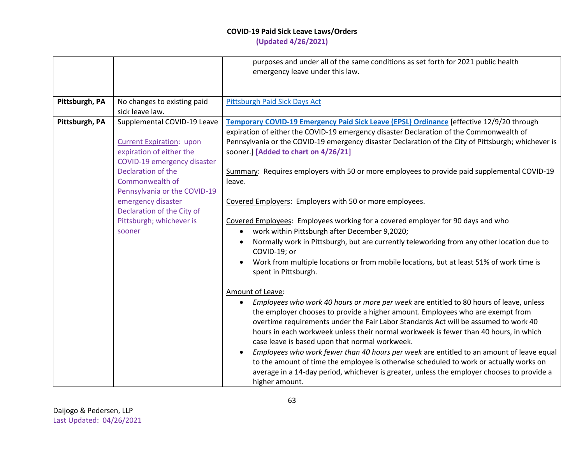|                                                                                                                                                                                                                                                                                                                                                                                     | emergency leave under this law.                                                                                                                                                                                                                                                                                                                                                                                                                                                                                                                                                                                                                                                                                                                                                                                                                                                                                                                                                                                                                                                                                                                                                                                                                                                                                                                                                                                                                                                                                                                                   |
|-------------------------------------------------------------------------------------------------------------------------------------------------------------------------------------------------------------------------------------------------------------------------------------------------------------------------------------------------------------------------------------|-------------------------------------------------------------------------------------------------------------------------------------------------------------------------------------------------------------------------------------------------------------------------------------------------------------------------------------------------------------------------------------------------------------------------------------------------------------------------------------------------------------------------------------------------------------------------------------------------------------------------------------------------------------------------------------------------------------------------------------------------------------------------------------------------------------------------------------------------------------------------------------------------------------------------------------------------------------------------------------------------------------------------------------------------------------------------------------------------------------------------------------------------------------------------------------------------------------------------------------------------------------------------------------------------------------------------------------------------------------------------------------------------------------------------------------------------------------------------------------------------------------------------------------------------------------------|
|                                                                                                                                                                                                                                                                                                                                                                                     |                                                                                                                                                                                                                                                                                                                                                                                                                                                                                                                                                                                                                                                                                                                                                                                                                                                                                                                                                                                                                                                                                                                                                                                                                                                                                                                                                                                                                                                                                                                                                                   |
| Pittsburgh, PA<br>No changes to existing paid<br>sick leave law.                                                                                                                                                                                                                                                                                                                    | Pittsburgh Paid Sick Days Act                                                                                                                                                                                                                                                                                                                                                                                                                                                                                                                                                                                                                                                                                                                                                                                                                                                                                                                                                                                                                                                                                                                                                                                                                                                                                                                                                                                                                                                                                                                                     |
| Pittsburgh, PA<br>Supplemental COVID-19 Leave<br><b>Current Expiration: upon</b><br>expiration of either the<br>COVID-19 emergency disaster<br>Declaration of the<br>Commonwealth of<br>leave.<br>Pennsylvania or the COVID-19<br>emergency disaster<br>Declaration of the City of<br>Pittsburgh; whichever is<br>sooner<br>$\bullet$<br>$\bullet$<br>Amount of Leave:<br>$\bullet$ | Temporary COVID-19 Emergency Paid Sick Leave (EPSL) Ordinance [effective 12/9/20 through<br>expiration of either the COVID-19 emergency disaster Declaration of the Commonwealth of<br>Pennsylvania or the COVID-19 emergency disaster Declaration of the City of Pittsburgh; whichever is<br>sooner.] [Added to chart on 4/26/21]<br>Summary: Requires employers with 50 or more employees to provide paid supplemental COVID-19<br>Covered Employers: Employers with 50 or more employees.<br>Covered Employees: Employees working for a covered employer for 90 days and who<br>work within Pittsburgh after December 9,2020;<br>Normally work in Pittsburgh, but are currently teleworking from any other location due to<br>COVID-19; or<br>Work from multiple locations or from mobile locations, but at least 51% of work time is<br>spent in Pittsburgh.<br>Employees who work 40 hours or more per week are entitled to 80 hours of leave, unless<br>the employer chooses to provide a higher amount. Employees who are exempt from<br>overtime requirements under the Fair Labor Standards Act will be assumed to work 40<br>hours in each workweek unless their normal workweek is fewer than 40 hours, in which<br>case leave is based upon that normal workweek.<br>Employees who work fewer than 40 hours per week are entitled to an amount of leave equal<br>to the amount of time the employee is otherwise scheduled to work or actually works on<br>average in a 14-day period, whichever is greater, unless the employer chooses to provide a |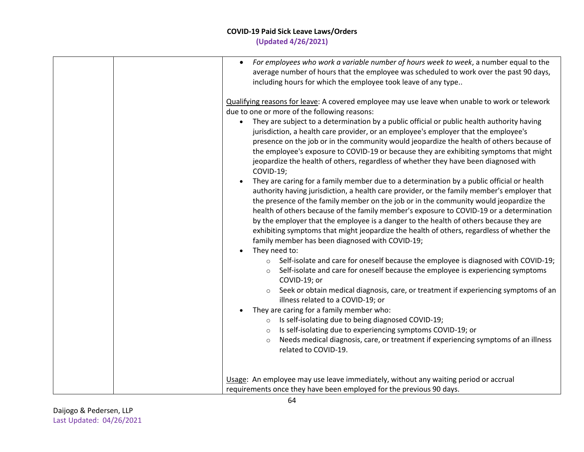| For employees who work a variable number of hours week to week, a number equal to the<br>$\bullet$<br>average number of hours that the employee was scheduled to work over the past 90 days,<br>including hours for which the employee took leave of any type                                                                                                                                                                                                                                                                                                                                                                                                                                                                                                                                                                                                                                                                                                                                                                                                                                                                                                                                                                                                                                                                                                                                                                                                                                                                                                                                                                                                                 |
|-------------------------------------------------------------------------------------------------------------------------------------------------------------------------------------------------------------------------------------------------------------------------------------------------------------------------------------------------------------------------------------------------------------------------------------------------------------------------------------------------------------------------------------------------------------------------------------------------------------------------------------------------------------------------------------------------------------------------------------------------------------------------------------------------------------------------------------------------------------------------------------------------------------------------------------------------------------------------------------------------------------------------------------------------------------------------------------------------------------------------------------------------------------------------------------------------------------------------------------------------------------------------------------------------------------------------------------------------------------------------------------------------------------------------------------------------------------------------------------------------------------------------------------------------------------------------------------------------------------------------------------------------------------------------------|
| Qualifying reasons for leave: A covered employee may use leave when unable to work or telework<br>due to one or more of the following reasons:<br>They are subject to a determination by a public official or public health authority having<br>$\bullet$<br>jurisdiction, a health care provider, or an employee's employer that the employee's<br>presence on the job or in the community would jeopardize the health of others because of<br>the employee's exposure to COVID-19 or because they are exhibiting symptoms that might<br>jeopardize the health of others, regardless of whether they have been diagnosed with<br>COVID-19;<br>They are caring for a family member due to a determination by a public official or health<br>authority having jurisdiction, a health care provider, or the family member's employer that<br>the presence of the family member on the job or in the community would jeopardize the<br>health of others because of the family member's exposure to COVID-19 or a determination<br>by the employer that the employee is a danger to the health of others because they are<br>exhibiting symptoms that might jeopardize the health of others, regardless of whether the<br>family member has been diagnosed with COVID-19;<br>They need to:<br>Self-isolate and care for oneself because the employee is diagnosed with COVID-19;<br>$\circ$<br>Self-isolate and care for oneself because the employee is experiencing symptoms<br>$\circ$<br>COVID-19; or<br>Seek or obtain medical diagnosis, care, or treatment if experiencing symptoms of an<br>illness related to a COVID-19; or<br>They are caring for a family member who: |
| Is self-isolating due to being diagnosed COVID-19;<br>$\circ$<br>Is self-isolating due to experiencing symptoms COVID-19; or<br>$\circ$<br>Needs medical diagnosis, care, or treatment if experiencing symptoms of an illness<br>$\circ$<br>related to COVID-19.                                                                                                                                                                                                                                                                                                                                                                                                                                                                                                                                                                                                                                                                                                                                                                                                                                                                                                                                                                                                                                                                                                                                                                                                                                                                                                                                                                                                              |
| Usage: An employee may use leave immediately, without any waiting period or accrual<br>requirements once they have been employed for the previous 90 days.                                                                                                                                                                                                                                                                                                                                                                                                                                                                                                                                                                                                                                                                                                                                                                                                                                                                                                                                                                                                                                                                                                                                                                                                                                                                                                                                                                                                                                                                                                                    |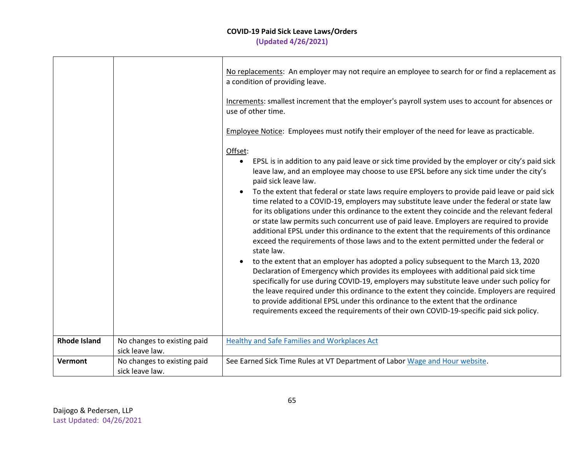|                     |                                                | No replacements: An employer may not require an employee to search for or find a replacement as<br>a condition of providing leave.<br>Increments: smallest increment that the employer's payroll system uses to account for absences or<br>use of other time.<br>Employee Notice: Employees must notify their employer of the need for leave as practicable.                                                                                                                                                                                                                                                                                                                                                                                                                                                                                                                                                                                                                                                                                                                                                                                                                                                                                                                                                                                                                                           |
|---------------------|------------------------------------------------|--------------------------------------------------------------------------------------------------------------------------------------------------------------------------------------------------------------------------------------------------------------------------------------------------------------------------------------------------------------------------------------------------------------------------------------------------------------------------------------------------------------------------------------------------------------------------------------------------------------------------------------------------------------------------------------------------------------------------------------------------------------------------------------------------------------------------------------------------------------------------------------------------------------------------------------------------------------------------------------------------------------------------------------------------------------------------------------------------------------------------------------------------------------------------------------------------------------------------------------------------------------------------------------------------------------------------------------------------------------------------------------------------------|
|                     |                                                | Offset:<br>EPSL is in addition to any paid leave or sick time provided by the employer or city's paid sick<br>leave law, and an employee may choose to use EPSL before any sick time under the city's<br>paid sick leave law.<br>To the extent that federal or state laws require employers to provide paid leave or paid sick<br>$\bullet$<br>time related to a COVID-19, employers may substitute leave under the federal or state law<br>for its obligations under this ordinance to the extent they coincide and the relevant federal<br>or state law permits such concurrent use of paid leave. Employers are required to provide<br>additional EPSL under this ordinance to the extent that the requirements of this ordinance<br>exceed the requirements of those laws and to the extent permitted under the federal or<br>state law.<br>to the extent that an employer has adopted a policy subsequent to the March 13, 2020<br>Declaration of Emergency which provides its employees with additional paid sick time<br>specifically for use during COVID-19, employers may substitute leave under such policy for<br>the leave required under this ordinance to the extent they coincide. Employers are required<br>to provide additional EPSL under this ordinance to the extent that the ordinance<br>requirements exceed the requirements of their own COVID-19-specific paid sick policy. |
| <b>Rhode Island</b> | No changes to existing paid<br>sick leave law. | <b>Healthy and Safe Families and Workplaces Act</b>                                                                                                                                                                                                                                                                                                                                                                                                                                                                                                                                                                                                                                                                                                                                                                                                                                                                                                                                                                                                                                                                                                                                                                                                                                                                                                                                                    |
| <b>Vermont</b>      | No changes to existing paid<br>sick leave law. | See Earned Sick Time Rules at VT Department of Labor Wage and Hour website.                                                                                                                                                                                                                                                                                                                                                                                                                                                                                                                                                                                                                                                                                                                                                                                                                                                                                                                                                                                                                                                                                                                                                                                                                                                                                                                            |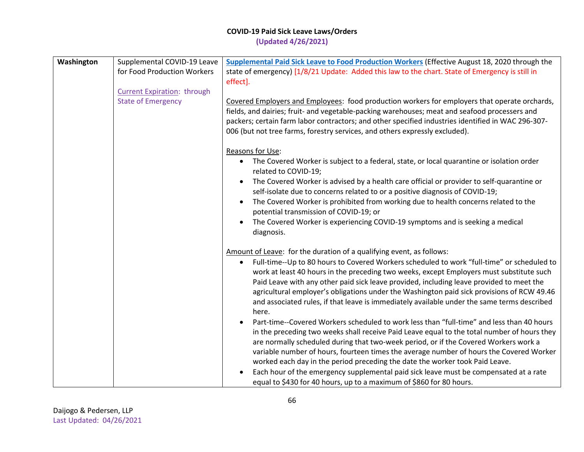| Washington | Supplemental COVID-19 Leave        | Supplemental Paid Sick Leave to Food Production Workers (Effective August 18, 2020 through the                                                                                       |
|------------|------------------------------------|--------------------------------------------------------------------------------------------------------------------------------------------------------------------------------------|
|            | for Food Production Workers        | state of emergency) [1/8/21 Update: Added this law to the chart. State of Emergency is still in                                                                                      |
|            |                                    | effect].                                                                                                                                                                             |
|            | <b>Current Expiration: through</b> |                                                                                                                                                                                      |
|            | <b>State of Emergency</b>          | Covered Employers and Employees: food production workers for employers that operate orchards,                                                                                        |
|            |                                    | fields, and dairies; fruit- and vegetable-packing warehouses; meat and seafood processers and                                                                                        |
|            |                                    | packers; certain farm labor contractors; and other specified industries identified in WAC 296-307-<br>006 (but not tree farms, forestry services, and others expressly excluded).    |
|            |                                    |                                                                                                                                                                                      |
|            |                                    | Reasons for Use:                                                                                                                                                                     |
|            |                                    | • The Covered Worker is subject to a federal, state, or local quarantine or isolation order<br>related to COVID-19;                                                                  |
|            |                                    | The Covered Worker is advised by a health care official or provider to self-quarantine or<br>self-isolate due to concerns related to or a positive diagnosis of COVID-19;            |
|            |                                    | The Covered Worker is prohibited from working due to health concerns related to the<br>potential transmission of COVID-19; or                                                        |
|            |                                    | The Covered Worker is experiencing COVID-19 symptoms and is seeking a medical<br>$\bullet$<br>diagnosis.                                                                             |
|            |                                    | Amount of Leave: for the duration of a qualifying event, as follows:                                                                                                                 |
|            |                                    | Full-time--Up to 80 hours to Covered Workers scheduled to work "full-time" or scheduled to<br>$\bullet$                                                                              |
|            |                                    | work at least 40 hours in the preceding two weeks, except Employers must substitute such<br>Paid Leave with any other paid sick leave provided, including leave provided to meet the |
|            |                                    | agricultural employer's obligations under the Washington paid sick provisions of RCW 49.46                                                                                           |
|            |                                    | and associated rules, if that leave is immediately available under the same terms described                                                                                          |
|            |                                    | here.                                                                                                                                                                                |
|            |                                    | Part-time--Covered Workers scheduled to work less than "full-time" and less than 40 hours                                                                                            |
|            |                                    | in the preceding two weeks shall receive Paid Leave equal to the total number of hours they                                                                                          |
|            |                                    | are normally scheduled during that two-week period, or if the Covered Workers work a                                                                                                 |
|            |                                    | variable number of hours, fourteen times the average number of hours the Covered Worker                                                                                              |
|            |                                    | worked each day in the period preceding the date the worker took Paid Leave.                                                                                                         |
|            |                                    | Each hour of the emergency supplemental paid sick leave must be compensated at a rate                                                                                                |
|            |                                    | equal to \$430 for 40 hours, up to a maximum of \$860 for 80 hours.                                                                                                                  |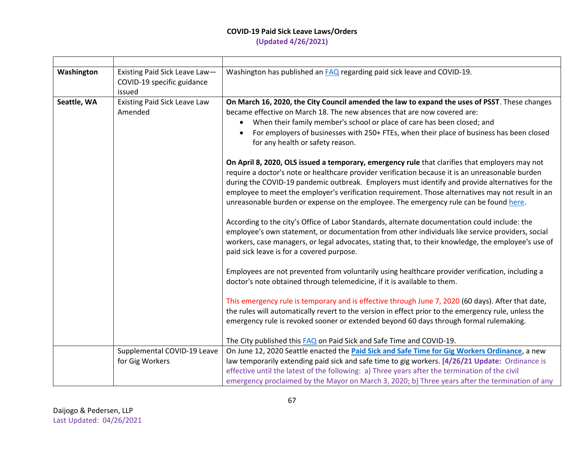# **COVID-19 Paid Sick Leave Laws/Orders**

**(Updated 4/26/2021)**

| Washington  | Existing Paid Sick Leave Law-<br>COVID-19 specific guidance<br>issued         | Washington has published an <b>FAQ</b> regarding paid sick leave and COVID-19.                                                                                                                                                                                                                                                                                                                                                                                                                                                                                                                                                                                                                                                                                                                                                                                                                                                                                                                                                                                                                                                                                                                                                                                                                                                                                                                                                                                                                                                                                                                                                                                                                                                                                                                                                                                                                                                            |
|-------------|-------------------------------------------------------------------------------|-------------------------------------------------------------------------------------------------------------------------------------------------------------------------------------------------------------------------------------------------------------------------------------------------------------------------------------------------------------------------------------------------------------------------------------------------------------------------------------------------------------------------------------------------------------------------------------------------------------------------------------------------------------------------------------------------------------------------------------------------------------------------------------------------------------------------------------------------------------------------------------------------------------------------------------------------------------------------------------------------------------------------------------------------------------------------------------------------------------------------------------------------------------------------------------------------------------------------------------------------------------------------------------------------------------------------------------------------------------------------------------------------------------------------------------------------------------------------------------------------------------------------------------------------------------------------------------------------------------------------------------------------------------------------------------------------------------------------------------------------------------------------------------------------------------------------------------------------------------------------------------------------------------------------------------------|
| Seattle, WA | <b>Existing Paid Sick Leave Law</b><br>Amended<br>Supplemental COVID-19 Leave | On March 16, 2020, the City Council amended the law to expand the uses of PSST. These changes<br>became effective on March 18. The new absences that are now covered are:<br>When their family member's school or place of care has been closed; and<br>$\bullet$<br>For employers of businesses with 250+ FTEs, when their place of business has been closed<br>for any health or safety reason.<br>On April 8, 2020, OLS issued a temporary, emergency rule that clarifies that employers may not<br>require a doctor's note or healthcare provider verification because it is an unreasonable burden<br>during the COVID-19 pandemic outbreak. Employers must identify and provide alternatives for the<br>employee to meet the employer's verification requirement. Those alternatives may not result in an<br>unreasonable burden or expense on the employee. The emergency rule can be found here.<br>According to the city's Office of Labor Standards, alternate documentation could include: the<br>employee's own statement, or documentation from other individuals like service providers, social<br>workers, case managers, or legal advocates, stating that, to their knowledge, the employee's use of<br>paid sick leave is for a covered purpose.<br>Employees are not prevented from voluntarily using healthcare provider verification, including a<br>doctor's note obtained through telemedicine, if it is available to them.<br>This emergency rule is temporary and is effective through June 7, 2020 (60 days). After that date,<br>the rules will automatically revert to the version in effect prior to the emergency rule, unless the<br>emergency rule is revoked sooner or extended beyond 60 days through formal rulemaking.<br>The City published this <b>FAQ</b> on Paid Sick and Safe Time and COVID-19.<br>On June 12, 2020 Seattle enacted the Paid Sick and Safe Time for Gig Workers Ordinance, a new |
|             | for Gig Workers                                                               | law temporarily extending paid sick and safe time to gig workers. [4/26/21 Update: Ordinance is                                                                                                                                                                                                                                                                                                                                                                                                                                                                                                                                                                                                                                                                                                                                                                                                                                                                                                                                                                                                                                                                                                                                                                                                                                                                                                                                                                                                                                                                                                                                                                                                                                                                                                                                                                                                                                           |
|             |                                                                               | effective until the latest of the following: a) Three years after the termination of the civil                                                                                                                                                                                                                                                                                                                                                                                                                                                                                                                                                                                                                                                                                                                                                                                                                                                                                                                                                                                                                                                                                                                                                                                                                                                                                                                                                                                                                                                                                                                                                                                                                                                                                                                                                                                                                                            |
|             |                                                                               | emergency proclaimed by the Mayor on March 3, 2020; b) Three years after the termination of any                                                                                                                                                                                                                                                                                                                                                                                                                                                                                                                                                                                                                                                                                                                                                                                                                                                                                                                                                                                                                                                                                                                                                                                                                                                                                                                                                                                                                                                                                                                                                                                                                                                                                                                                                                                                                                           |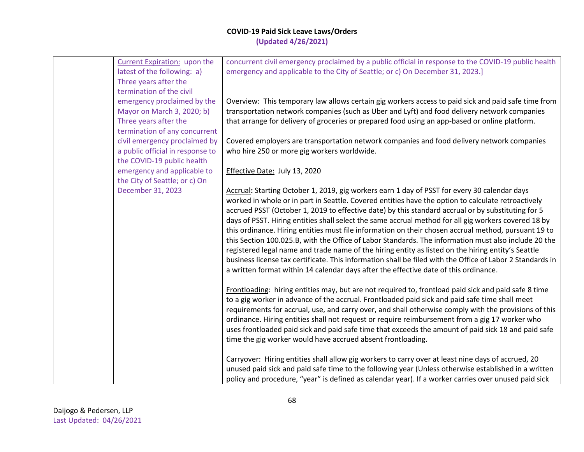| Current Expiration: upon the     | concurrent civil emergency proclaimed by a public official in response to the COVID-19 public health      |
|----------------------------------|-----------------------------------------------------------------------------------------------------------|
| latest of the following: a)      | emergency and applicable to the City of Seattle; or c) On December 31, 2023.]                             |
| Three years after the            |                                                                                                           |
| termination of the civil         |                                                                                                           |
| emergency proclaimed by the      | Overview: This temporary law allows certain gig workers access to paid sick and paid safe time from       |
| Mayor on March 3, 2020; b)       | transportation network companies (such as Uber and Lyft) and food delivery network companies              |
| Three years after the            | that arrange for delivery of groceries or prepared food using an app-based or online platform.            |
| termination of any concurrent    |                                                                                                           |
| civil emergency proclaimed by    | Covered employers are transportation network companies and food delivery network companies                |
| a public official in response to | who hire 250 or more gig workers worldwide.                                                               |
| the COVID-19 public health       |                                                                                                           |
| emergency and applicable to      | Effective Date: July 13, 2020                                                                             |
| the City of Seattle; or c) On    |                                                                                                           |
| December 31, 2023                | Accrual: Starting October 1, 2019, gig workers earn 1 day of PSST for every 30 calendar days              |
|                                  | worked in whole or in part in Seattle. Covered entities have the option to calculate retroactively        |
|                                  | accrued PSST (October 1, 2019 to effective date) by this standard accrual or by substituting for 5        |
|                                  | days of PSST. Hiring entities shall select the same accrual method for all gig workers covered 18 by      |
|                                  | this ordinance. Hiring entities must file information on their chosen accrual method, pursuant 19 to      |
|                                  | this Section 100.025.B, with the Office of Labor Standards. The information must also include 20 the      |
|                                  | registered legal name and trade name of the hiring entity as listed on the hiring entity's Seattle        |
|                                  | business license tax certificate. This information shall be filed with the Office of Labor 2 Standards in |
|                                  | a written format within 14 calendar days after the effective date of this ordinance.                      |
|                                  |                                                                                                           |
|                                  | Frontloading: hiring entities may, but are not required to, frontload paid sick and paid safe 8 time      |
|                                  | to a gig worker in advance of the accrual. Frontloaded paid sick and paid safe time shall meet            |
|                                  | requirements for accrual, use, and carry over, and shall otherwise comply with the provisions of this     |
|                                  | ordinance. Hiring entities shall not request or require reimbursement from a gig 17 worker who            |
|                                  | uses frontloaded paid sick and paid safe time that exceeds the amount of paid sick 18 and paid safe       |
|                                  | time the gig worker would have accrued absent frontloading.                                               |
|                                  |                                                                                                           |
|                                  | Carryover: Hiring entities shall allow gig workers to carry over at least nine days of accrued, 20        |
|                                  | unused paid sick and paid safe time to the following year (Unless otherwise established in a written      |
|                                  | policy and procedure, "year" is defined as calendar year). If a worker carries over unused paid sick      |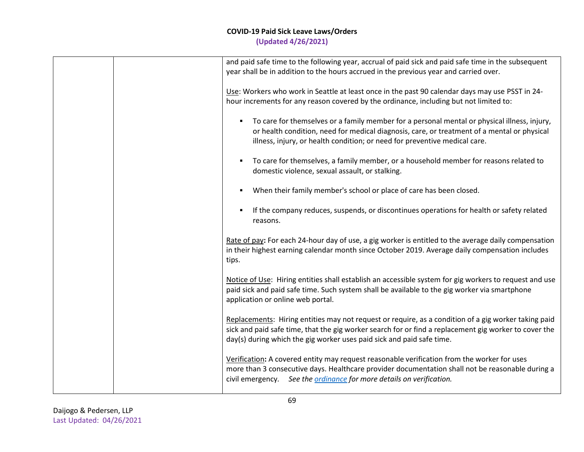| and paid safe time to the following year, accrual of paid sick and paid safe time in the subsequent<br>year shall be in addition to the hours accrued in the previous year and carried over.                                                                                                |
|---------------------------------------------------------------------------------------------------------------------------------------------------------------------------------------------------------------------------------------------------------------------------------------------|
| Use: Workers who work in Seattle at least once in the past 90 calendar days may use PSST in 24-<br>hour increments for any reason covered by the ordinance, including but not limited to:                                                                                                   |
| To care for themselves or a family member for a personal mental or physical illness, injury,<br>$\blacksquare$<br>or health condition, need for medical diagnosis, care, or treatment of a mental or physical<br>illness, injury, or health condition; or need for preventive medical care. |
| To care for themselves, a family member, or a household member for reasons related to<br>domestic violence, sexual assault, or stalking.                                                                                                                                                    |
| When their family member's school or place of care has been closed.                                                                                                                                                                                                                         |
| If the company reduces, suspends, or discontinues operations for health or safety related<br>×<br>reasons.                                                                                                                                                                                  |
| Rate of pay: For each 24-hour day of use, a gig worker is entitled to the average daily compensation<br>in their highest earning calendar month since October 2019. Average daily compensation includes<br>tips.                                                                            |
| Notice of Use: Hiring entities shall establish an accessible system for gig workers to request and use<br>paid sick and paid safe time. Such system shall be available to the gig worker via smartphone<br>application or online web portal.                                                |
| Replacements: Hiring entities may not request or require, as a condition of a gig worker taking paid<br>sick and paid safe time, that the gig worker search for or find a replacement gig worker to cover the<br>day(s) during which the gig worker uses paid sick and paid safe time.      |
| Verification: A covered entity may request reasonable verification from the worker for uses<br>more than 3 consecutive days. Healthcare provider documentation shall not be reasonable during a<br>civil emergency. See the ordinance for more details on verification.                     |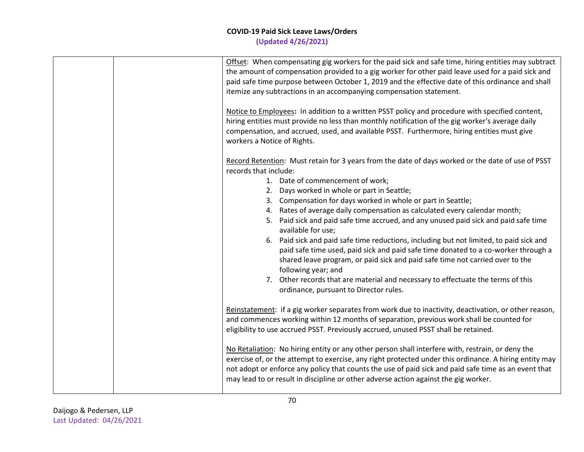|  | Offset: When compensating gig workers for the paid sick and safe time, hiring entities may subtract<br>the amount of compensation provided to a gig worker for other paid leave used for a paid sick and<br>paid safe time purpose between October 1, 2019 and the effective date of this ordinance and shall<br>itemize any subtractions in an accompanying compensation statement.                                                                                                                                                                                                                                                                                                                                                                                                                                                                                                             |
|--|--------------------------------------------------------------------------------------------------------------------------------------------------------------------------------------------------------------------------------------------------------------------------------------------------------------------------------------------------------------------------------------------------------------------------------------------------------------------------------------------------------------------------------------------------------------------------------------------------------------------------------------------------------------------------------------------------------------------------------------------------------------------------------------------------------------------------------------------------------------------------------------------------|
|  | Notice to Employees: In addition to a written PSST policy and procedure with specified content,<br>hiring entities must provide no less than monthly notification of the gig worker's average daily<br>compensation, and accrued, used, and available PSST. Furthermore, hiring entities must give<br>workers a Notice of Rights.                                                                                                                                                                                                                                                                                                                                                                                                                                                                                                                                                                |
|  | Record Retention: Must retain for 3 years from the date of days worked or the date of use of PSST<br>records that include:<br>1. Date of commencement of work;<br>2. Days worked in whole or part in Seattle;<br>3. Compensation for days worked in whole or part in Seattle;<br>4. Rates of average daily compensation as calculated every calendar month;<br>5. Paid sick and paid safe time accrued, and any unused paid sick and paid safe time<br>available for use;<br>6. Paid sick and paid safe time reductions, including but not limited, to paid sick and<br>paid safe time used, paid sick and paid safe time donated to a co-worker through a<br>shared leave program, or paid sick and paid safe time not carried over to the<br>following year; and<br>7. Other records that are material and necessary to effectuate the terms of this<br>ordinance, pursuant to Director rules. |
|  | Reinstatement: if a gig worker separates from work due to inactivity, deactivation, or other reason,<br>and commences working within 12 months of separation, previous work shall be counted for<br>eligibility to use accrued PSST. Previously accrued, unused PSST shall be retained.                                                                                                                                                                                                                                                                                                                                                                                                                                                                                                                                                                                                          |
|  | No Retaliation: No hiring entity or any other person shall interfere with, restrain, or deny the<br>exercise of, or the attempt to exercise, any right protected under this ordinance. A hiring entity may<br>not adopt or enforce any policy that counts the use of paid sick and paid safe time as an event that<br>may lead to or result in discipline or other adverse action against the gig worker.                                                                                                                                                                                                                                                                                                                                                                                                                                                                                        |